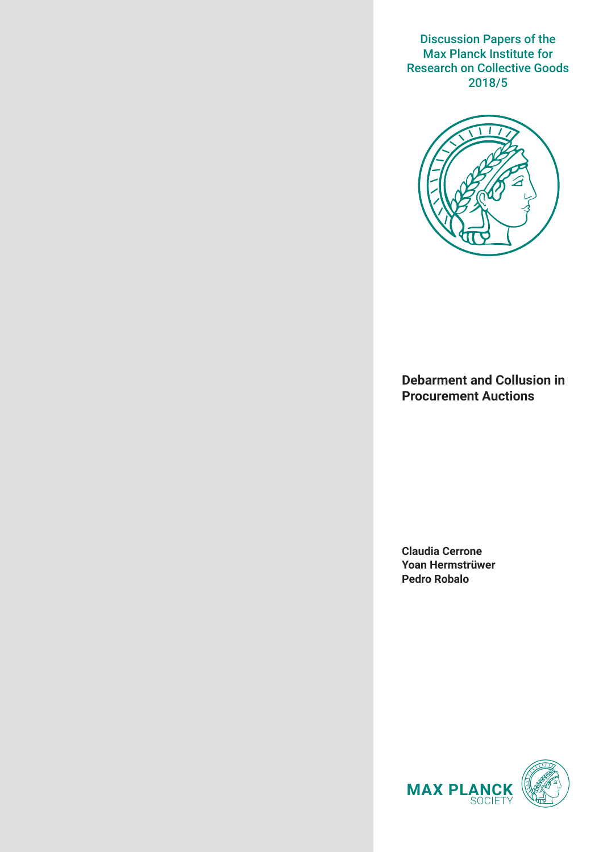Discussion Papers of the Max Planck Institute for Research on Collective Goods 2018/5



**Debarment and Collusion in Procurement Auctions**

**Claudia Cerrone Yoan Hermstrüwer Pedro Robalo**

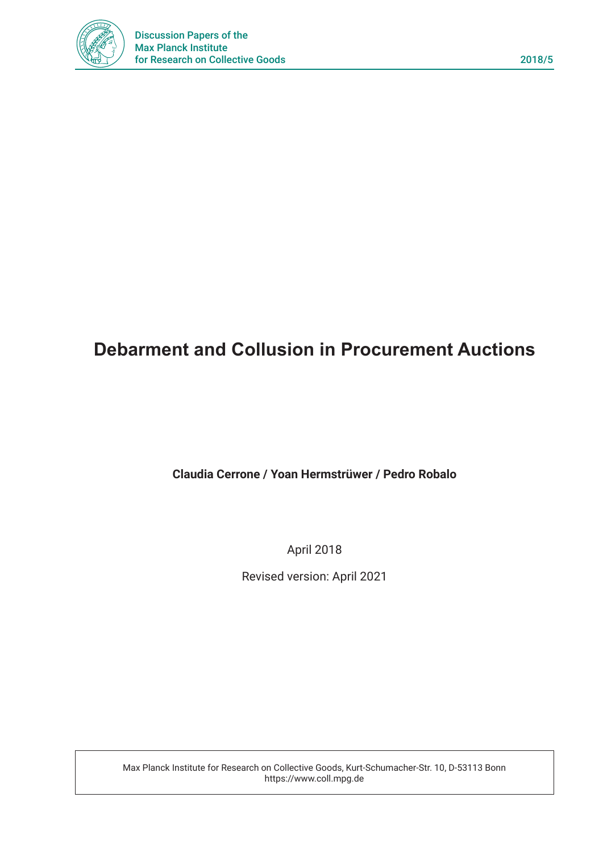

# **Debarment and Collusion in Procurement Auctions**

## **Claudia Cerrone / Yoan Hermstrüwer / Pedro Robalo**

April 2018

Revised version: April 2021

Max Planck Institute for Research on Collective Goods, Kurt-Schumacher-Str. 10, D-53113 Bonn https://www.coll.mpg.de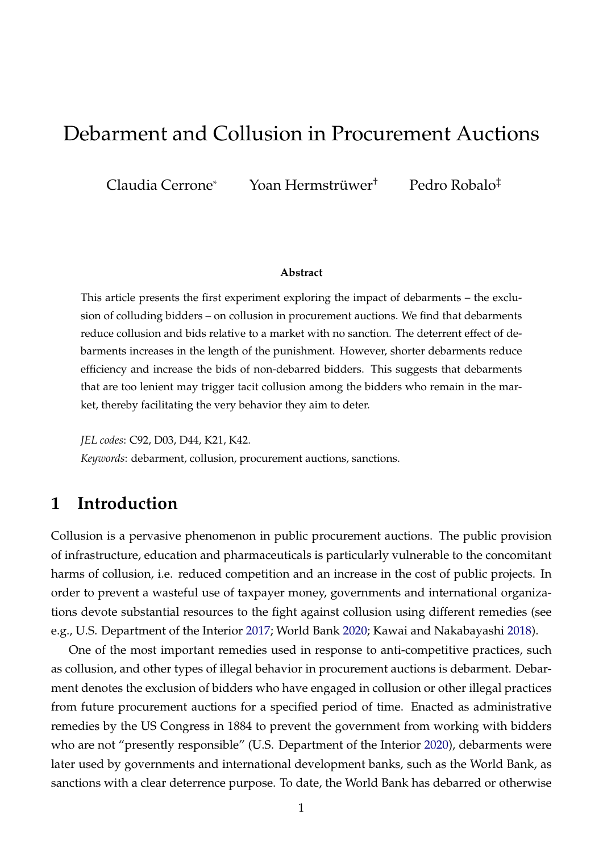# Debarment and Collusion in Procurement Auctions

Claudia Cerrone\* Yoan Hermstrüwer† Pedro Robalo‡

#### **Abstract**

This article presents the first experiment exploring the impact of debarments – the exclusion of colluding bidders – on collusion in procurement auctions. We find that debarments reduce collusion and bids relative to a market with no sanction. The deterrent effect of debarments increases in the length of the punishment. However, shorter debarments reduce efficiency and increase the bids of non-debarred bidders. This suggests that debarments that are too lenient may trigger tacit collusion among the bidders who remain in the market, thereby facilitating the very behavior they aim to deter.

*JEL codes*: C92, D03, D44, K21, K42.

*Keywords*: debarment, collusion, procurement auctions, sanctions.

## **1 Introduction**

Collusion is a pervasive phenomenon in public procurement auctions. The public provision of infrastructure, education and pharmaceuticals is particularly vulnerable to the concomitant harms of collusion, i.e. reduced competition and an increase in the cost of public projects. In order to prevent a wasteful use of taxpayer money, governments and international organizations devote substantial resources to the fight against collusion using different remedies (see e.g., U.S. Department of the Interior [2017;](#page-32-0) World Bank [2020;](#page-32-1) Kawai and Nakabayashi [2018\)](#page-31-0).

One of the most important remedies used in response to anti-competitive practices, such as collusion, and other types of illegal behavior in procurement auctions is debarment. Debarment denotes the exclusion of bidders who have engaged in collusion or other illegal practices from future procurement auctions for a specified period of time. Enacted as administrative remedies by the US Congress in 1884 to prevent the government from working with bidders who are not "presently responsible" (U.S. Department of the Interior [2020\)](#page-32-2), debarments were later used by governments and international development banks, such as the World Bank, as sanctions with a clear deterrence purpose. To date, the World Bank has debarred or otherwise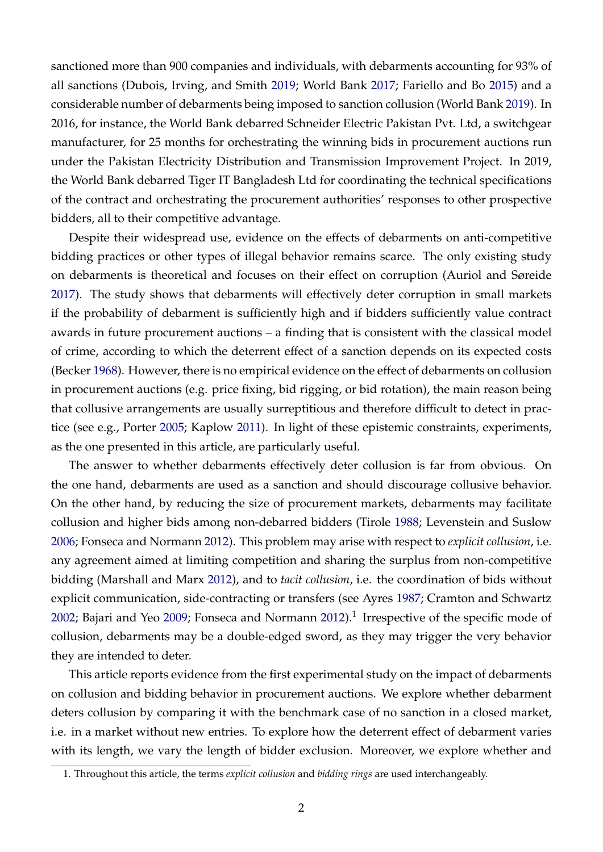sanctioned more than 900 companies and individuals, with debarments accounting for 93% of all sanctions (Dubois, Irving, and Smith [2019;](#page-29-0) World Bank [2017;](#page-32-3) Fariello and Bo [2015\)](#page-30-0) and a considerable number of debarments being imposed to sanction collusion (World Bank [2019\)](#page-32-4). In 2016, for instance, the World Bank debarred Schneider Electric Pakistan Pvt. Ltd, a switchgear manufacturer, for 25 months for orchestrating the winning bids in procurement auctions run under the Pakistan Electricity Distribution and Transmission Improvement Project. In 2019, the World Bank debarred Tiger IT Bangladesh Ltd for coordinating the technical specifications of the contract and orchestrating the procurement authorities' responses to other prospective bidders, all to their competitive advantage.

Despite their widespread use, evidence on the effects of debarments on anti-competitive bidding practices or other types of illegal behavior remains scarce. The only existing study on debarments is theoretical and focuses on their effect on corruption (Auriol and Søreide [2017\)](#page-28-0). The study shows that debarments will effectively deter corruption in small markets if the probability of debarment is sufficiently high and if bidders sufficiently value contract awards in future procurement auctions – a finding that is consistent with the classical model of crime, according to which the deterrent effect of a sanction depends on its expected costs (Becker [1968\)](#page-29-1). However, there is no empirical evidence on the effect of debarments on collusion in procurement auctions (e.g. price fixing, bid rigging, or bid rotation), the main reason being that collusive arrangements are usually surreptitious and therefore difficult to detect in practice (see e.g., Porter [2005;](#page-32-5) Kaplow [2011\)](#page-31-1). In light of these epistemic constraints, experiments, as the one presented in this article, are particularly useful.

The answer to whether debarments effectively deter collusion is far from obvious. On the one hand, debarments are used as a sanction and should discourage collusive behavior. On the other hand, by reducing the size of procurement markets, debarments may facilitate collusion and higher bids among non-debarred bidders (Tirole [1988;](#page-32-6) Levenstein and Suslow [2006;](#page-31-2) Fonseca and Normann [2012\)](#page-30-1). This problem may arise with respect to *explicit collusion*, i.e. any agreement aimed at limiting competition and sharing the surplus from non-competitive bidding (Marshall and Marx [2012\)](#page-31-3), and to *tacit collusion*, i.e. the coordination of bids without explicit communication, side-contracting or transfers (see Ayres [1987;](#page-28-1) Cramton and Schwartz [2002;](#page-29-2) Bajari and Yeo [2009;](#page-28-2) Fonseca and Normann [2012\)](#page-30-1). $^1$  $^1$  Irrespective of the specific mode of collusion, debarments may be a double-edged sword, as they may trigger the very behavior they are intended to deter.

This article reports evidence from the first experimental study on the impact of debarments on collusion and bidding behavior in procurement auctions. We explore whether debarment deters collusion by comparing it with the benchmark case of no sanction in a closed market, i.e. in a market without new entries. To explore how the deterrent effect of debarment varies with its length, we vary the length of bidder exclusion. Moreover, we explore whether and

<span id="page-3-0"></span><sup>1.</sup> Throughout this article, the terms *explicit collusion* and *bidding rings* are used interchangeably.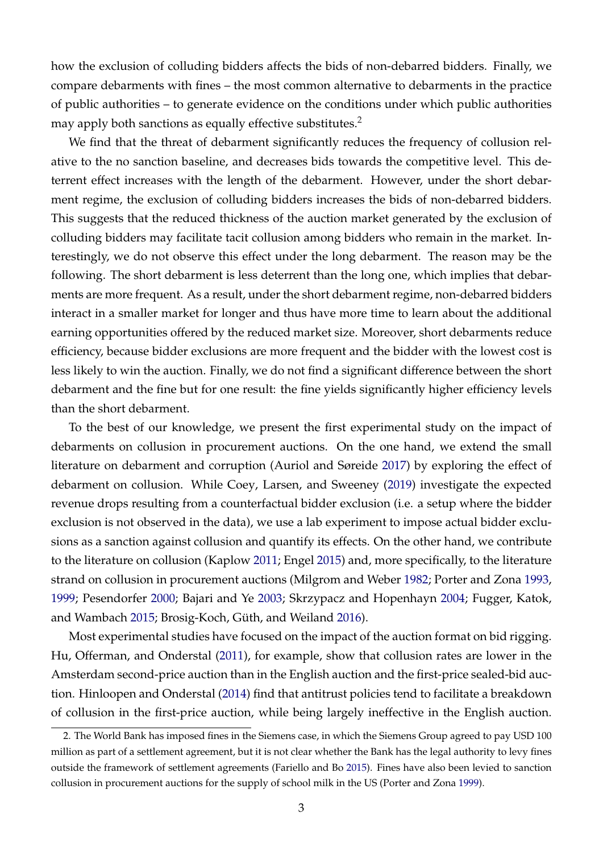how the exclusion of colluding bidders affects the bids of non-debarred bidders. Finally, we compare debarments with fines – the most common alternative to debarments in the practice of public authorities – to generate evidence on the conditions under which public authorities may apply both sanctions as equally effective substitutes.<sup>[2](#page-4-0)</sup>

We find that the threat of debarment significantly reduces the frequency of collusion relative to the no sanction baseline, and decreases bids towards the competitive level. This deterrent effect increases with the length of the debarment. However, under the short debarment regime, the exclusion of colluding bidders increases the bids of non-debarred bidders. This suggests that the reduced thickness of the auction market generated by the exclusion of colluding bidders may facilitate tacit collusion among bidders who remain in the market. Interestingly, we do not observe this effect under the long debarment. The reason may be the following. The short debarment is less deterrent than the long one, which implies that debarments are more frequent. As a result, under the short debarment regime, non-debarred bidders interact in a smaller market for longer and thus have more time to learn about the additional earning opportunities offered by the reduced market size. Moreover, short debarments reduce efficiency, because bidder exclusions are more frequent and the bidder with the lowest cost is less likely to win the auction. Finally, we do not find a significant difference between the short debarment and the fine but for one result: the fine yields significantly higher efficiency levels than the short debarment.

To the best of our knowledge, we present the first experimental study on the impact of debarments on collusion in procurement auctions. On the one hand, we extend the small literature on debarment and corruption (Auriol and Søreide [2017\)](#page-28-0) by exploring the effect of debarment on collusion. While Coey, Larsen, and Sweeney [\(2019\)](#page-29-3) investigate the expected revenue drops resulting from a counterfactual bidder exclusion (i.e. a setup where the bidder exclusion is not observed in the data), we use a lab experiment to impose actual bidder exclusions as a sanction against collusion and quantify its effects. On the other hand, we contribute to the literature on collusion (Kaplow [2011;](#page-31-1) Engel [2015\)](#page-30-2) and, more specifically, to the literature strand on collusion in procurement auctions (Milgrom and Weber [1982;](#page-31-4) Porter and Zona [1993,](#page-32-7) [1999;](#page-32-8) Pesendorfer [2000;](#page-31-5) Bajari and Ye [2003;](#page-28-3) Skrzypacz and Hopenhayn [2004;](#page-32-9) Fugger, Katok, and Wambach [2015;](#page-30-3) Brosig-Koch, Güth, and Weiland [2016\)](#page-29-4).

Most experimental studies have focused on the impact of the auction format on bid rigging. Hu, Offerman, and Onderstal [\(2011\)](#page-30-4), for example, show that collusion rates are lower in the Amsterdam second-price auction than in the English auction and the first-price sealed-bid auction. Hinloopen and Onderstal [\(2014\)](#page-30-5) find that antitrust policies tend to facilitate a breakdown of collusion in the first-price auction, while being largely ineffective in the English auction.

<span id="page-4-0"></span><sup>2.</sup> The World Bank has imposed fines in the Siemens case, in which the Siemens Group agreed to pay USD 100 million as part of a settlement agreement, but it is not clear whether the Bank has the legal authority to levy fines outside the framework of settlement agreements (Fariello and Bo [2015\)](#page-30-0). Fines have also been levied to sanction collusion in procurement auctions for the supply of school milk in the US (Porter and Zona [1999\)](#page-32-8).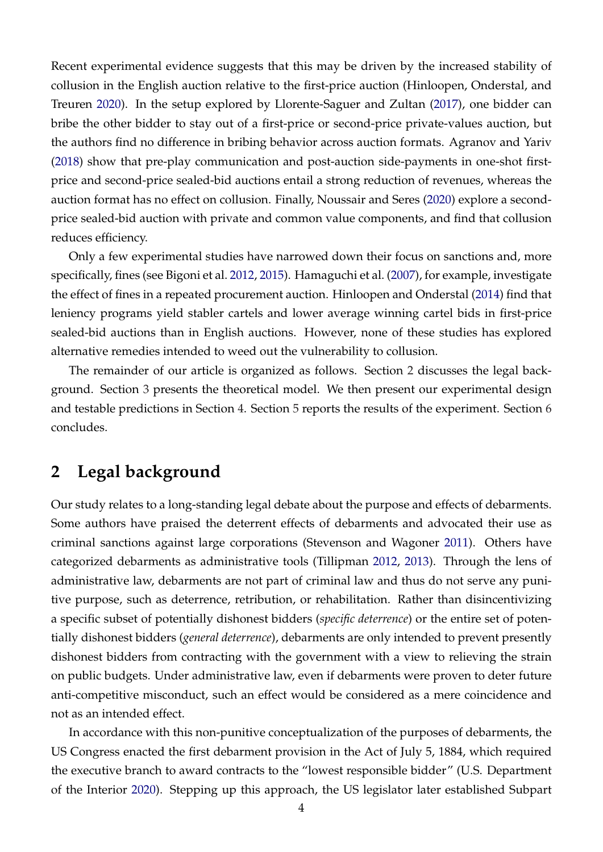Recent experimental evidence suggests that this may be driven by the increased stability of collusion in the English auction relative to the first-price auction (Hinloopen, Onderstal, and Treuren [2020\)](#page-30-6). In the setup explored by Llorente-Saguer and Zultan [\(2017\)](#page-31-6), one bidder can bribe the other bidder to stay out of a first-price or second-price private-values auction, but the authors find no difference in bribing behavior across auction formats. Agranov and Yariv [\(2018\)](#page-28-4) show that pre-play communication and post-auction side-payments in one-shot firstprice and second-price sealed-bid auctions entail a strong reduction of revenues, whereas the auction format has no effect on collusion. Finally, Noussair and Seres [\(2020\)](#page-31-7) explore a secondprice sealed-bid auction with private and common value components, and find that collusion reduces efficiency.

Only a few experimental studies have narrowed down their focus on sanctions and, more specifically, fines (see Bigoni et al. [2012,](#page-29-5) [2015\)](#page-29-6). Hamaguchi et al. [\(2007\)](#page-30-7), for example, investigate the effect of fines in a repeated procurement auction. Hinloopen and Onderstal [\(2014\)](#page-30-5) find that leniency programs yield stabler cartels and lower average winning cartel bids in first-price sealed-bid auctions than in English auctions. However, none of these studies has explored alternative remedies intended to weed out the vulnerability to collusion.

The remainder of our article is organized as follows. Section [2](#page-5-0) discusses the legal background. Section [3](#page-6-0) presents the theoretical model. We then present our experimental design and testable predictions in Section [4.](#page-11-0) Section [5](#page-15-0) reports the results of the experiment. Section [6](#page-27-0) concludes.

## <span id="page-5-0"></span>**2 Legal background**

Our study relates to a long-standing legal debate about the purpose and effects of debarments. Some authors have praised the deterrent effects of debarments and advocated their use as criminal sanctions against large corporations (Stevenson and Wagoner [2011\)](#page-32-10). Others have categorized debarments as administrative tools (Tillipman [2012,](#page-32-11) [2013\)](#page-32-12). Through the lens of administrative law, debarments are not part of criminal law and thus do not serve any punitive purpose, such as deterrence, retribution, or rehabilitation. Rather than disincentivizing a specific subset of potentially dishonest bidders (*specific deterrence*) or the entire set of potentially dishonest bidders (*general deterrence*), debarments are only intended to prevent presently dishonest bidders from contracting with the government with a view to relieving the strain on public budgets. Under administrative law, even if debarments were proven to deter future anti-competitive misconduct, such an effect would be considered as a mere coincidence and not as an intended effect.

In accordance with this non-punitive conceptualization of the purposes of debarments, the US Congress enacted the first debarment provision in the Act of July 5, 1884, which required the executive branch to award contracts to the "lowest responsible bidder" (U.S. Department of the Interior [2020\)](#page-32-2). Stepping up this approach, the US legislator later established Subpart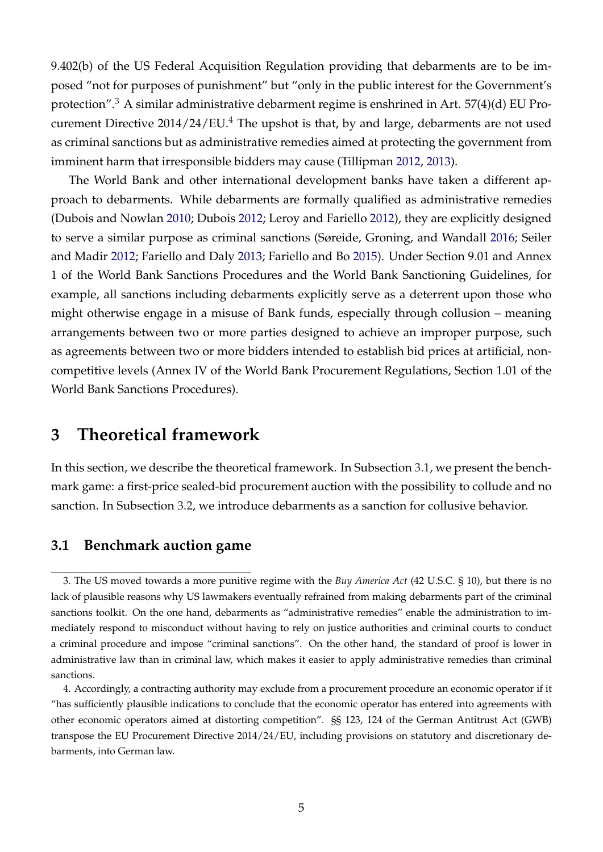9.402(b) of the US Federal Acquisition Regulation providing that debarments are to be imposed "not for purposes of punishment" but "only in the public interest for the Government's protection".<sup>[3](#page-6-1)</sup> A similar administrative debarment regime is enshrined in Art.  $57(4)(d)$  EU Procurement Directive  $2014/24/EU$  $2014/24/EU$  $2014/24/EU$ <sup>4</sup> The upshot is that, by and large, debarments are not used as criminal sanctions but as administrative remedies aimed at protecting the government from imminent harm that irresponsible bidders may cause (Tillipman [2012,](#page-32-11) [2013\)](#page-32-12).

The World Bank and other international development banks have taken a different approach to debarments. While debarments are formally qualified as administrative remedies (Dubois and Nowlan [2010;](#page-29-7) Dubois [2012;](#page-29-8) Leroy and Fariello [2012\)](#page-31-8), they are explicitly designed to serve a similar purpose as criminal sanctions (Søreide, Groning, and Wandall [2016;](#page-32-13) Seiler and Madir [2012;](#page-32-14) Fariello and Daly [2013;](#page-30-8) Fariello and Bo [2015\)](#page-30-0). Under Section 9.01 and Annex 1 of the World Bank Sanctions Procedures and the World Bank Sanctioning Guidelines, for example, all sanctions including debarments explicitly serve as a deterrent upon those who might otherwise engage in a misuse of Bank funds, especially through collusion – meaning arrangements between two or more parties designed to achieve an improper purpose, such as agreements between two or more bidders intended to establish bid prices at artificial, noncompetitive levels (Annex IV of the World Bank Procurement Regulations, Section 1.01 of the World Bank Sanctions Procedures).

## <span id="page-6-0"></span>**3 Theoretical framework**

In this section, we describe the theoretical framework. In Subsection [3.1,](#page-6-3) we present the benchmark game: a first-price sealed-bid procurement auction with the possibility to collude and no sanction. In Subsection [3.2,](#page-9-0) we introduce debarments as a sanction for collusive behavior.

### <span id="page-6-3"></span>**3.1 Benchmark auction game**

<span id="page-6-1"></span><sup>3.</sup> The US moved towards a more punitive regime with the *Buy America Act* (42 U.S.C. § 10), but there is no lack of plausible reasons why US lawmakers eventually refrained from making debarments part of the criminal sanctions toolkit. On the one hand, debarments as "administrative remedies" enable the administration to immediately respond to misconduct without having to rely on justice authorities and criminal courts to conduct a criminal procedure and impose "criminal sanctions". On the other hand, the standard of proof is lower in administrative law than in criminal law, which makes it easier to apply administrative remedies than criminal sanctions.

<span id="page-6-2"></span><sup>4.</sup> Accordingly, a contracting authority may exclude from a procurement procedure an economic operator if it "has sufficiently plausible indications to conclude that the economic operator has entered into agreements with other economic operators aimed at distorting competition". §§ 123, 124 of the German Antitrust Act (GWB) transpose the EU Procurement Directive 2014/24/EU, including provisions on statutory and discretionary debarments, into German law.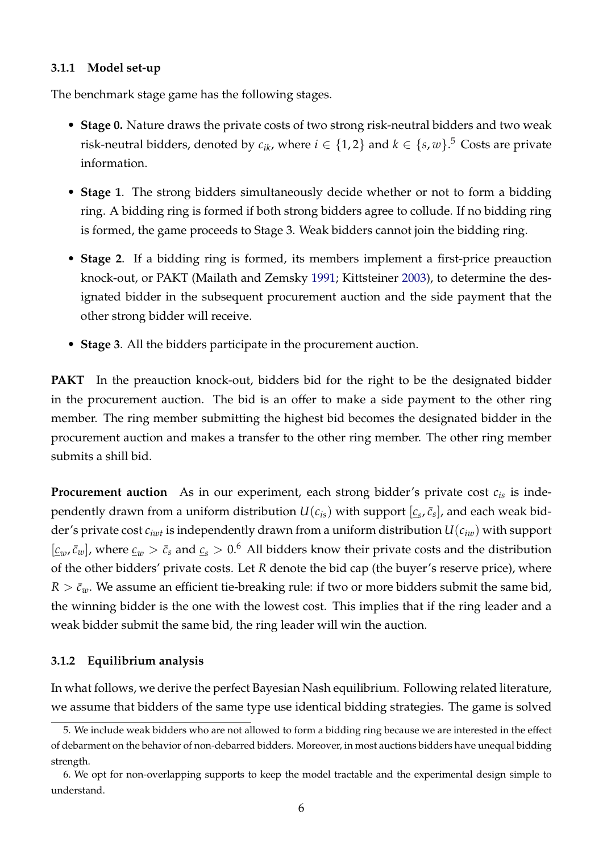#### **3.1.1 Model set-up**

The benchmark stage game has the following stages.

- **Stage 0.** Nature draws the private costs of two strong risk-neutral bidders and two weak risk-neutral bidders, denoted by  $c_{ik}$ , where  $i \in \{1,2\}$  and  $k \in \{s,w\}$ .<sup>[5](#page-7-0)</sup> Costs are private information.
- **Stage 1**. The strong bidders simultaneously decide whether or not to form a bidding ring. A bidding ring is formed if both strong bidders agree to collude. If no bidding ring is formed, the game proceeds to Stage 3. Weak bidders cannot join the bidding ring.
- **Stage 2**. If a bidding ring is formed, its members implement a first-price preauction knock-out, or PAKT (Mailath and Zemsky [1991;](#page-31-9) Kittsteiner [2003\)](#page-31-10), to determine the designated bidder in the subsequent procurement auction and the side payment that the other strong bidder will receive.
- **Stage 3**. All the bidders participate in the procurement auction.

**PAKT** In the preauction knock-out, bidders bid for the right to be the designated bidder in the procurement auction. The bid is an offer to make a side payment to the other ring member. The ring member submitting the highest bid becomes the designated bidder in the procurement auction and makes a transfer to the other ring member. The other ring member submits a shill bid.

**Procurement auction** As in our experiment, each strong bidder's private cost  $c_i$  is independently drawn from a uniform distribution  $U(c_{is})$  with support  $[\underline{c}_s, \bar{c}_s]$ , and each weak bidder's private cost *ciwt* is independently drawn from a uniform distribution *U*(*ciw*) with support  $[\underline{c}_w, \overline{c}_w]$ , where  $\underline{c}_w > \overline{c}_s$  and  $\underline{c}_s > 0.6$  $\underline{c}_s > 0.6$  All bidders know their private costs and the distribution of the other bidders' private costs. Let *R* denote the bid cap (the buyer's reserve price), where  $R > \bar{c}_w$ . We assume an efficient tie-breaking rule: if two or more bidders submit the same bid, the winning bidder is the one with the lowest cost. This implies that if the ring leader and a weak bidder submit the same bid, the ring leader will win the auction.

### **3.1.2 Equilibrium analysis**

In what follows, we derive the perfect Bayesian Nash equilibrium. Following related literature, we assume that bidders of the same type use identical bidding strategies. The game is solved

<span id="page-7-0"></span><sup>5.</sup> We include weak bidders who are not allowed to form a bidding ring because we are interested in the effect of debarment on the behavior of non-debarred bidders. Moreover, in most auctions bidders have unequal bidding strength.

<span id="page-7-1"></span><sup>6.</sup> We opt for non-overlapping supports to keep the model tractable and the experimental design simple to understand.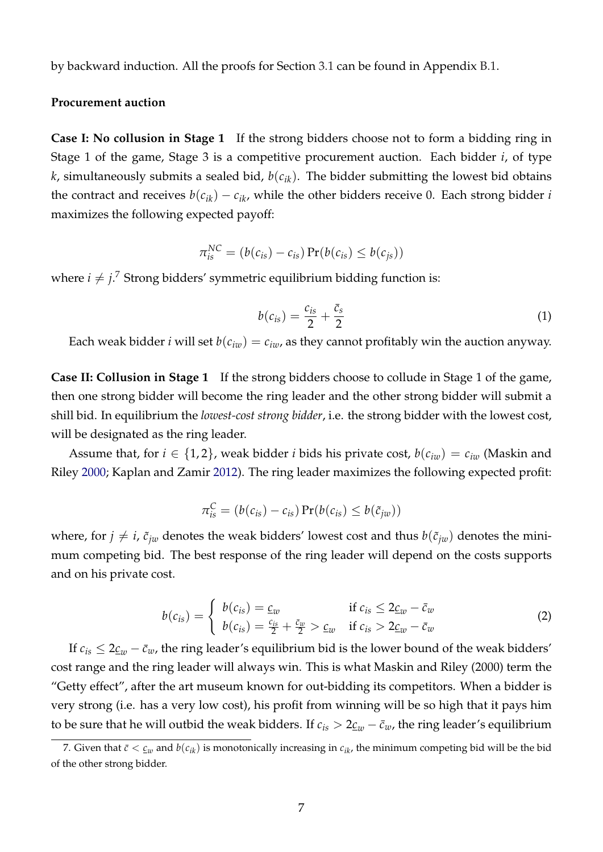by backward induction. All the proofs for Section [3.1](#page-6-3) can be found in Appendix [B.1.](#page-33-0)

#### **Procurement auction**

**Case I: No collusion in Stage 1** If the strong bidders choose not to form a bidding ring in Stage 1 of the game, Stage 3 is a competitive procurement auction. Each bidder *i*, of type *k*, simultaneously submits a sealed bid, *b*(*cik*). The bidder submitting the lowest bid obtains the contract and receives  $b(c_{ik}) - c_{ik}$ , while the other bidders receive 0. Each strong bidder *i* maximizes the following expected payoff:

$$
\pi_{is}^{NC} = (b(c_{is}) - c_{is}) \Pr(b(c_{is}) \leq b(c_{js}))
$$

<span id="page-8-1"></span>where  $i \neq j.^7$  $i \neq j.^7$  Strong bidders' symmetric equilibrium bidding function is:

$$
b(c_{is}) = \frac{c_{is}}{2} + \frac{\bar{c}_s}{2} \tag{1}
$$

Each weak bidder *i* will set  $b(c_{iw}) = c_{iw}$ , as they cannot profitably win the auction anyway.

**Case II: Collusion in Stage 1** If the strong bidders choose to collude in Stage 1 of the game, then one strong bidder will become the ring leader and the other strong bidder will submit a shill bid. In equilibrium the *lowest-cost strong bidder*, i.e. the strong bidder with the lowest cost, will be designated as the ring leader.

Assume that, for  $i \in \{1,2\}$ , weak bidder *i* bids his private cost,  $b(c_{iw}) = c_{iw}$  (Maskin and Riley [2000;](#page-31-11) Kaplan and Zamir [2012\)](#page-31-12). The ring leader maximizes the following expected profit:

$$
\pi_{is}^C = (b(c_{is}) - c_{is}) \Pr(b(c_{is}) \leq b(\tilde{c}_{jw}))
$$

<span id="page-8-2"></span>where, for  $j \neq i$ ,  $\tilde{c}_{jw}$  denotes the weak bidders' lowest cost and thus  $b(\tilde{c}_{jw})$  denotes the minimum competing bid. The best response of the ring leader will depend on the costs supports and on his private cost.

$$
b(c_{is}) = \begin{cases} b(c_{is}) = \underline{c}_w & \text{if } c_{is} \leq 2\underline{c}_w - \overline{c}_w\\ b(c_{is}) = \frac{c_{is}}{2} + \frac{\overline{c}_w}{2} > \underline{c}_w & \text{if } c_{is} > 2\underline{c}_w - \overline{c}_w \end{cases}
$$
(2)

If  $c_{is} \leq 2\underline{c}_w - \overline{c}_w$ , the ring leader's equilibrium bid is the lower bound of the weak bidders' cost range and the ring leader will always win. This is what Maskin and Riley (2000) term the "Getty effect", after the art museum known for out-bidding its competitors. When a bidder is very strong (i.e. has a very low cost), his profit from winning will be so high that it pays him to be sure that he will outbid the weak bidders. If  $c_{is} > 2 \underline{c}_{w} - \overline{c}_{w}$ , the ring leader's equilibrium

<span id="page-8-0"></span><sup>7.</sup> Given that  $\bar{c} < \underline{c}_w$  and  $b(c_{ik})$  is monotonically increasing in  $c_{ik}$ , the minimum competing bid will be the bid of the other strong bidder.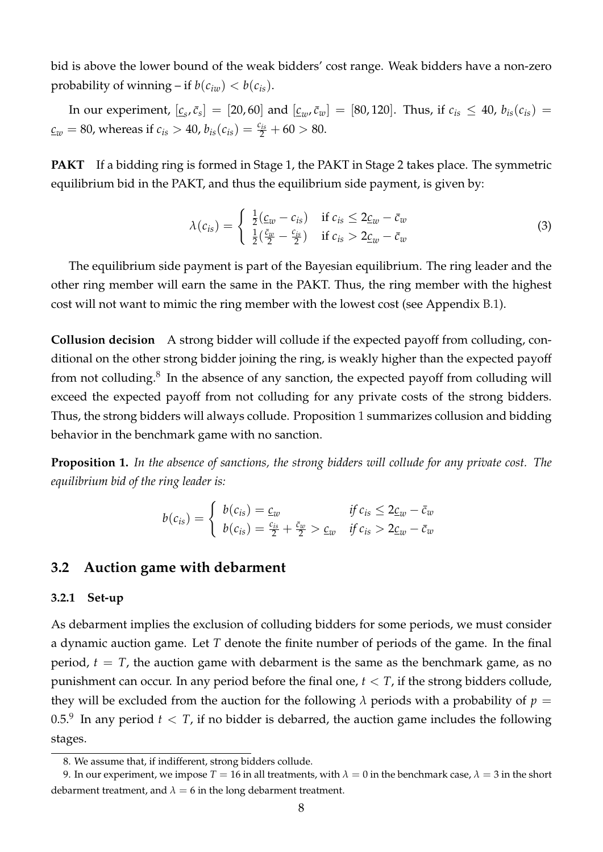bid is above the lower bound of the weak bidders' cost range. Weak bidders have a non-zero probability of winning – if  $b(c_{iw}) < b(c_{is})$ .

In our experiment,  $[\underline{c}_s, \bar{c}_s] = [20, 60]$  and  $[\underline{c}_w, \bar{c}_w] = [80, 120]$ . Thus, if  $c_{is} \leq 40$ ,  $b_{is}(c_{is}) =$  $c_{\textit{w}} = 80$ , whereas if  $c_{\textit{is}} > 40$ ,  $b_{\textit{is}}(c_{\textit{is}}) = \frac{c_{\textit{is}}}{2} + 60 > 80$ .

<span id="page-9-4"></span>**PAKT** If a bidding ring is formed in Stage 1, the PAKT in Stage 2 takes place. The symmetric equilibrium bid in the PAKT, and thus the equilibrium side payment, is given by:

$$
\lambda(c_{is}) = \begin{cases} \frac{1}{2}(\underline{c}_{w} - c_{is}) & \text{if } c_{is} \leq 2\underline{c}_{w} - \overline{c}_{w} \\ \frac{1}{2}(\frac{\overline{c}_{w}}{2} - \frac{c_{is}}{2}) & \text{if } c_{is} > 2\underline{c}_{w} - \overline{c}_{w} \end{cases}
$$
(3)

The equilibrium side payment is part of the Bayesian equilibrium. The ring leader and the other ring member will earn the same in the PAKT. Thus, the ring member with the highest cost will not want to mimic the ring member with the lowest cost (see Appendix [B.1\)](#page-33-0).

**Collusion decision** A strong bidder will collude if the expected payoff from colluding, conditional on the other strong bidder joining the ring, is weakly higher than the expected payoff from not colluding. $8\,$  $8\,$  In the absence of any sanction, the expected payoff from colluding will exceed the expected payoff from not colluding for any private costs of the strong bidders. Thus, the strong bidders will always collude. Proposition [1](#page-9-2) summarizes collusion and bidding behavior in the benchmark game with no sanction.

<span id="page-9-2"></span>**Proposition 1.** *In the absence of sanctions, the strong bidders will collude for any private cost. The equilibrium bid of the ring leader is:*

$$
b(c_{is}) = \begin{cases} b(c_{is}) = \underline{c}_w & \text{if } c_{is} \leq 2\underline{c}_w - \overline{c}_w\\ b(c_{is}) = \frac{c_{is}}{2} + \frac{\overline{c}_w}{2} > \underline{c}_w & \text{if } c_{is} > 2\underline{c}_w - \overline{c}_w \end{cases}
$$

#### <span id="page-9-0"></span>**3.2 Auction game with debarment**

#### **3.2.1 Set-up**

As debarment implies the exclusion of colluding bidders for some periods, we must consider a dynamic auction game. Let *T* denote the finite number of periods of the game. In the final period,  $t = T$ , the auction game with debarment is the same as the benchmark game, as no punishment can occur. In any period before the final one,  $t < T$ , if the strong bidders collude, they will be excluded from the auction for the following  $\lambda$  periods with a probability of  $p =$ 0.5.<sup>[9](#page-9-3)</sup> In any period  $t < T$ , if no bidder is debarred, the auction game includes the following stages.

<span id="page-9-3"></span><span id="page-9-1"></span><sup>8.</sup> We assume that, if indifferent, strong bidders collude.

<sup>9.</sup> In our experiment, we impose  $T = 16$  in all treatments, with  $\lambda = 0$  in the benchmark case,  $\lambda = 3$  in the short debarment treatment, and  $\lambda = 6$  in the long debarment treatment.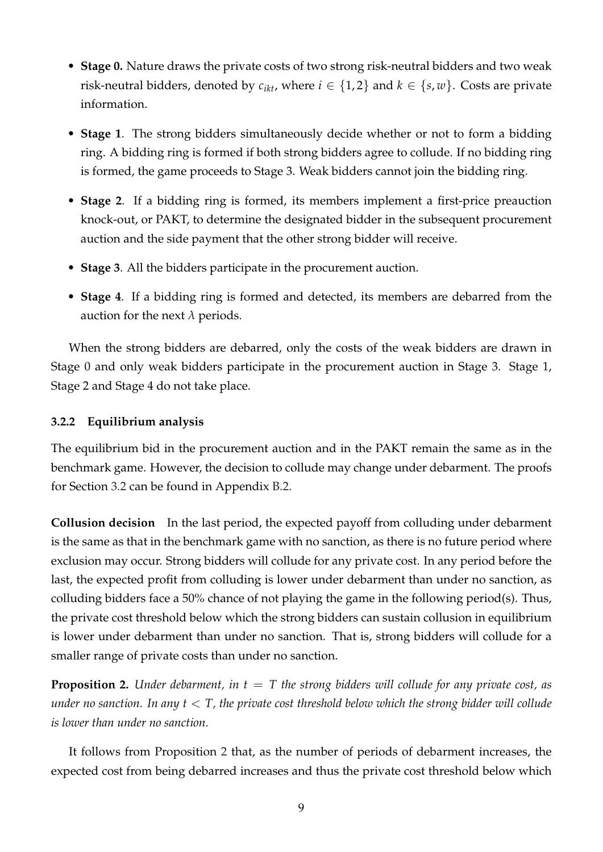- **Stage 0.** Nature draws the private costs of two strong risk-neutral bidders and two weak risk-neutral bidders, denoted by  $c_{ikt}$ , where  $i \in \{1,2\}$  and  $k \in \{s,w\}$ . Costs are private information.
- **Stage 1**. The strong bidders simultaneously decide whether or not to form a bidding ring. A bidding ring is formed if both strong bidders agree to collude. If no bidding ring is formed, the game proceeds to Stage 3. Weak bidders cannot join the bidding ring.
- **Stage 2**. If a bidding ring is formed, its members implement a first-price preauction knock-out, or PAKT, to determine the designated bidder in the subsequent procurement auction and the side payment that the other strong bidder will receive.
- **Stage 3**. All the bidders participate in the procurement auction.
- **Stage 4**. If a bidding ring is formed and detected, its members are debarred from the auction for the next *λ* periods.

When the strong bidders are debarred, only the costs of the weak bidders are drawn in Stage 0 and only weak bidders participate in the procurement auction in Stage 3. Stage 1, Stage 2 and Stage 4 do not take place.

#### **3.2.2 Equilibrium analysis**

The equilibrium bid in the procurement auction and in the PAKT remain the same as in the benchmark game. However, the decision to collude may change under debarment. The proofs for Section [3.2](#page-9-0) can be found in Appendix [B.2.](#page-36-0)

**Collusion decision** In the last period, the expected payoff from colluding under debarment is the same as that in the benchmark game with no sanction, as there is no future period where exclusion may occur. Strong bidders will collude for any private cost. In any period before the last, the expected profit from colluding is lower under debarment than under no sanction, as colluding bidders face a 50% chance of not playing the game in the following period(s). Thus, the private cost threshold below which the strong bidders can sustain collusion in equilibrium is lower under debarment than under no sanction. That is, strong bidders will collude for a smaller range of private costs than under no sanction.

<span id="page-10-0"></span>**Proposition 2.** *Under debarment, in t* = *T the strong bidders will collude for any private cost, as under no sanction. In any t* < *T, the private cost threshold below which the strong bidder will collude is lower than under no sanction.*

It follows from Proposition [2](#page-10-0) that, as the number of periods of debarment increases, the expected cost from being debarred increases and thus the private cost threshold below which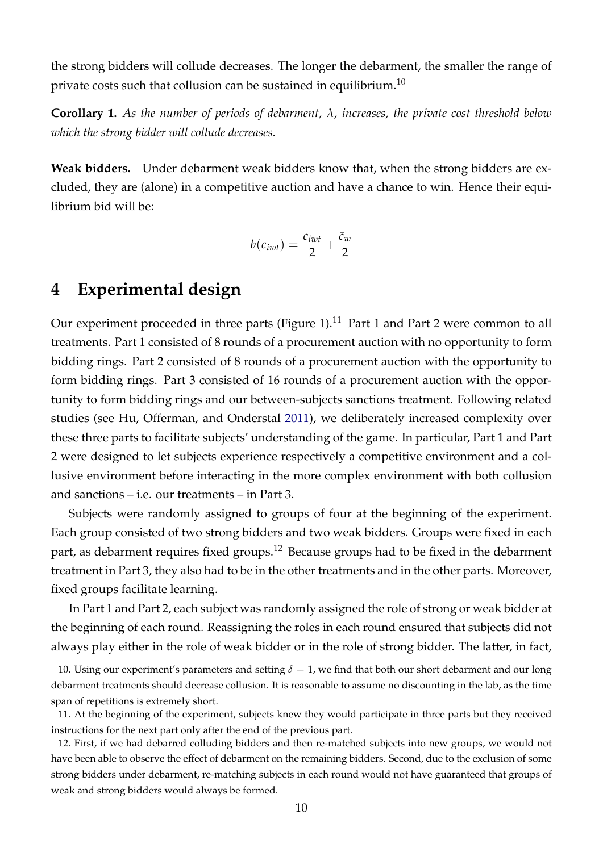the strong bidders will collude decreases. The longer the debarment, the smaller the range of private costs such that collusion can be sustained in equilibrium.<sup>[10](#page-11-1)</sup>

<span id="page-11-4"></span>**Corollary 1.** *As the number of periods of debarment, λ, increases, the private cost threshold below which the strong bidder will collude decreases.*

**Weak bidders.** Under debarment weak bidders know that, when the strong bidders are excluded, they are (alone) in a competitive auction and have a chance to win. Hence their equilibrium bid will be:

$$
b(c_{iwt})=\frac{c_{iwt}}{2}+\frac{\bar{c}_w}{2}
$$

## <span id="page-11-0"></span>**4 Experimental design**

Our experiment proceeded in three parts (Figure [1\)](#page-12-0).<sup>[11](#page-11-2)</sup> Part 1 and Part 2 were common to all treatments. Part 1 consisted of 8 rounds of a procurement auction with no opportunity to form bidding rings. Part 2 consisted of 8 rounds of a procurement auction with the opportunity to form bidding rings. Part 3 consisted of 16 rounds of a procurement auction with the opportunity to form bidding rings and our between-subjects sanctions treatment. Following related studies (see Hu, Offerman, and Onderstal [2011\)](#page-30-4), we deliberately increased complexity over these three parts to facilitate subjects' understanding of the game. In particular, Part 1 and Part 2 were designed to let subjects experience respectively a competitive environment and a collusive environment before interacting in the more complex environment with both collusion and sanctions – i.e. our treatments – in Part 3.

Subjects were randomly assigned to groups of four at the beginning of the experiment. Each group consisted of two strong bidders and two weak bidders. Groups were fixed in each part, as debarment requires fixed groups.<sup>[12](#page-11-3)</sup> Because groups had to be fixed in the debarment treatment in Part 3, they also had to be in the other treatments and in the other parts. Moreover, fixed groups facilitate learning.

In Part 1 and Part 2, each subject was randomly assigned the role of strong or weak bidder at the beginning of each round. Reassigning the roles in each round ensured that subjects did not always play either in the role of weak bidder or in the role of strong bidder. The latter, in fact,

<span id="page-11-1"></span><sup>10.</sup> Using our experiment's parameters and setting  $\delta = 1$ , we find that both our short debarment and our long debarment treatments should decrease collusion. It is reasonable to assume no discounting in the lab, as the time span of repetitions is extremely short.

<span id="page-11-2"></span><sup>11.</sup> At the beginning of the experiment, subjects knew they would participate in three parts but they received instructions for the next part only after the end of the previous part.

<span id="page-11-3"></span><sup>12.</sup> First, if we had debarred colluding bidders and then re-matched subjects into new groups, we would not have been able to observe the effect of debarment on the remaining bidders. Second, due to the exclusion of some strong bidders under debarment, re-matching subjects in each round would not have guaranteed that groups of weak and strong bidders would always be formed.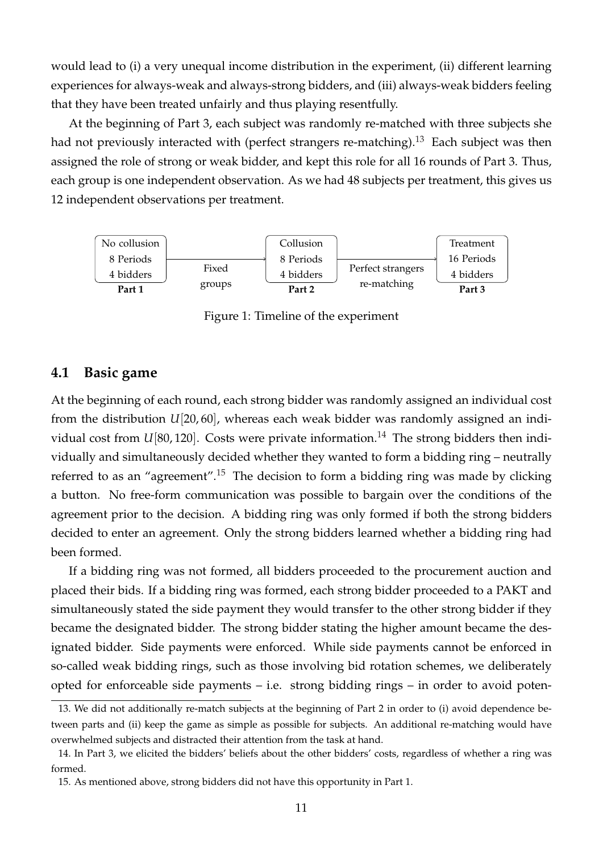would lead to (i) a very unequal income distribution in the experiment, (ii) different learning experiences for always-weak and always-strong bidders, and (iii) always-weak bidders feeling that they have been treated unfairly and thus playing resentfully.

At the beginning of Part 3, each subject was randomly re-matched with three subjects she had not previously interacted with (perfect strangers re-matching). $^{13}$  $^{13}$  $^{13}$  Each subject was then assigned the role of strong or weak bidder, and kept this role for all 16 rounds of Part 3. Thus, each group is one independent observation. As we had 48 subjects per treatment, this gives us 12 independent observations per treatment.

<span id="page-12-0"></span>

Figure 1: Timeline of the experiment

### **4.1 Basic game**

At the beginning of each round, each strong bidder was randomly assigned an individual cost from the distribution *U*[20, 60], whereas each weak bidder was randomly assigned an individual cost from  $U[80, 120]$ . Costs were private information.<sup>[14](#page-12-2)</sup> The strong bidders then individually and simultaneously decided whether they wanted to form a bidding ring – neutrally referred to as an "agreement".<sup>[15](#page-12-3)</sup> The decision to form a bidding ring was made by clicking a button. No free-form communication was possible to bargain over the conditions of the agreement prior to the decision. A bidding ring was only formed if both the strong bidders decided to enter an agreement. Only the strong bidders learned whether a bidding ring had been formed.

If a bidding ring was not formed, all bidders proceeded to the procurement auction and placed their bids. If a bidding ring was formed, each strong bidder proceeded to a PAKT and simultaneously stated the side payment they would transfer to the other strong bidder if they became the designated bidder. The strong bidder stating the higher amount became the designated bidder. Side payments were enforced. While side payments cannot be enforced in so-called weak bidding rings, such as those involving bid rotation schemes, we deliberately opted for enforceable side payments – i.e. strong bidding rings – in order to avoid poten-

<span id="page-12-1"></span><sup>13.</sup> We did not additionally re-match subjects at the beginning of Part 2 in order to (i) avoid dependence between parts and (ii) keep the game as simple as possible for subjects. An additional re-matching would have overwhelmed subjects and distracted their attention from the task at hand.

<span id="page-12-2"></span><sup>14.</sup> In Part 3, we elicited the bidders' beliefs about the other bidders' costs, regardless of whether a ring was formed.

<span id="page-12-3"></span><sup>15.</sup> As mentioned above, strong bidders did not have this opportunity in Part 1.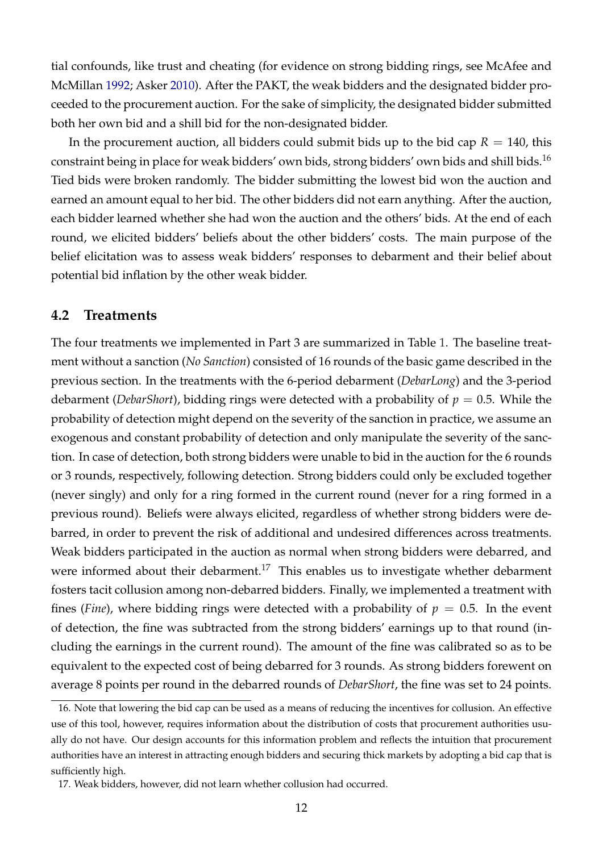tial confounds, like trust and cheating (for evidence on strong bidding rings, see McAfee and McMillan [1992;](#page-31-13) Asker [2010\)](#page-28-5). After the PAKT, the weak bidders and the designated bidder proceeded to the procurement auction. For the sake of simplicity, the designated bidder submitted both her own bid and a shill bid for the non-designated bidder.

In the procurement auction, all bidders could submit bids up to the bid cap  $R = 140$ , this constraint being in place for weak bidders' own bids, strong bidders' own bids and shill bids.<sup>[16](#page-13-0)</sup> Tied bids were broken randomly. The bidder submitting the lowest bid won the auction and earned an amount equal to her bid. The other bidders did not earn anything. After the auction, each bidder learned whether she had won the auction and the others' bids. At the end of each round, we elicited bidders' beliefs about the other bidders' costs. The main purpose of the belief elicitation was to assess weak bidders' responses to debarment and their belief about potential bid inflation by the other weak bidder.

### **4.2 Treatments**

The four treatments we implemented in Part 3 are summarized in Table [1.](#page-14-0) The baseline treatment without a sanction (*No Sanction*) consisted of 16 rounds of the basic game described in the previous section. In the treatments with the 6-period debarment (*DebarLong*) and the 3-period debarment (*DebarShort*), bidding rings were detected with a probability of *p* = 0.5. While the probability of detection might depend on the severity of the sanction in practice, we assume an exogenous and constant probability of detection and only manipulate the severity of the sanction. In case of detection, both strong bidders were unable to bid in the auction for the 6 rounds or 3 rounds, respectively, following detection. Strong bidders could only be excluded together (never singly) and only for a ring formed in the current round (never for a ring formed in a previous round). Beliefs were always elicited, regardless of whether strong bidders were debarred, in order to prevent the risk of additional and undesired differences across treatments. Weak bidders participated in the auction as normal when strong bidders were debarred, and were informed about their debarment.<sup>[17](#page-13-1)</sup> This enables us to investigate whether debarment fosters tacit collusion among non-debarred bidders. Finally, we implemented a treatment with fines (*Fine*), where bidding rings were detected with a probability of  $p = 0.5$ . In the event of detection, the fine was subtracted from the strong bidders' earnings up to that round (including the earnings in the current round). The amount of the fine was calibrated so as to be equivalent to the expected cost of being debarred for 3 rounds. As strong bidders forewent on average 8 points per round in the debarred rounds of *DebarShort*, the fine was set to 24 points.

<span id="page-13-0"></span><sup>16.</sup> Note that lowering the bid cap can be used as a means of reducing the incentives for collusion. An effective use of this tool, however, requires information about the distribution of costs that procurement authorities usually do not have. Our design accounts for this information problem and reflects the intuition that procurement authorities have an interest in attracting enough bidders and securing thick markets by adopting a bid cap that is sufficiently high.

<span id="page-13-1"></span><sup>17.</sup> Weak bidders, however, did not learn whether collusion had occurred.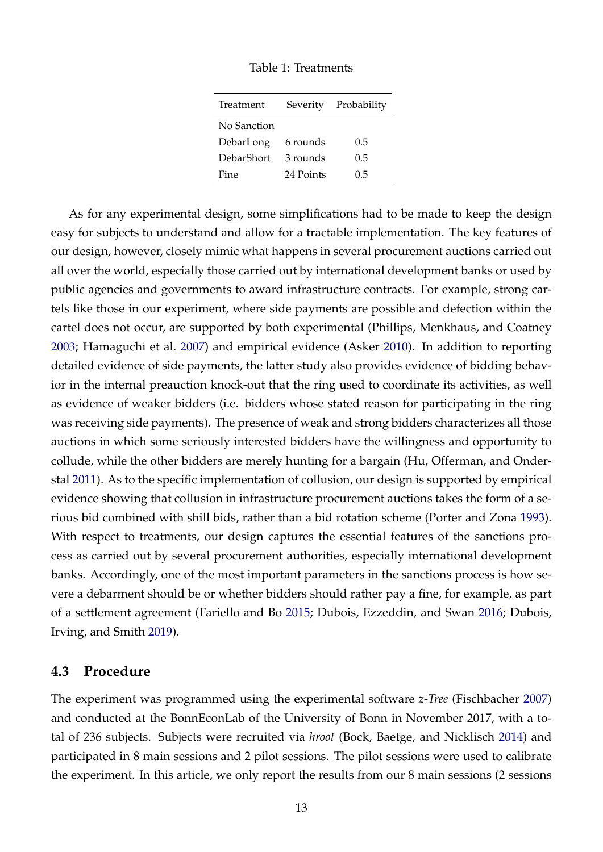| Treatment   |           | Severity Probability |
|-------------|-----------|----------------------|
| No Sanction |           |                      |
| DebarLong   | 6 rounds  | 0.5                  |
| DebarShort  | 3 rounds  | 0.5                  |
| Fine        | 24 Points | 0.5                  |

Table 1: Treatments

<span id="page-14-0"></span>As for any experimental design, some simplifications had to be made to keep the design easy for subjects to understand and allow for a tractable implementation. The key features of our design, however, closely mimic what happens in several procurement auctions carried out all over the world, especially those carried out by international development banks or used by public agencies and governments to award infrastructure contracts. For example, strong cartels like those in our experiment, where side payments are possible and defection within the cartel does not occur, are supported by both experimental (Phillips, Menkhaus, and Coatney [2003;](#page-32-15) Hamaguchi et al. [2007\)](#page-30-7) and empirical evidence (Asker [2010\)](#page-28-5). In addition to reporting detailed evidence of side payments, the latter study also provides evidence of bidding behavior in the internal preauction knock-out that the ring used to coordinate its activities, as well as evidence of weaker bidders (i.e. bidders whose stated reason for participating in the ring was receiving side payments). The presence of weak and strong bidders characterizes all those auctions in which some seriously interested bidders have the willingness and opportunity to collude, while the other bidders are merely hunting for a bargain (Hu, Offerman, and Onderstal [2011\)](#page-30-4). As to the specific implementation of collusion, our design is supported by empirical evidence showing that collusion in infrastructure procurement auctions takes the form of a serious bid combined with shill bids, rather than a bid rotation scheme (Porter and Zona [1993\)](#page-32-7). With respect to treatments, our design captures the essential features of the sanctions process as carried out by several procurement authorities, especially international development banks. Accordingly, one of the most important parameters in the sanctions process is how severe a debarment should be or whether bidders should rather pay a fine, for example, as part of a settlement agreement (Fariello and Bo [2015;](#page-30-0) Dubois, Ezzeddin, and Swan [2016;](#page-29-9) Dubois, Irving, and Smith [2019\)](#page-29-0).

### **4.3 Procedure**

The experiment was programmed using the experimental software *z-Tree* (Fischbacher [2007\)](#page-30-9) and conducted at the BonnEconLab of the University of Bonn in November 2017, with a total of 236 subjects. Subjects were recruited via *hroot* (Bock, Baetge, and Nicklisch [2014\)](#page-29-10) and participated in 8 main sessions and 2 pilot sessions. The pilot sessions were used to calibrate the experiment. In this article, we only report the results from our 8 main sessions (2 sessions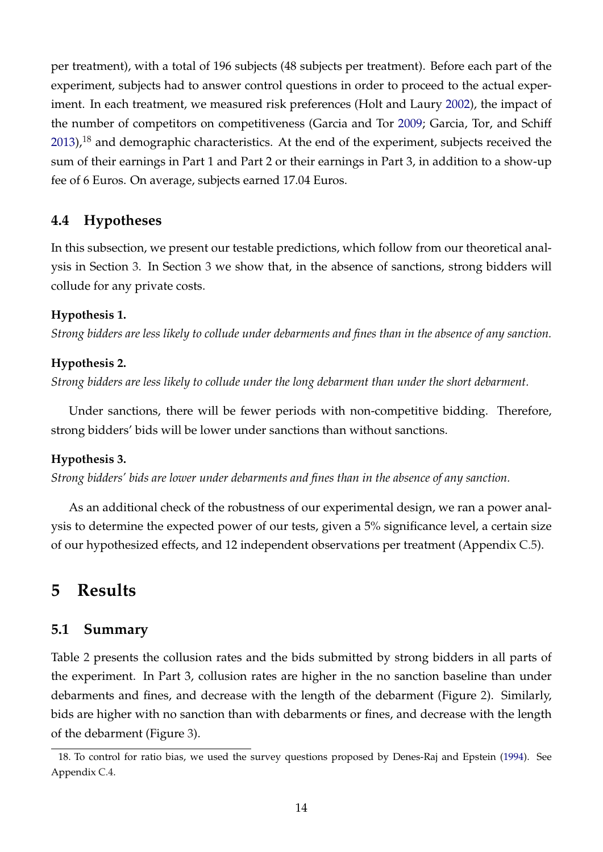per treatment), with a total of 196 subjects (48 subjects per treatment). Before each part of the experiment, subjects had to answer control questions in order to proceed to the actual experiment. In each treatment, we measured risk preferences (Holt and Laury [2002\)](#page-30-10), the impact of the number of competitors on competitiveness (Garcia and Tor [2009;](#page-30-11) Garcia, Tor, and Schiff [2013\)](#page-30-12), $^{18}$  $^{18}$  $^{18}$  and demographic characteristics. At the end of the experiment, subjects received the sum of their earnings in Part 1 and Part 2 or their earnings in Part 3, in addition to a show-up fee of 6 Euros. On average, subjects earned 17.04 Euros.

## **4.4 Hypotheses**

In this subsection, we present our testable predictions, which follow from our theoretical analysis in Section [3.](#page-6-0) In Section [3](#page-6-0) we show that, in the absence of sanctions, strong bidders will collude for any private costs.

#### <span id="page-15-2"></span>**Hypothesis 1.**

*Strong bidders are less likely to collude under debarments and fines than in the absence of any sanction.*

#### <span id="page-15-3"></span>**Hypothesis 2.**

*Strong bidders are less likely to collude under the long debarment than under the short debarment.*

Under sanctions, there will be fewer periods with non-competitive bidding. Therefore, strong bidders' bids will be lower under sanctions than without sanctions.

#### <span id="page-15-4"></span>**Hypothesis 3.**

*Strong bidders' bids are lower under debarments and fines than in the absence of any sanction.*

As an additional check of the robustness of our experimental design, we ran a power analysis to determine the expected power of our tests, given a 5% significance level, a certain size of our hypothesized effects, and 12 independent observations per treatment (Appendix [C.5\)](#page-41-0).

## <span id="page-15-0"></span>**5 Results**

### **5.1 Summary**

Table [2](#page-16-0) presents the collusion rates and the bids submitted by strong bidders in all parts of the experiment. In Part 3, collusion rates are higher in the no sanction baseline than under debarments and fines, and decrease with the length of the debarment (Figure [2\)](#page-16-1). Similarly, bids are higher with no sanction than with debarments or fines, and decrease with the length of the debarment (Figure [3\)](#page-17-0).

<span id="page-15-1"></span><sup>18.</sup> To control for ratio bias, we used the survey questions proposed by Denes-Raj and Epstein [\(1994\)](#page-29-11). See Appendix [C.4.](#page-41-1)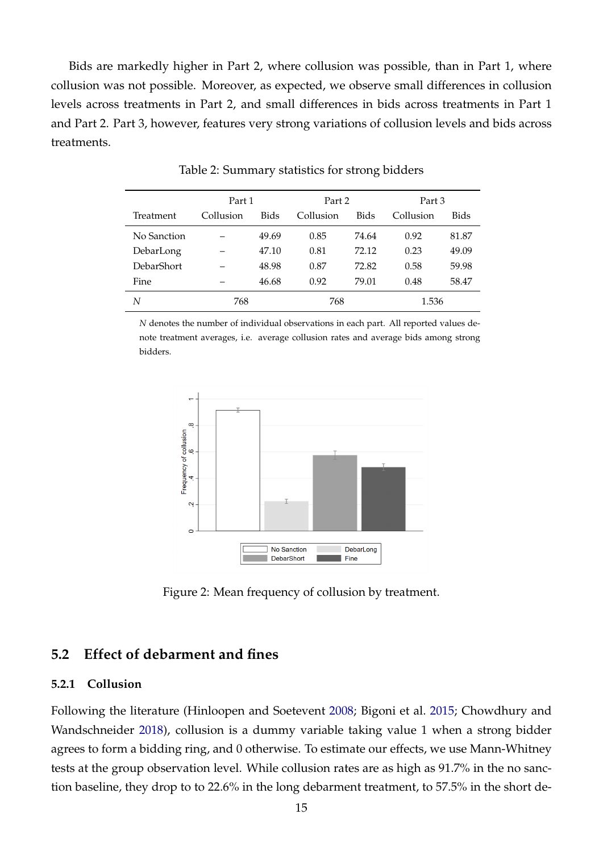Bids are markedly higher in Part 2, where collusion was possible, than in Part 1, where collusion was not possible. Moreover, as expected, we observe small differences in collusion levels across treatments in Part 2, and small differences in bids across treatments in Part 1 and Part 2. Part 3, however, features very strong variations of collusion levels and bids across treatments.

<span id="page-16-0"></span>

|                   | Part 1    |       | Part 2    |       | Part 3    |       |
|-------------------|-----------|-------|-----------|-------|-----------|-------|
| Treatment         | Collusion | Bids  | Collusion | Bids  | Collusion | Bids  |
| No Sanction       |           | 49.69 | 0.85      | 74.64 | 0.92      | 81.87 |
| DebarLong         |           | 47.10 | 0.81      | 72.12 | 0.23      | 49.09 |
| <b>DebarShort</b> |           | 48.98 | 0.87      | 72.82 | 0.58      | 59.98 |
| Fine              |           | 46.68 | 0.92      | 79.01 | 0.48      | 58.47 |
| N                 | 768       |       | 768       |       | 1.536     |       |

Table 2: Summary statistics for strong bidders

<span id="page-16-1"></span>*N* denotes the number of individual observations in each part. All reported values denote treatment averages, i.e. average collusion rates and average bids among strong bidders.



Figure 2: Mean frequency of collusion by treatment.

## **5.2 Effect of debarment and fines**

#### **5.2.1 Collusion**

Following the literature (Hinloopen and Soetevent [2008;](#page-30-13) Bigoni et al. [2015;](#page-29-6) Chowdhury and Wandschneider [2018\)](#page-29-12), collusion is a dummy variable taking value 1 when a strong bidder agrees to form a bidding ring, and 0 otherwise. To estimate our effects, we use Mann-Whitney tests at the group observation level. While collusion rates are as high as 91.7% in the no sanction baseline, they drop to to 22.6% in the long debarment treatment, to 57.5% in the short de-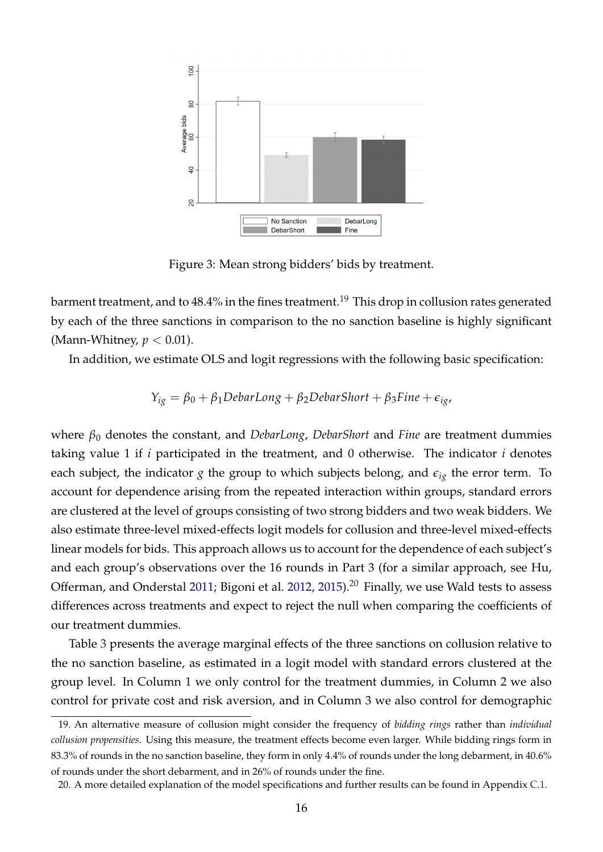<span id="page-17-0"></span>

Figure 3: Mean strong bidders' bids by treatment.

barment treatment, and to  $48.4\%$  in the fines treatment.<sup>[19](#page-17-1)</sup> This drop in collusion rates generated by each of the three sanctions in comparison to the no sanction baseline is highly significant (Mann-Whitney, *p* < 0.01).

In addition, we estimate OLS and logit regressions with the following basic specification:

$$
Y_{ig} = \beta_0 + \beta_1 DebarLong + \beta_2 DebarShort + \beta_3 Fine + \epsilon_{ig},
$$

where *β*<sup>0</sup> denotes the constant, and *DebarLong*, *DebarShort* and *Fine* are treatment dummies taking value 1 if *i* participated in the treatment, and 0 otherwise. The indicator *i* denotes each subject, the indicator *g* the group to which subjects belong, and  $\epsilon_{i\varrho}$  the error term. To account for dependence arising from the repeated interaction within groups, standard errors are clustered at the level of groups consisting of two strong bidders and two weak bidders. We also estimate three-level mixed-effects logit models for collusion and three-level mixed-effects linear models for bids. This approach allows us to account for the dependence of each subject's and each group's observations over the 16 rounds in Part 3 (for a similar approach, see Hu, Offerman, and Onderstal [2011;](#page-30-4) Bigoni et al. [2012,](#page-29-5) [2015\)](#page-29-6).<sup>[20](#page-17-2)</sup> Finally, we use Wald tests to assess differences across treatments and expect to reject the null when comparing the coefficients of our treatment dummies.

Table [3](#page-18-0) presents the average marginal effects of the three sanctions on collusion relative to the no sanction baseline, as estimated in a logit model with standard errors clustered at the group level. In Column 1 we only control for the treatment dummies, in Column 2 we also control for private cost and risk aversion, and in Column 3 we also control for demographic

<span id="page-17-1"></span><sup>19.</sup> An alternative measure of collusion might consider the frequency of *bidding rings* rather than *individual collusion propensities*. Using this measure, the treatment effects become even larger. While bidding rings form in 83.3% of rounds in the no sanction baseline, they form in only 4.4% of rounds under the long debarment, in 40.6% of rounds under the short debarment, and in 26% of rounds under the fine.

<span id="page-17-2"></span><sup>20.</sup> A more detailed explanation of the model specifications and further results can be found in Appendix [C.1.](#page-38-0)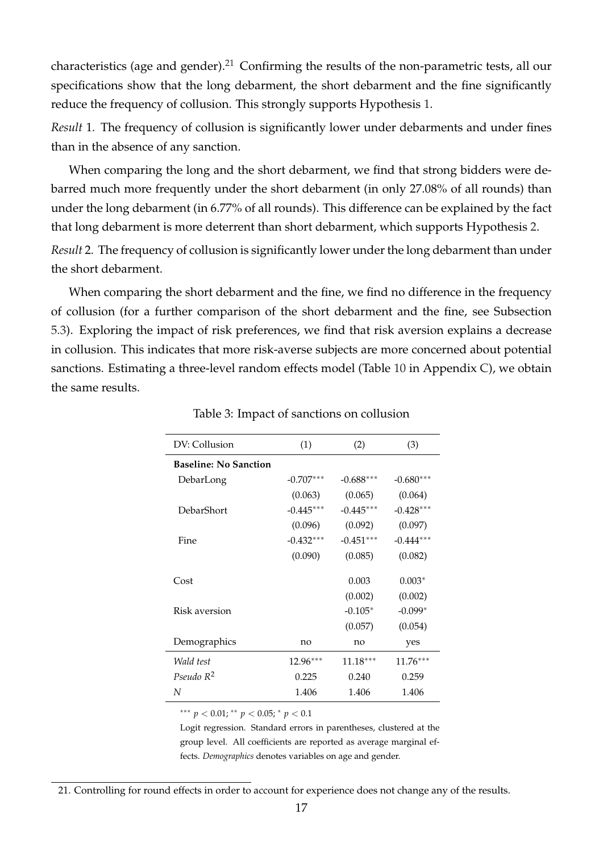characteristics (age and gender).<sup>[21](#page-18-1)</sup> Confirming the results of the non-parametric tests, all our specifications show that the long debarment, the short debarment and the fine significantly reduce the frequency of collusion. This strongly supports Hypothesis [1.](#page-15-2)

*Result* 1*.* The frequency of collusion is significantly lower under debarments and under fines than in the absence of any sanction.

When comparing the long and the short debarment, we find that strong bidders were debarred much more frequently under the short debarment (in only 27.08% of all rounds) than under the long debarment (in 6.77% of all rounds). This difference can be explained by the fact that long debarment is more deterrent than short debarment, which supports Hypothesis [2.](#page-15-3)

*Result* 2*.* The frequency of collusion is significantly lower under the long debarment than under the short debarment.

<span id="page-18-0"></span>When comparing the short debarment and the fine, we find no difference in the frequency of collusion (for a further comparison of the short debarment and the fine, see Subsection [5.3\)](#page-20-0). Exploring the impact of risk preferences, we find that risk aversion explains a decrease in collusion. This indicates that more risk-averse subjects are more concerned about potential sanctions. Estimating a three-level random effects model (Table [10](#page-39-0) in Appendix [C\)](#page-38-1), we obtain the same results.

| DV: Collusion                | (1)         | (2)         | (3)         |
|------------------------------|-------------|-------------|-------------|
| <b>Baseline: No Sanction</b> |             |             |             |
| DebarLong                    | $-0.707***$ | $-0.688***$ | $-0.680***$ |
|                              | (0.063)     | (0.065)     | (0.064)     |
| DebarShort                   | $-0.445***$ | $-0.445***$ | $-0.428***$ |
|                              | (0.096)     | (0.092)     | (0.097)     |
| Fine                         | $-0.432***$ | $-0.451***$ | $-0.444***$ |
|                              | (0.090)     | (0.085)     | (0.082)     |
|                              |             |             |             |
| Cost                         |             | 0.003       | $0.003*$    |
|                              |             | (0.002)     | (0.002)     |
| Risk aversion                |             | $-0.105*$   | $-0.099*$   |
|                              |             | (0.057)     | (0.054)     |
| Demographics                 | no          | no          | yes         |
| Wald test                    | $12.96***$  | $11.18***$  | $11.76***$  |
| Pseudo $R^2$                 | 0.225       | 0.240       | 0.259       |
| N                            | 1.406       | 1.406       | 1.406       |

Table 3: Impact of sanctions on collusion

∗∗∗ *p* < 0.01; ∗∗ *p* < 0.05; <sup>∗</sup> *p* < 0.1

Logit regression. Standard errors in parentheses, clustered at the group level. All coefficients are reported as average marginal effects. *Demographics* denotes variables on age and gender.

<span id="page-18-1"></span><sup>21.</sup> Controlling for round effects in order to account for experience does not change any of the results.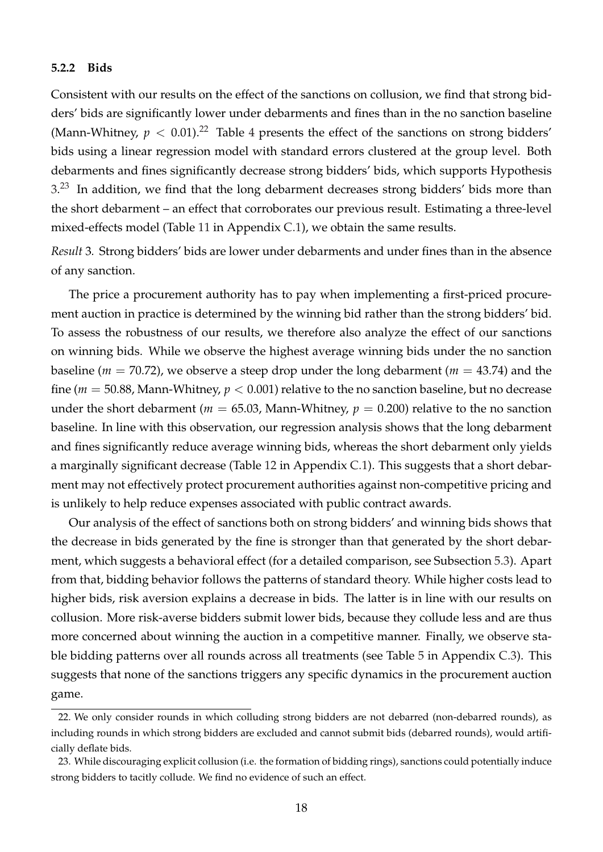#### **5.2.2 Bids**

Consistent with our results on the effect of the sanctions on collusion, we find that strong bidders' bids are significantly lower under debarments and fines than in the no sanction baseline (Mann-Whitney,  $p < 0.01$ ).<sup>[22](#page-19-0)</sup> Table [4](#page-20-1) presents the effect of the sanctions on strong bidders' bids using a linear regression model with standard errors clustered at the group level. Both debarments and fines significantly decrease strong bidders' bids, which supports Hypothesis  $3.^{23}$  $3.^{23}$  $3.^{23}$  $3.^{23}$  In addition, we find that the long debarment decreases strong bidders' bids more than the short debarment – an effect that corroborates our previous result. Estimating a three-level mixed-effects model (Table [11](#page-39-1) in Appendix [C.1\)](#page-38-0), we obtain the same results.

*Result* 3*.* Strong bidders' bids are lower under debarments and under fines than in the absence of any sanction.

The price a procurement authority has to pay when implementing a first-priced procurement auction in practice is determined by the winning bid rather than the strong bidders' bid. To assess the robustness of our results, we therefore also analyze the effect of our sanctions on winning bids. While we observe the highest average winning bids under the no sanction baseline (*m* = 70.72), we observe a steep drop under the long debarment (*m* = 43.74) and the fine ( $m = 50.88$ , Mann-Whitney,  $p < 0.001$ ) relative to the no sanction baseline, but no decrease under the short debarment ( $m = 65.03$ , Mann-Whitney,  $p = 0.200$ ) relative to the no sanction baseline. In line with this observation, our regression analysis shows that the long debarment and fines significantly reduce average winning bids, whereas the short debarment only yields a marginally significant decrease (Table [12](#page-40-0) in Appendix [C.1\)](#page-38-0). This suggests that a short debarment may not effectively protect procurement authorities against non-competitive pricing and is unlikely to help reduce expenses associated with public contract awards.

Our analysis of the effect of sanctions both on strong bidders' and winning bids shows that the decrease in bids generated by the fine is stronger than that generated by the short debarment, which suggests a behavioral effect (for a detailed comparison, see Subsection [5.3\)](#page-20-0). Apart from that, bidding behavior follows the patterns of standard theory. While higher costs lead to higher bids, risk aversion explains a decrease in bids. The latter is in line with our results on collusion. More risk-averse bidders submit lower bids, because they collude less and are thus more concerned about winning the auction in a competitive manner. Finally, we observe stable bidding patterns over all rounds across all treatments (see Table [5](#page-41-2) in Appendix [C.3\)](#page-38-2). This suggests that none of the sanctions triggers any specific dynamics in the procurement auction game.

<span id="page-19-0"></span><sup>22.</sup> We only consider rounds in which colluding strong bidders are not debarred (non-debarred rounds), as including rounds in which strong bidders are excluded and cannot submit bids (debarred rounds), would artificially deflate bids.

<span id="page-19-1"></span><sup>23.</sup> While discouraging explicit collusion (i.e. the formation of bidding rings), sanctions could potentially induce strong bidders to tacitly collude. We find no evidence of such an effect.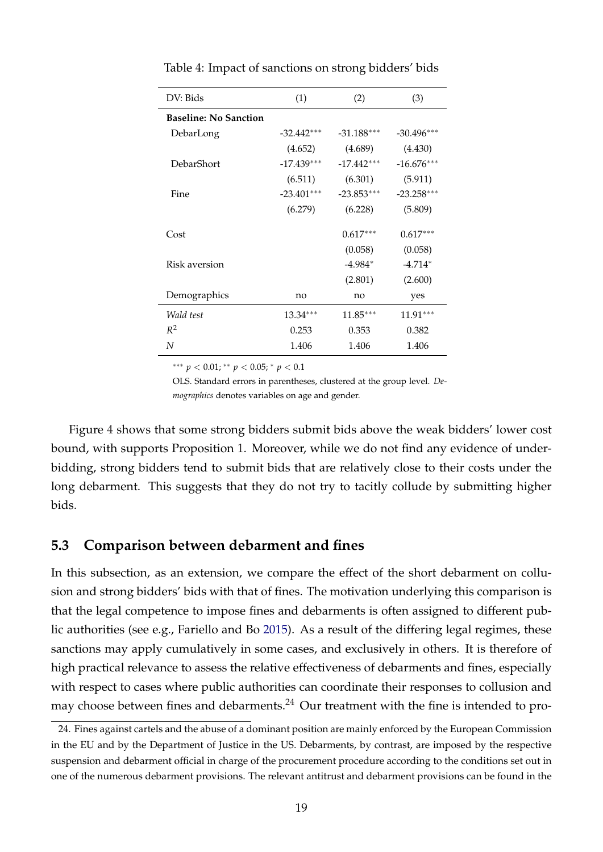| DV: Bids                     | (1)          | (2)          | (3)          |
|------------------------------|--------------|--------------|--------------|
| <b>Baseline: No Sanction</b> |              |              |              |
| DebarLong                    | $-32.442***$ | $-31.188***$ | $-30.496***$ |
|                              | (4.652)      | (4.689)      | (4.430)      |
| DebarShort                   | $-17.439***$ | $-17.442***$ | $-16.676***$ |
|                              | (6.511)      | (6.301)      | (5.911)      |
| Fine                         | $-23.401***$ | $-23.853***$ | $-23.258***$ |
|                              | (6.279)      | (6.228)      | (5.809)      |
| Cost                         |              | $0.617***$   | $0.617***$   |
|                              |              | (0.058)      | (0.058)      |
| Risk aversion                |              | -4.984*      | $-4.714*$    |
|                              |              | (2.801)      | (2.600)      |
| Demographics                 | no           | no           | yes          |
| Wald test                    | $13.34***$   | $11.85***$   | $11.91***$   |
| $R^2$                        | 0.253        | 0.353        | 0.382        |
| N                            | 1.406        | 1.406        | 1.406        |

<span id="page-20-1"></span>Table 4: Impact of sanctions on strong bidders' bids

∗∗∗ *p* < 0.01; ∗∗ *p* < 0.05; <sup>∗</sup> *p* < 0.1

OLS. Standard errors in parentheses, clustered at the group level. *Demographics* denotes variables on age and gender.

Figure [4](#page-21-0) shows that some strong bidders submit bids above the weak bidders' lower cost bound, with supports Proposition [1.](#page-9-2) Moreover, while we do not find any evidence of underbidding, strong bidders tend to submit bids that are relatively close to their costs under the long debarment. This suggests that they do not try to tacitly collude by submitting higher bids.

### <span id="page-20-0"></span>**5.3 Comparison between debarment and fines**

In this subsection, as an extension, we compare the effect of the short debarment on collusion and strong bidders' bids with that of fines. The motivation underlying this comparison is that the legal competence to impose fines and debarments is often assigned to different public authorities (see e.g., Fariello and Bo [2015\)](#page-30-0). As a result of the differing legal regimes, these sanctions may apply cumulatively in some cases, and exclusively in others. It is therefore of high practical relevance to assess the relative effectiveness of debarments and fines, especially with respect to cases where public authorities can coordinate their responses to collusion and may choose between fines and debarments.<sup>[24](#page-20-2)</sup> Our treatment with the fine is intended to pro-

<span id="page-20-2"></span><sup>24.</sup> Fines against cartels and the abuse of a dominant position are mainly enforced by the European Commission in the EU and by the Department of Justice in the US. Debarments, by contrast, are imposed by the respective suspension and debarment official in charge of the procurement procedure according to the conditions set out in one of the numerous debarment provisions. The relevant antitrust and debarment provisions can be found in the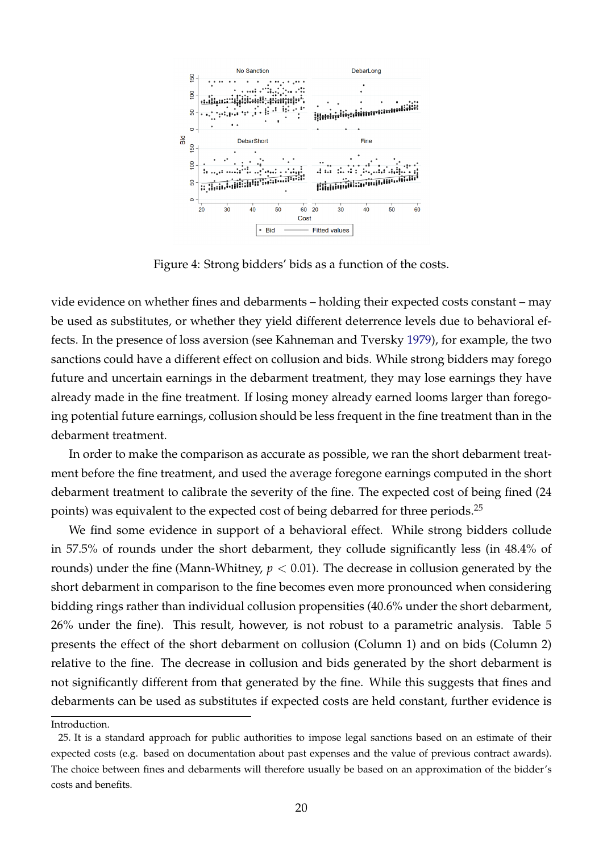<span id="page-21-0"></span>

Figure 4: Strong bidders' bids as a function of the costs.

vide evidence on whether fines and debarments – holding their expected costs constant – may be used as substitutes, or whether they yield different deterrence levels due to behavioral effects. In the presence of loss aversion (see Kahneman and Tversky [1979\)](#page-31-14), for example, the two sanctions could have a different effect on collusion and bids. While strong bidders may forego future and uncertain earnings in the debarment treatment, they may lose earnings they have already made in the fine treatment. If losing money already earned looms larger than foregoing potential future earnings, collusion should be less frequent in the fine treatment than in the debarment treatment.

In order to make the comparison as accurate as possible, we ran the short debarment treatment before the fine treatment, and used the average foregone earnings computed in the short debarment treatment to calibrate the severity of the fine. The expected cost of being fined (24 points) was equivalent to the expected cost of being debarred for three periods.<sup>[25](#page-21-1)</sup>

We find some evidence in support of a behavioral effect. While strong bidders collude in 57.5% of rounds under the short debarment, they collude significantly less (in 48.4% of rounds) under the fine (Mann-Whitney, *p* < 0.01). The decrease in collusion generated by the short debarment in comparison to the fine becomes even more pronounced when considering bidding rings rather than individual collusion propensities (40.6% under the short debarment, 26% under the fine). This result, however, is not robust to a parametric analysis. Table [5](#page-22-0) presents the effect of the short debarment on collusion (Column 1) and on bids (Column 2) relative to the fine. The decrease in collusion and bids generated by the short debarment is not significantly different from that generated by the fine. While this suggests that fines and debarments can be used as substitutes if expected costs are held constant, further evidence is

<span id="page-21-1"></span>Introduction.

<sup>25.</sup> It is a standard approach for public authorities to impose legal sanctions based on an estimate of their expected costs (e.g. based on documentation about past expenses and the value of previous contract awards). The choice between fines and debarments will therefore usually be based on an approximation of the bidder's costs and benefits.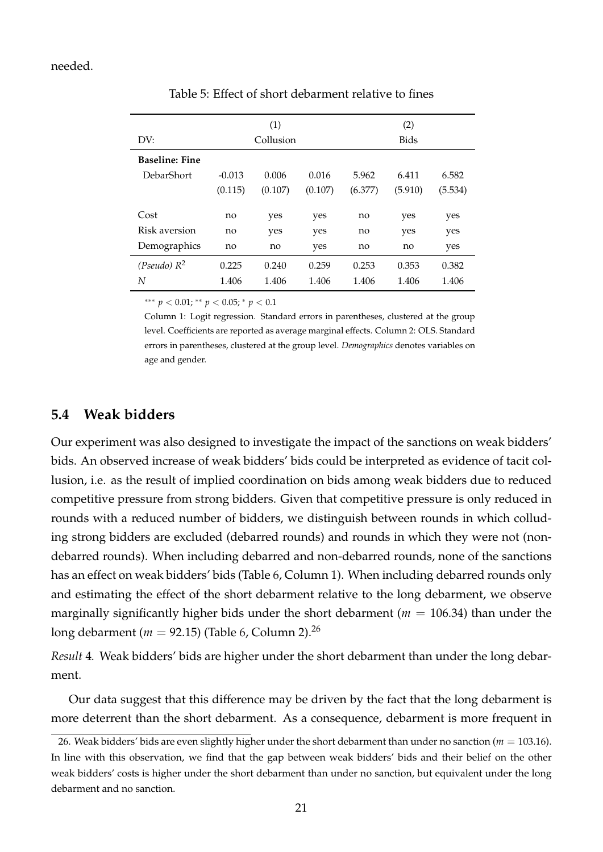#### <span id="page-22-0"></span>needed.

| DV:                   | (1)<br>Collusion |         |         | (2)<br><b>Bids</b> |         |         |  |
|-----------------------|------------------|---------|---------|--------------------|---------|---------|--|
| <b>Baseline: Fine</b> |                  |         |         |                    |         |         |  |
| DebarShort            | $-0.013$         | 0.006   | 0.016   | 5.962              | 6.411   | 6.582   |  |
|                       | (0.115)          | (0.107) | (0.107) | (6.377)            | (5.910) | (5.534) |  |
|                       |                  |         |         |                    |         |         |  |
| Cost                  | no               | yes     | yes     | no                 | yes     | yes     |  |
| Risk aversion         | no               | yes     | yes     | no                 | yes     | yes     |  |
| Demographics          | no               | no      | yes     | no                 | no      | yes     |  |
| (Pseudo) $R^2$        | 0.225            | 0.240   | 0.259   | 0.253              | 0.353   | 0.382   |  |
| N                     | 1.406            | 1.406   | 1.406   | 1.406              | 1.406   | 1.406   |  |

Table 5: Effect of short debarment relative to fines

∗∗∗ *p* < 0.01; ∗∗ *p* < 0.05; <sup>∗</sup> *p* < 0.1

Column 1: Logit regression. Standard errors in parentheses, clustered at the group level. Coefficients are reported as average marginal effects. Column 2: OLS. Standard errors in parentheses, clustered at the group level. *Demographics* denotes variables on age and gender.

### **5.4 Weak bidders**

Our experiment was also designed to investigate the impact of the sanctions on weak bidders' bids. An observed increase of weak bidders' bids could be interpreted as evidence of tacit collusion, i.e. as the result of implied coordination on bids among weak bidders due to reduced competitive pressure from strong bidders. Given that competitive pressure is only reduced in rounds with a reduced number of bidders, we distinguish between rounds in which colluding strong bidders are excluded (debarred rounds) and rounds in which they were not (nondebarred rounds). When including debarred and non-debarred rounds, none of the sanctions has an effect on weak bidders' bids (Table [6,](#page-23-0) Column 1). When including debarred rounds only and estimating the effect of the short debarment relative to the long debarment, we observe marginally significantly higher bids under the short debarment ( $m = 106.34$ ) than under the long debarment (*m* = 92.15) (Table [6,](#page-23-0) Column 2).[26](#page-22-1)

*Result* 4*.* Weak bidders' bids are higher under the short debarment than under the long debarment.

Our data suggest that this difference may be driven by the fact that the long debarment is more deterrent than the short debarment. As a consequence, debarment is more frequent in

<span id="page-22-1"></span><sup>26.</sup> Weak bidders' bids are even slightly higher under the short debarment than under no sanction (*m* = 103.16). In line with this observation, we find that the gap between weak bidders' bids and their belief on the other weak bidders' costs is higher under the short debarment than under no sanction, but equivalent under the long debarment and no sanction.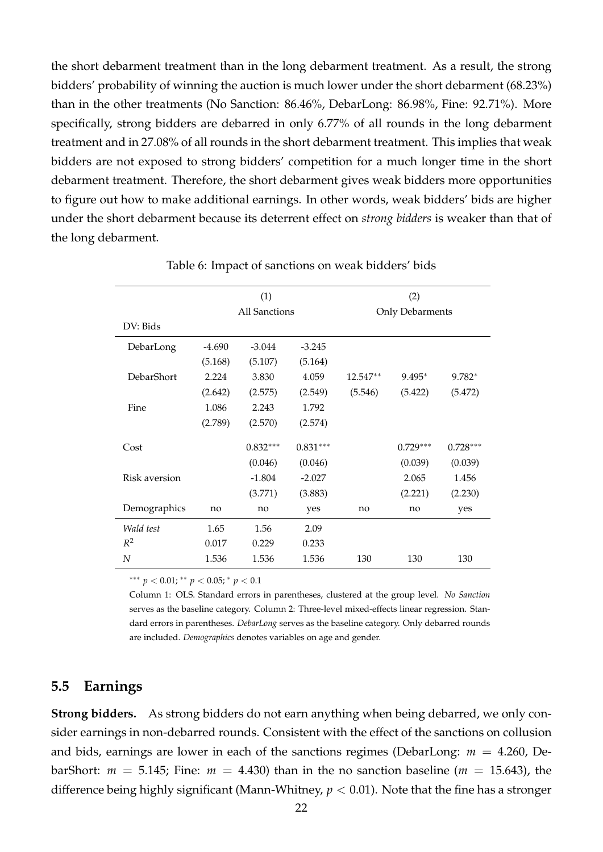the short debarment treatment than in the long debarment treatment. As a result, the strong bidders' probability of winning the auction is much lower under the short debarment (68.23%) than in the other treatments (No Sanction: 86.46%, DebarLong: 86.98%, Fine: 92.71%). More specifically, strong bidders are debarred in only 6.77% of all rounds in the long debarment treatment and in 27.08% of all rounds in the short debarment treatment. This implies that weak bidders are not exposed to strong bidders' competition for a much longer time in the short debarment treatment. Therefore, the short debarment gives weak bidders more opportunities to figure out how to make additional earnings. In other words, weak bidders' bids are higher under the short debarment because its deterrent effect on *strong bidders* is weaker than that of the long debarment.

<span id="page-23-0"></span>

|               |          | (1)                  |            | (2)      |                 |            |
|---------------|----------|----------------------|------------|----------|-----------------|------------|
|               |          | <b>All Sanctions</b> |            |          | Only Debarments |            |
| DV: Bids      |          |                      |            |          |                 |            |
| DebarLong     | $-4.690$ | $-3.044$             | $-3.245$   |          |                 |            |
|               | (5.168)  | (5.107)              | (5.164)    |          |                 |            |
| DebarShort    | 2.224    | 3.830                | 4.059      | 12.547** | $9.495*$        | $9.782*$   |
|               | (2.642)  | (2.575)              | (2.549)    | (5.546)  | (5.422)         | (5.472)    |
| Fine          | 1.086    | 2.243                | 1.792      |          |                 |            |
|               | (2.789)  | (2.570)              | (2.574)    |          |                 |            |
| Cost          |          | $0.832***$           | $0.831***$ |          | $0.729***$      | $0.728***$ |
|               |          | (0.046)              | (0.046)    |          | (0.039)         | (0.039)    |
| Risk aversion |          | $-1.804$             | $-2.027$   |          | 2.065           | 1.456      |
|               |          | (3.771)              | (3.883)    |          | (2.221)         | (2.230)    |
| Demographics  | no       | no                   | yes        | no       | no              | yes        |
| Wald test     | 1.65     | 1.56                 | 2.09       |          |                 |            |
| $R^2$         | 0.017    | 0.229                | 0.233      |          |                 |            |
| N             | 1.536    | 1.536                | 1.536      | 130      | 130             | 130        |

Table 6: Impact of sanctions on weak bidders' bids

∗∗∗ *p* < 0.01; ∗∗ *p* < 0.05; <sup>∗</sup> *p* < 0.1

Column 1: OLS. Standard errors in parentheses, clustered at the group level. *No Sanction* serves as the baseline category. Column 2: Three-level mixed-effects linear regression. Standard errors in parentheses. *DebarLong* serves as the baseline category. Only debarred rounds are included. *Demographics* denotes variables on age and gender.

### **5.5 Earnings**

**Strong bidders.** As strong bidders do not earn anything when being debarred, we only consider earnings in non-debarred rounds. Consistent with the effect of the sanctions on collusion and bids, earnings are lower in each of the sanctions regimes (DebarLong: *m* = 4.260, DebarShort:  $m = 5.145$ ; Fine:  $m = 4.430$ ) than in the no sanction baseline ( $m = 15.643$ ), the difference being highly significant (Mann-Whitney, *p* < 0.01). Note that the fine has a stronger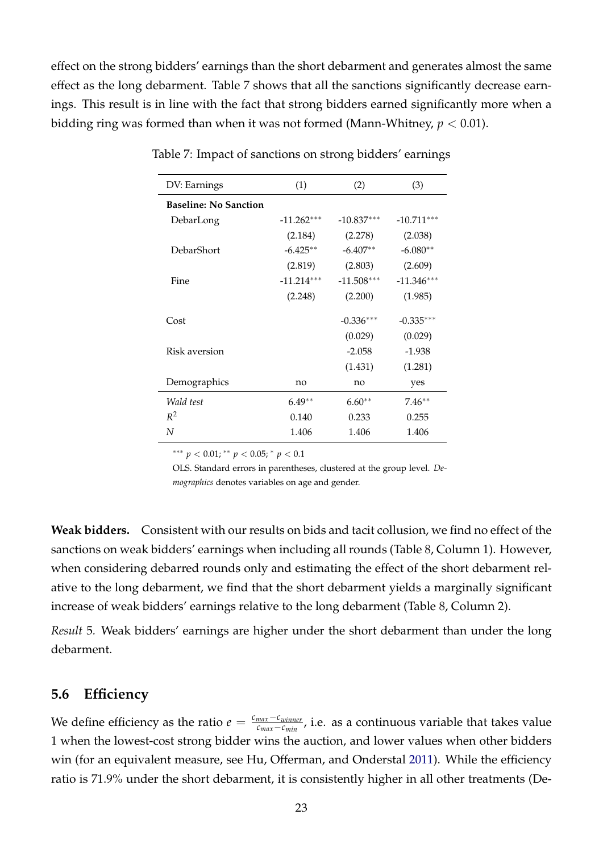<span id="page-24-0"></span>effect on the strong bidders' earnings than the short debarment and generates almost the same effect as the long debarment. Table [7](#page-24-0) shows that all the sanctions significantly decrease earnings. This result is in line with the fact that strong bidders earned significantly more when a bidding ring was formed than when it was not formed (Mann-Whitney, *p* < 0.01).

| DV: Earnings                 | (1)          | (2)          | (3)          |
|------------------------------|--------------|--------------|--------------|
| <b>Baseline: No Sanction</b> |              |              |              |
| DebarLong                    | $-11.262***$ | $-10.837***$ | $-10.711***$ |
|                              | (2.184)      | (2.278)      | (2.038)      |
| DebarShort                   | $-6.425**$   | $-6.407**$   | $-6.080**$   |
|                              | (2.819)      | (2.803)      | (2.609)      |
| Fine                         | $-11.214***$ | $-11.508***$ | $-11.346***$ |
|                              | (2.248)      | (2.200)      | (1.985)      |
| Cost                         |              | $-0.336***$  | $-0.335***$  |
|                              |              |              |              |
|                              |              | (0.029)      | (0.029)      |
| Risk aversion                |              | $-2.058$     | $-1.938$     |
|                              |              | (1.431)      | (1.281)      |
| Demographics                 | no           | no           | yes          |
| Wald test                    | $6.49**$     | $6.60**$     | $7.46**$     |
| $R^2$                        | 0.140        | 0.233        | 0.255        |
| N                            | 1.406        | 1.406        | 1.406        |

Table 7: Impact of sanctions on strong bidders' earnings

∗∗∗ *p* < 0.01; ∗∗ *p* < 0.05; <sup>∗</sup> *p* < 0.1

OLS. Standard errors in parentheses, clustered at the group level. *Demographics* denotes variables on age and gender.

**Weak bidders.** Consistent with our results on bids and tacit collusion, we find no effect of the sanctions on weak bidders' earnings when including all rounds (Table [8,](#page-25-0) Column 1). However, when considering debarred rounds only and estimating the effect of the short debarment relative to the long debarment, we find that the short debarment yields a marginally significant increase of weak bidders' earnings relative to the long debarment (Table [8,](#page-25-0) Column 2).

*Result* 5*.* Weak bidders' earnings are higher under the short debarment than under the long debarment.

### **5.6 Efficiency**

We define efficiency as the ratio  $e = \frac{c_{max} - c_{winner}}{c_{max} - c_{winner}}$ *max<sup>−c</sup>winner*, i.e. as a continuous variable that takes value 1 when the lowest-cost strong bidder wins the auction, and lower values when other bidders win (for an equivalent measure, see Hu, Offerman, and Onderstal [2011\)](#page-30-4). While the efficiency ratio is 71.9% under the short debarment, it is consistently higher in all other treatments (De-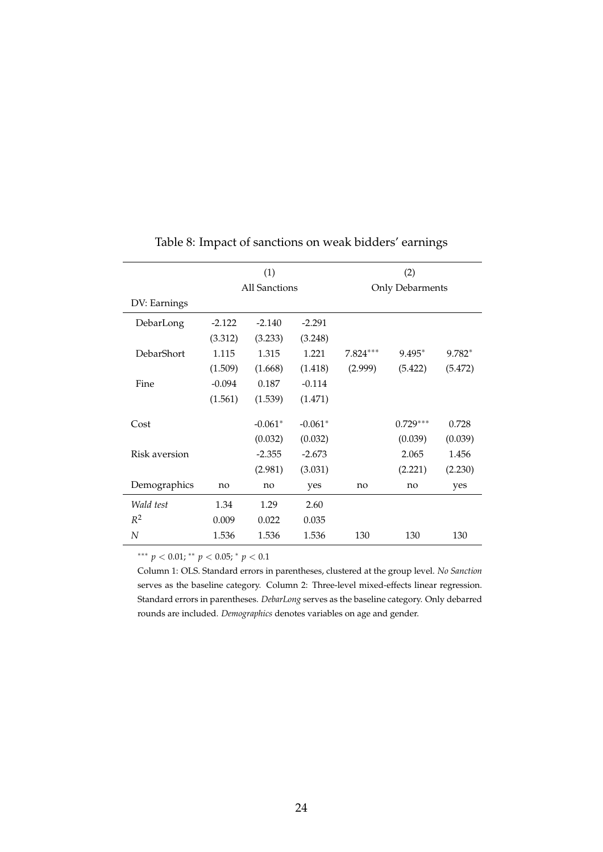<span id="page-25-0"></span>

|                   | (1)      |                      |           | (2)                    |            |          |
|-------------------|----------|----------------------|-----------|------------------------|------------|----------|
|                   |          | <b>All Sanctions</b> |           | <b>Only Debarments</b> |            |          |
| DV: Earnings      |          |                      |           |                        |            |          |
| DebarLong         | $-2.122$ | $-2.140$             | $-2.291$  |                        |            |          |
|                   | (3.312)  | (3.233)              | (3.248)   |                        |            |          |
| <b>DebarShort</b> | 1.115    | 1.315                | 1.221     | $7.824***$             | 9.495*     | $9.782*$ |
|                   | (1.509)  | (1.668)              | (1.418)   | (2.999)                | (5.422)    | (5.472)  |
| Fine              | $-0.094$ | 0.187                | $-0.114$  |                        |            |          |
|                   | (1.561)  | (1.539)              | (1.471)   |                        |            |          |
| Cost              |          | $-0.061*$            | $-0.061*$ |                        | $0.729***$ | 0.728    |
|                   |          | (0.032)              | (0.032)   |                        | (0.039)    | (0.039)  |
| Risk aversion     |          | $-2.355$             | $-2.673$  |                        | 2.065      | 1.456    |
|                   |          | (2.981)              | (3.031)   |                        | (2.221)    | (2.230)  |
| Demographics      | no       | no                   | yes       | no                     | no         | yes      |
| Wald test         | 1.34     | 1.29                 | 2.60      |                        |            |          |
| $R^2$             | 0.009    | 0.022                | 0.035     |                        |            |          |
| N                 | 1.536    | 1.536                | 1.536     | 130                    | 130        | 130      |

## Table 8: Impact of sanctions on weak bidders' earnings

∗∗∗ *p* < 0.01; ∗∗ *p* < 0.05; <sup>∗</sup> *p* < 0.1

Column 1: OLS. Standard errors in parentheses, clustered at the group level. *No Sanction* serves as the baseline category. Column 2: Three-level mixed-effects linear regression. Standard errors in parentheses. *DebarLong* serves as the baseline category. Only debarred rounds are included. *Demographics* denotes variables on age and gender.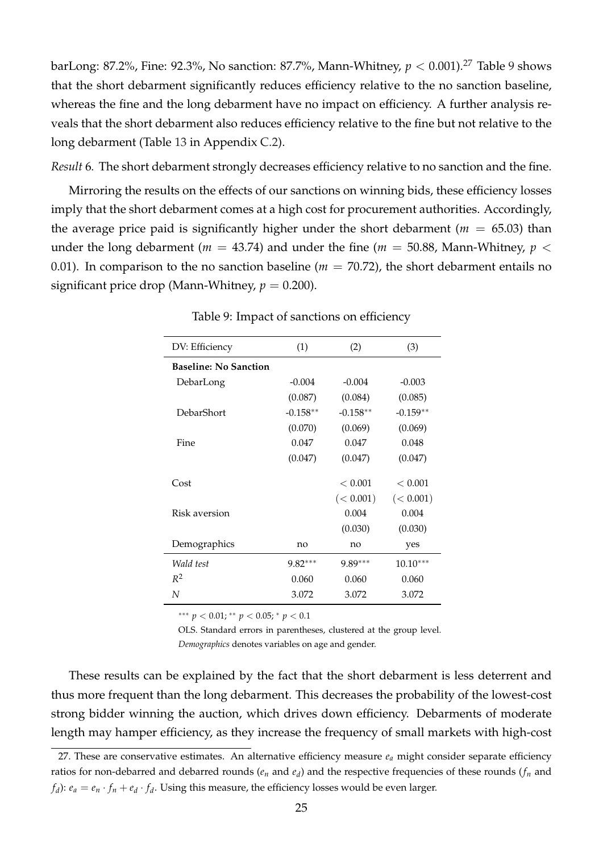barLong: 87.2%, Fine: 92.3%, No sanction: 87.7%, Mann-Whitney, *p* < 0.001).[27](#page-26-0) Table [9](#page-26-1) shows that the short debarment significantly reduces efficiency relative to the no sanction baseline, whereas the fine and the long debarment have no impact on efficiency. A further analysis reveals that the short debarment also reduces efficiency relative to the fine but not relative to the long debarment (Table [13](#page-40-1) in Appendix [C.2\)](#page-38-3).

*Result* 6*.* The short debarment strongly decreases efficiency relative to no sanction and the fine.

<span id="page-26-1"></span>Mirroring the results on the effects of our sanctions on winning bids, these efficiency losses imply that the short debarment comes at a high cost for procurement authorities. Accordingly, the average price paid is significantly higher under the short debarment ( $m = 65.03$ ) than under the long debarment ( $m = 43.74$ ) and under the fine ( $m = 50.88$ , Mann-Whitney,  $p <$ 0.01). In comparison to the no sanction baseline ( $m = 70.72$ ), the short debarment entails no significant price drop (Mann-Whitney,  $p = 0.200$ ).

| DV: Efficiency               | (1)        | (2)        | (3)        |
|------------------------------|------------|------------|------------|
| <b>Baseline: No Sanction</b> |            |            |            |
| DebarLong                    | $-0.004$   | $-0.004$   | $-0.003$   |
|                              | (0.087)    | (0.084)    | (0.085)    |
| DebarShort                   | $-0.158**$ | $-0.158**$ | $-0.159**$ |
|                              | (0.070)    | (0.069)    | (0.069)    |
| Fine                         | 0.047      | 0.047      | 0.048      |
|                              | (0.047)    | (0.047)    | (0.047)    |
| Cost                         |            | < 0.001    | < 0.001    |
|                              |            | (< 0.001)  | (< 0.001)  |
| Risk aversion                |            | 0.004      | 0.004      |
|                              |            | (0.030)    | (0.030)    |
| Demographics                 | no         | no         | yes        |
| Wald test                    | $9.82***$  | $9.89***$  | $10.10***$ |
| $R^2$                        | 0.060      | 0.060      | 0.060      |
| N                            | 3.072      | 3.072      | 3.072      |

Table 9: Impact of sanctions on efficiency

∗∗∗ *p* < 0.01; ∗∗ *p* < 0.05; <sup>∗</sup> *p* < 0.1

OLS. Standard errors in parentheses, clustered at the group level. *Demographics* denotes variables on age and gender.

These results can be explained by the fact that the short debarment is less deterrent and thus more frequent than the long debarment. This decreases the probability of the lowest-cost strong bidder winning the auction, which drives down efficiency. Debarments of moderate length may hamper efficiency, as they increase the frequency of small markets with high-cost

<span id="page-26-0"></span><sup>27.</sup> These are conservative estimates. An alternative efficiency measure *e<sup>a</sup>* might consider separate efficiency ratios for non-debarred and debarred rounds ( $e_n$  and  $e_d$ ) and the respective frequencies of these rounds ( $f_n$  and *f*<sub>d</sub>):  $e_a = e_n \cdot f_n + e_d \cdot f_d$ . Using this measure, the efficiency losses would be even larger.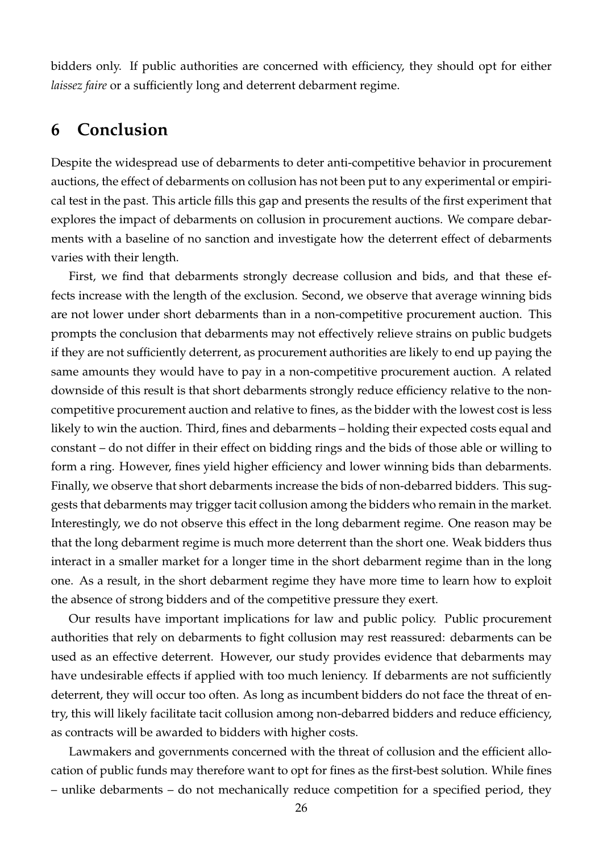bidders only. If public authorities are concerned with efficiency, they should opt for either *laissez faire* or a sufficiently long and deterrent debarment regime.

## <span id="page-27-0"></span>**6 Conclusion**

Despite the widespread use of debarments to deter anti-competitive behavior in procurement auctions, the effect of debarments on collusion has not been put to any experimental or empirical test in the past. This article fills this gap and presents the results of the first experiment that explores the impact of debarments on collusion in procurement auctions. We compare debarments with a baseline of no sanction and investigate how the deterrent effect of debarments varies with their length.

First, we find that debarments strongly decrease collusion and bids, and that these effects increase with the length of the exclusion. Second, we observe that average winning bids are not lower under short debarments than in a non-competitive procurement auction. This prompts the conclusion that debarments may not effectively relieve strains on public budgets if they are not sufficiently deterrent, as procurement authorities are likely to end up paying the same amounts they would have to pay in a non-competitive procurement auction. A related downside of this result is that short debarments strongly reduce efficiency relative to the noncompetitive procurement auction and relative to fines, as the bidder with the lowest cost is less likely to win the auction. Third, fines and debarments – holding their expected costs equal and constant – do not differ in their effect on bidding rings and the bids of those able or willing to form a ring. However, fines yield higher efficiency and lower winning bids than debarments. Finally, we observe that short debarments increase the bids of non-debarred bidders. This suggests that debarments may trigger tacit collusion among the bidders who remain in the market. Interestingly, we do not observe this effect in the long debarment regime. One reason may be that the long debarment regime is much more deterrent than the short one. Weak bidders thus interact in a smaller market for a longer time in the short debarment regime than in the long one. As a result, in the short debarment regime they have more time to learn how to exploit the absence of strong bidders and of the competitive pressure they exert.

Our results have important implications for law and public policy. Public procurement authorities that rely on debarments to fight collusion may rest reassured: debarments can be used as an effective deterrent. However, our study provides evidence that debarments may have undesirable effects if applied with too much leniency. If debarments are not sufficiently deterrent, they will occur too often. As long as incumbent bidders do not face the threat of entry, this will likely facilitate tacit collusion among non-debarred bidders and reduce efficiency, as contracts will be awarded to bidders with higher costs.

Lawmakers and governments concerned with the threat of collusion and the efficient allocation of public funds may therefore want to opt for fines as the first-best solution. While fines – unlike debarments – do not mechanically reduce competition for a specified period, they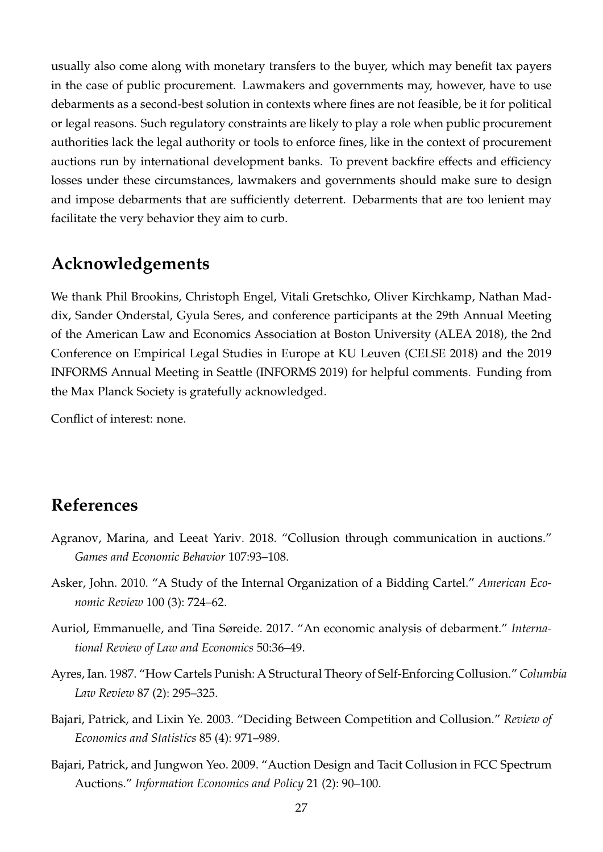usually also come along with monetary transfers to the buyer, which may benefit tax payers in the case of public procurement. Lawmakers and governments may, however, have to use debarments as a second-best solution in contexts where fines are not feasible, be it for political or legal reasons. Such regulatory constraints are likely to play a role when public procurement authorities lack the legal authority or tools to enforce fines, like in the context of procurement auctions run by international development banks. To prevent backfire effects and efficiency losses under these circumstances, lawmakers and governments should make sure to design and impose debarments that are sufficiently deterrent. Debarments that are too lenient may facilitate the very behavior they aim to curb.

## **Acknowledgements**

We thank Phil Brookins, Christoph Engel, Vitali Gretschko, Oliver Kirchkamp, Nathan Maddix, Sander Onderstal, Gyula Seres, and conference participants at the 29th Annual Meeting of the American Law and Economics Association at Boston University (ALEA 2018), the 2nd Conference on Empirical Legal Studies in Europe at KU Leuven (CELSE 2018) and the 2019 INFORMS Annual Meeting in Seattle (INFORMS 2019) for helpful comments. Funding from the Max Planck Society is gratefully acknowledged.

Conflict of interest: none.

## **References**

- <span id="page-28-4"></span>Agranov, Marina, and Leeat Yariv. 2018. "Collusion through communication in auctions." *Games and Economic Behavior* 107:93–108.
- <span id="page-28-5"></span>Asker, John. 2010. "A Study of the Internal Organization of a Bidding Cartel." *American Economic Review* 100 (3): 724–62.
- <span id="page-28-0"></span>Auriol, Emmanuelle, and Tina Søreide. 2017. "An economic analysis of debarment." *International Review of Law and Economics* 50:36–49.
- <span id="page-28-1"></span>Ayres, Ian. 1987. "How Cartels Punish: A Structural Theory of Self-Enforcing Collusion." *Columbia Law Review* 87 (2): 295–325.
- <span id="page-28-3"></span>Bajari, Patrick, and Lixin Ye. 2003. "Deciding Between Competition and Collusion." *Review of Economics and Statistics* 85 (4): 971–989.
- <span id="page-28-2"></span>Bajari, Patrick, and Jungwon Yeo. 2009. "Auction Design and Tacit Collusion in FCC Spectrum Auctions." *Information Economics and Policy* 21 (2): 90–100.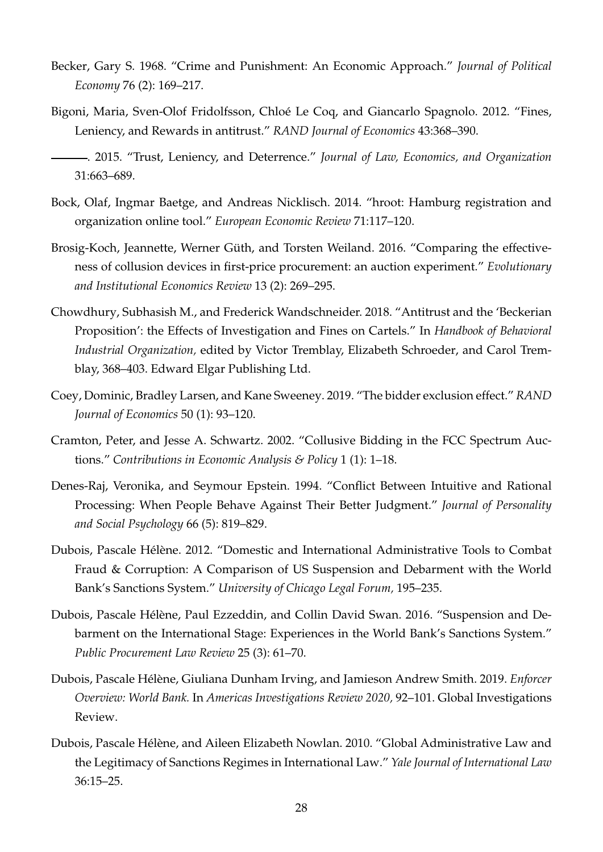- <span id="page-29-1"></span>Becker, Gary S. 1968. "Crime and Punishment: An Economic Approach." *Journal of Political Economy* 76 (2): 169–217.
- <span id="page-29-6"></span><span id="page-29-5"></span>Bigoni, Maria, Sven-Olof Fridolfsson, Chloé Le Coq, and Giancarlo Spagnolo. 2012. "Fines, Leniency, and Rewards in antitrust." *RAND Journal of Economics* 43:368–390.
	- . 2015. "Trust, Leniency, and Deterrence." *Journal of Law, Economics, and Organization* 31:663–689.
- <span id="page-29-10"></span>Bock, Olaf, Ingmar Baetge, and Andreas Nicklisch. 2014. "hroot: Hamburg registration and organization online tool." *European Economic Review* 71:117–120.
- <span id="page-29-4"></span>Brosig-Koch, Jeannette, Werner Güth, and Torsten Weiland. 2016. "Comparing the effectiveness of collusion devices in first-price procurement: an auction experiment." *Evolutionary and Institutional Economics Review* 13 (2): 269–295.
- <span id="page-29-12"></span>Chowdhury, Subhasish M., and Frederick Wandschneider. 2018. "Antitrust and the 'Beckerian Proposition': the Effects of Investigation and Fines on Cartels." In *Handbook of Behavioral Industrial Organization,* edited by Victor Tremblay, Elizabeth Schroeder, and Carol Tremblay, 368–403. Edward Elgar Publishing Ltd.
- <span id="page-29-3"></span>Coey, Dominic, Bradley Larsen, and Kane Sweeney. 2019. "The bidder exclusion effect." *RAND Journal of Economics* 50 (1): 93–120.
- <span id="page-29-2"></span>Cramton, Peter, and Jesse A. Schwartz. 2002. "Collusive Bidding in the FCC Spectrum Auctions." *Contributions in Economic Analysis & Policy* 1 (1): 1–18.
- <span id="page-29-11"></span>Denes-Raj, Veronika, and Seymour Epstein. 1994. "Conflict Between Intuitive and Rational Processing: When People Behave Against Their Better Judgment." *Journal of Personality and Social Psychology* 66 (5): 819–829.
- <span id="page-29-8"></span>Dubois, Pascale Hélène. 2012. "Domestic and International Administrative Tools to Combat Fraud & Corruption: A Comparison of US Suspension and Debarment with the World Bank's Sanctions System." *University of Chicago Legal Forum,* 195–235.
- <span id="page-29-9"></span>Dubois, Pascale Hélène, Paul Ezzeddin, and Collin David Swan. 2016. "Suspension and Debarment on the International Stage: Experiences in the World Bank's Sanctions System." *Public Procurement Law Review* 25 (3): 61–70.
- <span id="page-29-0"></span>Dubois, Pascale Hélène, Giuliana Dunham Irving, and Jamieson Andrew Smith. 2019. *Enforcer Overview: World Bank.* In *Americas Investigations Review 2020,* 92–101. Global Investigations Review.
- <span id="page-29-7"></span>Dubois, Pascale Hélène, and Aileen Elizabeth Nowlan. 2010. "Global Administrative Law and the Legitimacy of Sanctions Regimes in International Law." *Yale Journal of International Law* 36:15–25.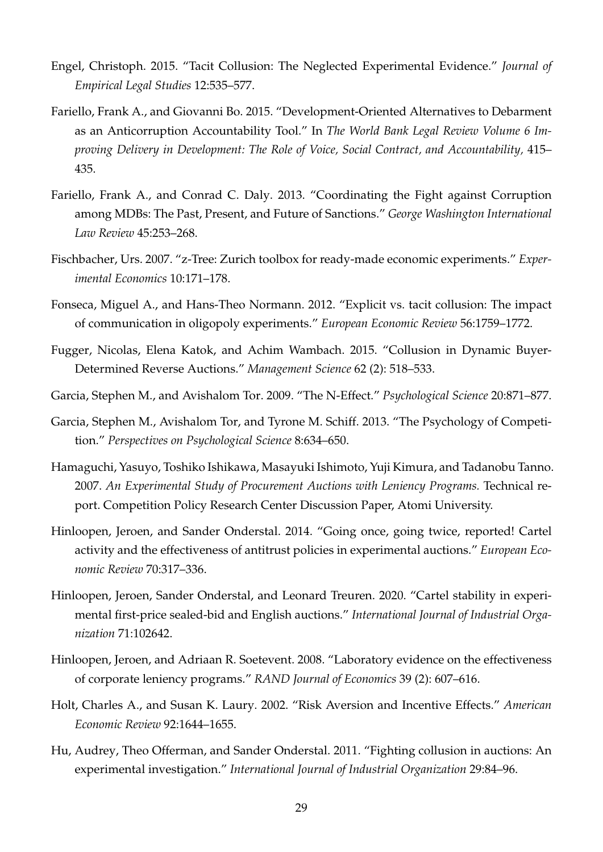- <span id="page-30-2"></span>Engel, Christoph. 2015. "Tacit Collusion: The Neglected Experimental Evidence." *Journal of Empirical Legal Studies* 12:535–577.
- <span id="page-30-0"></span>Fariello, Frank A., and Giovanni Bo. 2015. "Development-Oriented Alternatives to Debarment as an Anticorruption Accountability Tool." In *The World Bank Legal Review Volume 6 Improving Delivery in Development: The Role of Voice, Social Contract, and Accountability,* 415– 435.
- <span id="page-30-8"></span>Fariello, Frank A., and Conrad C. Daly. 2013. "Coordinating the Fight against Corruption among MDBs: The Past, Present, and Future of Sanctions." *George Washington International Law Review* 45:253–268.
- <span id="page-30-9"></span>Fischbacher, Urs. 2007. "z-Tree: Zurich toolbox for ready-made economic experiments." *Experimental Economics* 10:171–178.
- <span id="page-30-1"></span>Fonseca, Miguel A., and Hans-Theo Normann. 2012. "Explicit vs. tacit collusion: The impact of communication in oligopoly experiments." *European Economic Review* 56:1759–1772.
- <span id="page-30-3"></span>Fugger, Nicolas, Elena Katok, and Achim Wambach. 2015. "Collusion in Dynamic Buyer-Determined Reverse Auctions." *Management Science* 62 (2): 518–533.
- <span id="page-30-11"></span>Garcia, Stephen M., and Avishalom Tor. 2009. "The N-Effect." *Psychological Science* 20:871–877.
- <span id="page-30-12"></span>Garcia, Stephen M., Avishalom Tor, and Tyrone M. Schiff. 2013. "The Psychology of Competition." *Perspectives on Psychological Science* 8:634–650.
- <span id="page-30-7"></span>Hamaguchi, Yasuyo, Toshiko Ishikawa, Masayuki Ishimoto, Yuji Kimura, and Tadanobu Tanno. 2007. *An Experimental Study of Procurement Auctions with Leniency Programs.* Technical report. Competition Policy Research Center Discussion Paper, Atomi University.
- <span id="page-30-5"></span>Hinloopen, Jeroen, and Sander Onderstal. 2014. "Going once, going twice, reported! Cartel activity and the effectiveness of antitrust policies in experimental auctions." *European Economic Review* 70:317–336.
- <span id="page-30-6"></span>Hinloopen, Jeroen, Sander Onderstal, and Leonard Treuren. 2020. "Cartel stability in experimental first-price sealed-bid and English auctions." *International Journal of Industrial Organization* 71:102642.
- <span id="page-30-13"></span>Hinloopen, Jeroen, and Adriaan R. Soetevent. 2008. "Laboratory evidence on the effectiveness of corporate leniency programs." *RAND Journal of Economics* 39 (2): 607–616.
- <span id="page-30-10"></span>Holt, Charles A., and Susan K. Laury. 2002. "Risk Aversion and Incentive Effects." *American Economic Review* 92:1644–1655.
- <span id="page-30-4"></span>Hu, Audrey, Theo Offerman, and Sander Onderstal. 2011. "Fighting collusion in auctions: An experimental investigation." *International Journal of Industrial Organization* 29:84–96.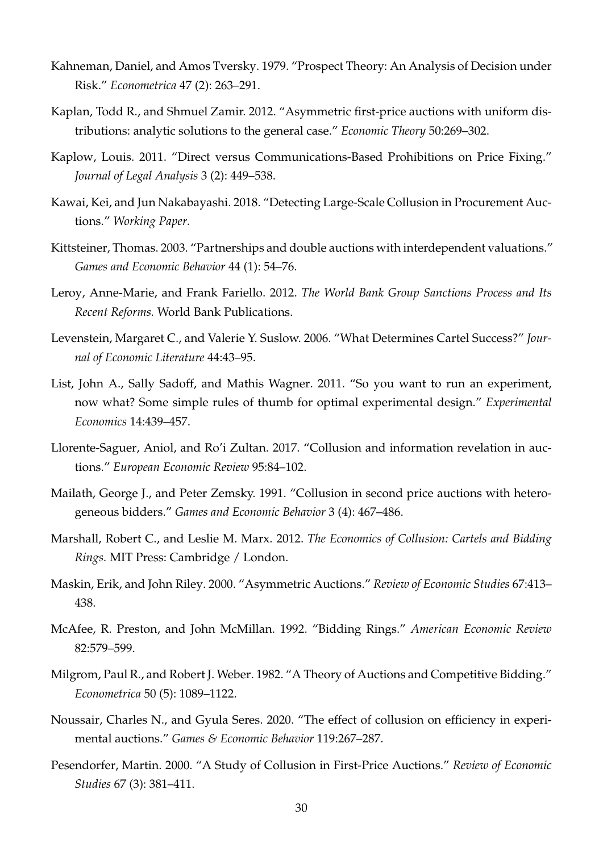- <span id="page-31-14"></span>Kahneman, Daniel, and Amos Tversky. 1979. "Prospect Theory: An Analysis of Decision under Risk." *Econometrica* 47 (2): 263–291.
- <span id="page-31-12"></span>Kaplan, Todd R., and Shmuel Zamir. 2012. "Asymmetric first-price auctions with uniform distributions: analytic solutions to the general case." *Economic Theory* 50:269–302.
- <span id="page-31-1"></span>Kaplow, Louis. 2011. "Direct versus Communications-Based Prohibitions on Price Fixing." *Journal of Legal Analysis* 3 (2): 449–538.
- <span id="page-31-0"></span>Kawai, Kei, and Jun Nakabayashi. 2018. "Detecting Large-Scale Collusion in Procurement Auctions." *Working Paper.*
- <span id="page-31-10"></span>Kittsteiner, Thomas. 2003. "Partnerships and double auctions with interdependent valuations." *Games and Economic Behavior* 44 (1): 54–76.
- <span id="page-31-8"></span>Leroy, Anne-Marie, and Frank Fariello. 2012. *The World Bank Group Sanctions Process and Its Recent Reforms.* World Bank Publications.
- <span id="page-31-2"></span>Levenstein, Margaret C., and Valerie Y. Suslow. 2006. "What Determines Cartel Success?" *Journal of Economic Literature* 44:43–95.
- <span id="page-31-15"></span>List, John A., Sally Sadoff, and Mathis Wagner. 2011. "So you want to run an experiment, now what? Some simple rules of thumb for optimal experimental design." *Experimental Economics* 14:439–457.
- <span id="page-31-6"></span>Llorente-Saguer, Aniol, and Ro'i Zultan. 2017. "Collusion and information revelation in auctions." *European Economic Review* 95:84–102.
- <span id="page-31-9"></span>Mailath, George J., and Peter Zemsky. 1991. "Collusion in second price auctions with heterogeneous bidders." *Games and Economic Behavior* 3 (4): 467–486.
- <span id="page-31-3"></span>Marshall, Robert C., and Leslie M. Marx. 2012. *The Economics of Collusion: Cartels and Bidding Rings.* MIT Press: Cambridge / London.
- <span id="page-31-11"></span>Maskin, Erik, and John Riley. 2000. "Asymmetric Auctions." *Review of Economic Studies* 67:413– 438.
- <span id="page-31-13"></span>McAfee, R. Preston, and John McMillan. 1992. "Bidding Rings." *American Economic Review* 82:579–599.
- <span id="page-31-4"></span>Milgrom, Paul R., and Robert J. Weber. 1982. "A Theory of Auctions and Competitive Bidding." *Econometrica* 50 (5): 1089–1122.
- <span id="page-31-7"></span>Noussair, Charles N., and Gyula Seres. 2020. "The effect of collusion on efficiency in experimental auctions." *Games & Economic Behavior* 119:267–287.
- <span id="page-31-5"></span>Pesendorfer, Martin. 2000. "A Study of Collusion in First-Price Auctions." *Review of Economic Studies* 67 (3): 381–411.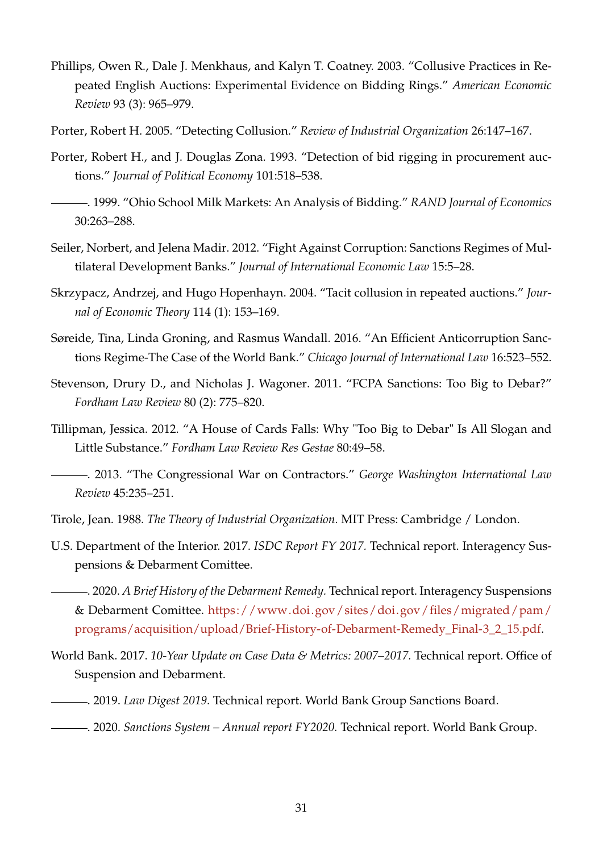- <span id="page-32-15"></span>Phillips, Owen R., Dale J. Menkhaus, and Kalyn T. Coatney. 2003. "Collusive Practices in Repeated English Auctions: Experimental Evidence on Bidding Rings." *American Economic Review* 93 (3): 965–979.
- <span id="page-32-5"></span>Porter, Robert H. 2005. "Detecting Collusion." *Review of Industrial Organization* 26:147–167.
- <span id="page-32-7"></span>Porter, Robert H., and J. Douglas Zona. 1993. "Detection of bid rigging in procurement auctions." *Journal of Political Economy* 101:518–538.
- <span id="page-32-8"></span>. 1999. "Ohio School Milk Markets: An Analysis of Bidding." *RAND Journal of Economics* 30:263–288.
- <span id="page-32-14"></span>Seiler, Norbert, and Jelena Madir. 2012. "Fight Against Corruption: Sanctions Regimes of Multilateral Development Banks." *Journal of International Economic Law* 15:5–28.
- <span id="page-32-9"></span>Skrzypacz, Andrzej, and Hugo Hopenhayn. 2004. "Tacit collusion in repeated auctions." *Journal of Economic Theory* 114 (1): 153–169.
- <span id="page-32-13"></span>Søreide, Tina, Linda Groning, and Rasmus Wandall. 2016. "An Efficient Anticorruption Sanctions Regime-The Case of the World Bank." *Chicago Journal of International Law* 16:523–552.
- <span id="page-32-10"></span>Stevenson, Drury D., and Nicholas J. Wagoner. 2011. "FCPA Sanctions: Too Big to Debar?" *Fordham Law Review* 80 (2): 775–820.
- <span id="page-32-12"></span><span id="page-32-11"></span>Tillipman, Jessica. 2012. "A House of Cards Falls: Why "Too Big to Debar" Is All Slogan and Little Substance." *Fordham Law Review Res Gestae* 80:49–58.
	- . 2013. "The Congressional War on Contractors." *George Washington International Law Review* 45:235–251.
- <span id="page-32-6"></span>Tirole, Jean. 1988. *The Theory of Industrial Organization.* MIT Press: Cambridge / London.
- <span id="page-32-0"></span>U.S. Department of the Interior. 2017. *ISDC Report FY 2017.* Technical report. Interagency Suspensions & Debarment Comittee.
- <span id="page-32-2"></span>. 2020. *A Brief History of the Debarment Remedy.* Technical report. Interagency Suspensions & Debarment Comittee. [https://www.doi.gov/sites/doi.gov/files/migrated/pam/](https://www.doi.gov/sites/doi.gov/files/migrated/pam/programs/acquisition/upload/Brief-History-of-Debarment-Remedy_Final-3_2_15.pdf) [programs/acquisition/upload/Brief-History-of-Debarment-Remedy\\_Final-3\\_2\\_15.pdf.](https://www.doi.gov/sites/doi.gov/files/migrated/pam/programs/acquisition/upload/Brief-History-of-Debarment-Remedy_Final-3_2_15.pdf)
- <span id="page-32-3"></span>World Bank. 2017. *10-Year Update on Case Data & Metrics: 2007–2017.* Technical report. Office of Suspension and Debarment.
- <span id="page-32-4"></span>. 2019. *Law Digest 2019.* Technical report. World Bank Group Sanctions Board.
- <span id="page-32-1"></span>. 2020. *Sanctions System – Annual report FY2020.* Technical report. World Bank Group.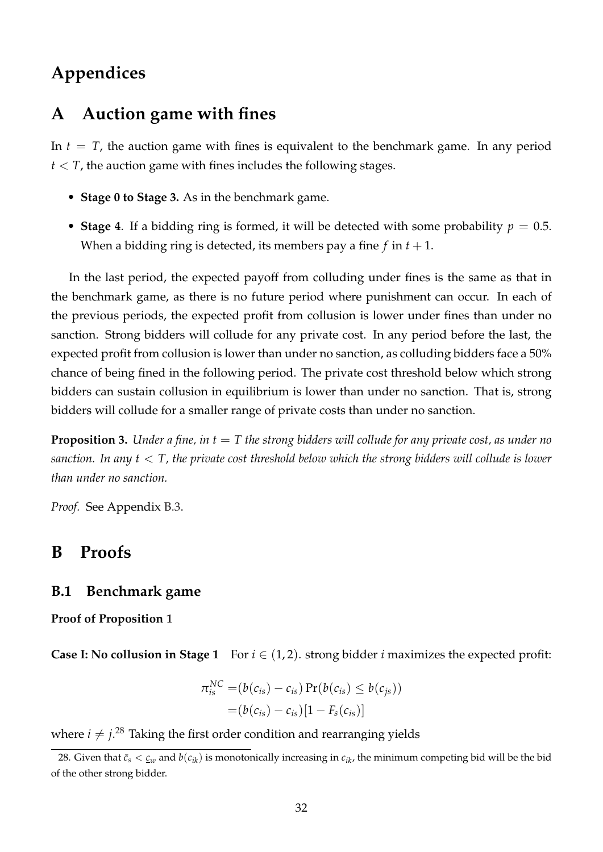# **Appendices**

## **A Auction game with fines**

In  $t = T$ , the auction game with fines is equivalent to the benchmark game. In any period  $t < T$ , the auction game with fines includes the following stages.

- **Stage 0 to Stage 3.** As in the benchmark game.
- **Stage 4**. If a bidding ring is formed, it will be detected with some probability  $p = 0.5$ . When a bidding ring is detected, its members pay a fine  $f$  in  $t + 1$ .

In the last period, the expected payoff from colluding under fines is the same as that in the benchmark game, as there is no future period where punishment can occur. In each of the previous periods, the expected profit from collusion is lower under fines than under no sanction. Strong bidders will collude for any private cost. In any period before the last, the expected profit from collusion is lower than under no sanction, as colluding bidders face a 50% chance of being fined in the following period. The private cost threshold below which strong bidders can sustain collusion in equilibrium is lower than under no sanction. That is, strong bidders will collude for a smaller range of private costs than under no sanction.

<span id="page-33-2"></span>**Proposition 3.** *Under a fine, in t* = *T the strong bidders will collude for any private cost, as under no sanction. In any t* < *T, the private cost threshold below which the strong bidders will collude is lower than under no sanction.*

*Proof.* See Appendix [B.3.](#page-37-0)

## **B Proofs**

### <span id="page-33-0"></span>**B.1 Benchmark game**

**Proof of Proposition [1](#page-9-2)**

**Case I: No collusion in Stage 1** For  $i \in (1, 2)$ . strong bidder *i* maximizes the expected profit:

$$
\pi_{is}^{NC} = (b(c_{is}) - c_{is}) \Pr(b(c_{is}) \le b(c_{js}))
$$
  
=  $(b(c_{is}) - c_{is})[1 - F_s(c_{is})]$ 

where  $i \neq j$ .<sup>[28](#page-33-1)</sup> Taking the first order condition and rearranging yields

<span id="page-33-1"></span><sup>28.</sup> Given that  $\bar{c}_s < \underline{c}_w$  and  $b(c_{ik})$  is monotonically increasing in  $c_{ik}$ , the minimum competing bid will be the bid of the other strong bidder.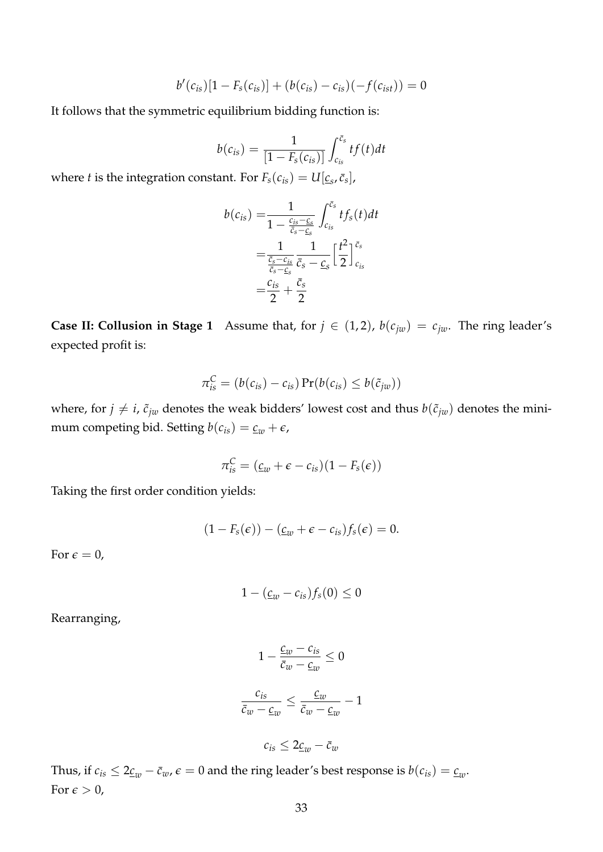$$
b'(c_{is})[1 - F_s(c_{is})] + (b(c_{is}) - c_{is})(-f(c_{ist})) = 0
$$

It follows that the symmetric equilibrium bidding function is:

$$
b(c_{is}) = \frac{1}{[1 - F_s(c_{is})]} \int_{c_{is}}^{\bar{c}_s} tf(t)dt
$$

where *t* is the integration constant. For  $F_s(c_{is}) = U[\underline{c}_s, \bar{c}_s]$ ,

$$
b(c_{is}) = \frac{1}{1 - \frac{c_{is} - c_s}{\bar{c}_s - c_s}} \int_{c_{is}}^{\bar{c}_s} t f_s(t) dt
$$
  
= 
$$
\frac{1}{\frac{\bar{c}_s - c_{is}}{\bar{c}_s - c_s}} \frac{1}{\bar{c}_s - c_s} \left[ \frac{t^2}{2} \right]_{c_{is}}^{\bar{c}_s}
$$
  
= 
$$
\frac{c_{is}}{2} + \frac{\bar{c}_s}{2}
$$

**Case II: Collusion in Stage 1** Assume that, for  $j \in (1, 2)$ ,  $b(c_{jw}) = c_{jw}$ . The ring leader's expected profit is:

$$
\pi_{is}^C = (b(c_{is}) - c_{is}) \Pr(b(c_{is}) \leq b(\tilde{c}_{jw}))
$$

where, for  $j \neq i$ ,  $\tilde{c}_{jw}$  denotes the weak bidders' lowest cost and thus  $b(\tilde{c}_{jw})$  denotes the minimum competing bid. Setting  $b(c_{is}) = \underline{c_w} + \epsilon$ ,

$$
\pi_{is}^C = (\underline{c}_w + \epsilon - c_{is})(1 - F_s(\epsilon))
$$

Taking the first order condition yields:

$$
(1-F_s(\epsilon))-(\underline{c}_w+\epsilon-c_{is})f_s(\epsilon)=0.
$$

For  $\epsilon = 0$ ,

$$
1-(\underline{c}_w-c_{is})f_s(0)\leq 0
$$

Rearranging,

$$
1 - \frac{\underline{c}_w - c_{is}}{\overline{c}_w - \underline{c}_w} \le 0
$$

$$
\frac{c_{is}}{\overline{c}_w - \underline{c}_w} \le \frac{\underline{c}_w}{\overline{c}_w - \underline{c}_w} - 1
$$

 $c_{is} \leq 2 \underline{c}_w - \overline{c}_w$ 

Thus, if  $c_{is} \leq 2 \underline{c}_w - \overline{c}_w$ ,  $\epsilon = 0$  and the ring leader's best response is  $b(c_{is}) = \underline{c}_w$ . For  $\epsilon > 0$ ,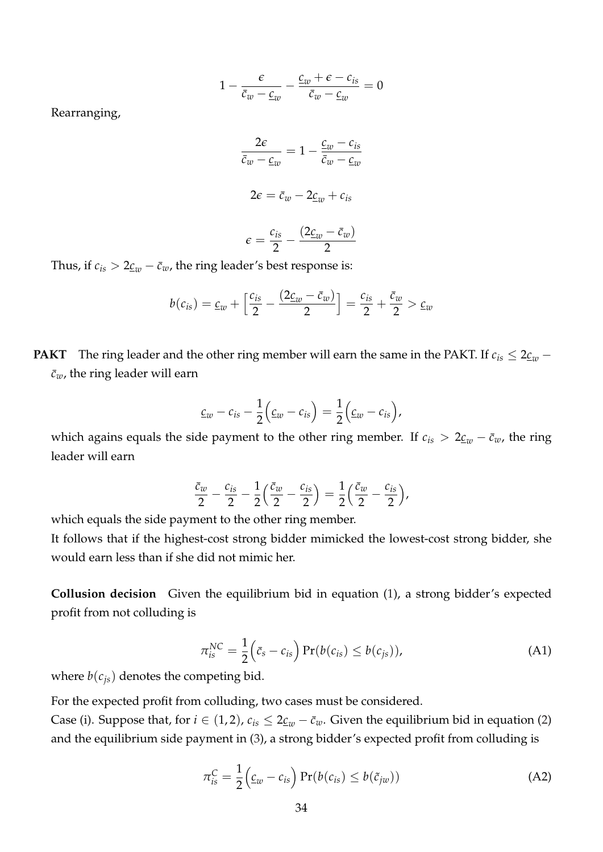$$
1 - \frac{\epsilon}{\bar{c}_w - \underline{c}_w} - \frac{\underline{c}_w + \epsilon - c_{is}}{\bar{c}_w - \underline{c}_w} = 0
$$

Rearranging,

$$
\frac{2\varepsilon}{\bar{c}_w - \underline{c}_w} = 1 - \frac{\underline{c}_w - c_{is}}{\bar{c}_w - \underline{c}_w}
$$

$$
2\varepsilon = \bar{c}_w - 2\underline{c}_w + c_{is}
$$

$$
c_{is} \qquad (2c_m - \bar{c}_w)
$$

$$
\epsilon = \frac{c_{is}}{2} - \frac{(2\underline{c}_w - \bar{c}_w)}{2}
$$

Thus, if  $c_{is} > 2 \underline{c_w} - \overline{c_w}$ , the ring leader's best response is:

$$
b(c_{is}) = \underline{c}_w + \left[\frac{c_{is}}{2} - \frac{(2\underline{c}_w - \overline{c}_w)}{2}\right] = \frac{c_{is}}{2} + \frac{\overline{c}_w}{2} > \underline{c}_w
$$

**PAKT** The ring leader and the other ring member will earn the same in the PAKT. If  $c_{is} \leq 2 \underline{c}_w$  −  $\bar{c}_w$ , the ring leader will earn

$$
\underline{c}_w-c_{is}-\frac{1}{2}\Big(\underline{c}_w-c_{is}\Big)=\frac{1}{2}\Big(\underline{c}_w-c_{is}\Big),
$$

which agains equals the side payment to the other ring member. If  $c_{is} > 2 \underline{c}_{w} - \overline{c}_{w}$ , the ring leader will earn

$$
\frac{\bar{c}_w}{2} - \frac{c_{is}}{2} - \frac{1}{2} \left( \frac{\bar{c}_w}{2} - \frac{c_{is}}{2} \right) = \frac{1}{2} \left( \frac{\bar{c}_w}{2} - \frac{c_{is}}{2} \right),
$$

which equals the side payment to the other ring member.

It follows that if the highest-cost strong bidder mimicked the lowest-cost strong bidder, she would earn less than if she did not mimic her.

<span id="page-35-1"></span>**Collusion decision** Given the equilibrium bid in equation [\(1\)](#page-8-1), a strong bidder's expected profit from not colluding is

$$
\pi_{is}^{NC} = \frac{1}{2} \left( \bar{c}_s - c_{is} \right) \Pr(b(c_{is}) \le b(c_{js})), \tag{A1}
$$

where  $b(c_{js})$  denotes the competing bid.

For the expected profit from colluding, two cases must be considered.

<span id="page-35-0"></span>Case (i). Suppose that, for  $i \in (1, 2)$ ,  $c_{is} \leq 2 \underline{c}_w - \overline{c}_w$ . Given the equilibrium bid in equation [\(2\)](#page-8-2) and the equilibrium side payment in [\(3\)](#page-9-4), a strong bidder's expected profit from colluding is

$$
\pi_{is}^C = \frac{1}{2} \left( \underline{c}_w - c_{is} \right) \Pr(b(c_{is}) \le b(\tilde{c}_{jw})) \tag{A2}
$$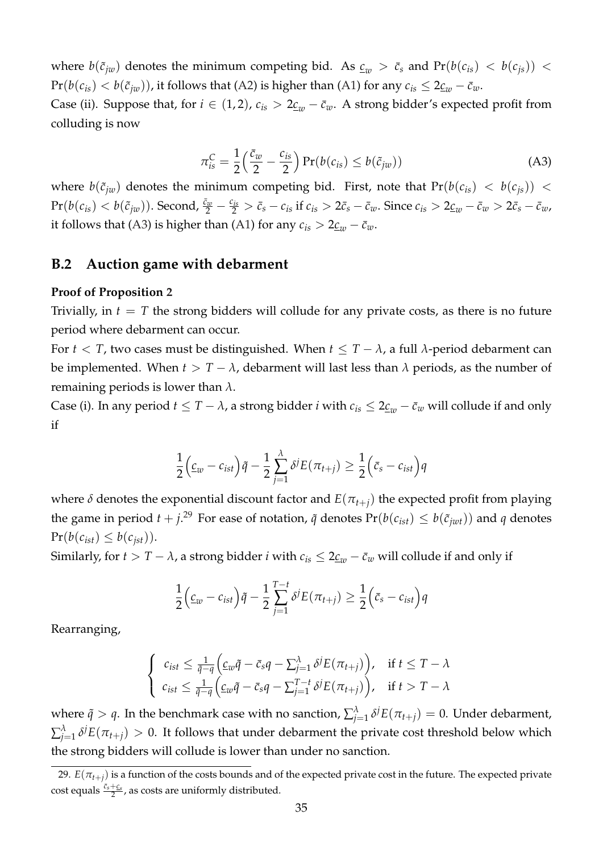where  $b(\tilde{c}_{jw})$  denotes the minimum competing bid. As  $c_w > c_s$  and  $Pr(b(c_{is}) < b(c_{js}))$  $Pr(b(c_{is}) < b(\tilde{c}_{jw}))$ , it follows that [\(A2\)](#page-35-0) is higher than [\(A1\)](#page-35-1) for any  $c_{is} \leq 2\underline{c}_w - \overline{c}_w$ .

<span id="page-36-1"></span>Case (ii). Suppose that, for  $i \in (1, 2)$ ,  $c_{is} > 2 \underline{c}_{w} - \overline{c}_{w}$ . A strong bidder's expected profit from colluding is now

$$
\pi_{is}^C = \frac{1}{2} \left( \frac{\bar{c}_w}{2} - \frac{c_{is}}{2} \right) \Pr(b(c_{is}) \le b(\tilde{c}_{jw})) \tag{A3}
$$

where  $b(\tilde{c}_{jw})$  denotes the minimum competing bid. First, note that  $Pr(b(c_{is}) < b(c_{js}))$  $\Pr(b(c_{is}) < b(\tilde{c}_{jw}))$ . Second,  $\frac{\bar{c}_w}{2} - \frac{c_{is}}{2} > \bar{c}_s - c_{is}$  if  $c_{is} > 2\bar{c}_s - \bar{c}_w$ . Since  $c_{is} > 2\underline{c}_w - \bar{c}_w > 2\bar{c}_s - \bar{c}_w$ , it follows that [\(A3\)](#page-36-1) is higher than [\(A1\)](#page-35-1) for any  $c_{is} > 2 \underline{c}_w - \overline{c}_w$ .

#### <span id="page-36-0"></span>**B.2 Auction game with debarment**

#### **Proof of Proposition [2](#page-10-0)**

Trivially, in  $t = T$  the strong bidders will collude for any private costs, as there is no future period where debarment can occur.

For *t* < *T*, two cases must be distinguished. When  $t \leq T - \lambda$ , a full  $\lambda$ -period debarment can be implemented. When  $t > T - \lambda$ , debarment will last less than  $\lambda$  periods, as the number of remaining periods is lower than *λ*.

Case (i). In any period  $t \leq T - \lambda$ , a strong bidder *i* with  $c_{is} \leq 2\underline{c}_w - \overline{c}_w$  will collude if and only if

$$
\frac{1}{2}\Big(\underline{c}_{w}-c_{ist}\Big)\tilde{q}-\frac{1}{2}\sum_{j=1}^{\lambda}\delta^{j}E(\pi_{t+j})\geq\frac{1}{2}\Big(\bar{c}_{s}-c_{ist}\Big)q
$$

where  $\delta$  denotes the exponential discount factor and  $E(\pi_{t+i})$  the expected profit from playing the game in period  $t + j$ .<sup>[29](#page-36-2)</sup> For ease of notation,  $\tilde{q}$  denotes  $Pr(b(c_{ist}) \leq b(\tilde{c}_{jwt}))$  and  $q$  denotes  $Pr(b(c_{ist}) \leq b(c_{ist}))$ .

Similarly, for  $t > T - \lambda$ , a strong bidder *i* with  $c_{is} \leq 2 \underline{c_w} - \overline{c_w}$  will collude if and only if

$$
\frac{1}{2}\Big(\underline{c}_{w}-c_{ist}\Big)\tilde{q}-\frac{1}{2}\sum_{j=1}^{T-t}\delta^{j}E(\pi_{t+j})\geq \frac{1}{2}\Big(\bar{c}_{s}-c_{ist}\Big)q
$$

Rearranging,

$$
\begin{cases} c_{ist} \leq \frac{1}{\tilde{q}-q} \Big( c_{w}\tilde{q} - \bar{c}_{s}q - \sum_{j=1}^{\lambda} \delta^{j} E(\pi_{t+j}) \Big), & \text{if } t \leq T - \lambda \\ c_{ist} \leq \frac{1}{\tilde{q}-q} \Big( c_{w}\tilde{q} - \bar{c}_{s}q - \sum_{j=1}^{T-t} \delta^{j} E(\pi_{t+j}) \Big), & \text{if } t > T - \lambda \end{cases}
$$

where  $\tilde{q} > q$ . In the benchmark case with no sanction,  $\sum_{j=1}^{\lambda} \delta^{j} E(\pi_{t+j}) = 0$ . Under debarment,  $\sum_{j=1}^{\lambda} \delta^{j}E(\pi_{t+j}) > 0$ . It follows that under debarment the private cost threshold below which the strong bidders will collude is lower than under no sanction.

<span id="page-36-2"></span><sup>29.</sup>  $E(\pi_{t+i})$  is a function of the costs bounds and of the expected private cost in the future. The expected private  $\cosh$  equals  $\frac{\bar{c}_s+\bar{c}_s}{2}$ , as costs are uniformly distributed.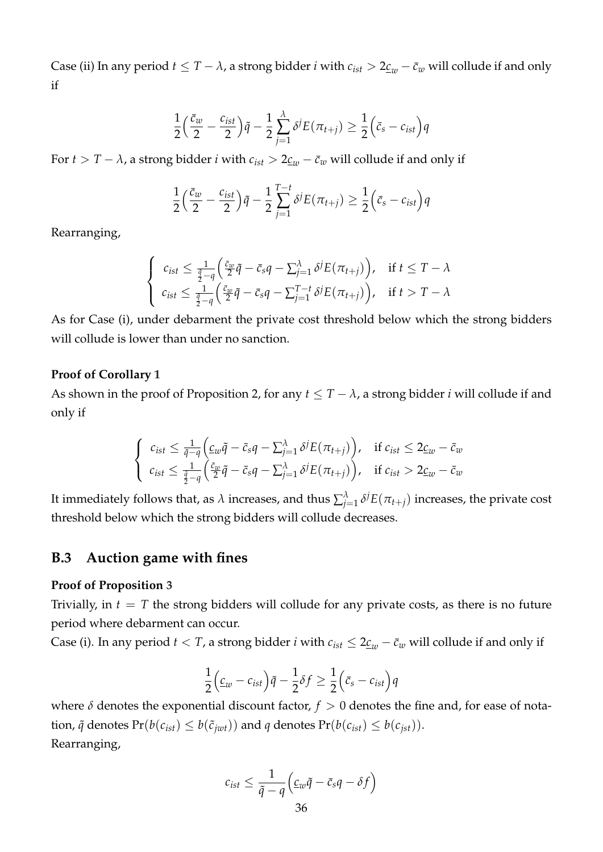Case (ii) In any period  $t \leq T - \lambda$ , a strong bidder *i* with  $c_{ist} > 2 \underline{c}_w - \overline{c}_w$  will collude if and only if

$$
\frac{1}{2}\Big(\frac{\bar{c}_w}{2}-\frac{c_{ist}}{2}\Big)\tilde{q}-\frac{1}{2}\sum_{j=1}^{\lambda}\delta^jE(\pi_{t+j})\geq \frac{1}{2}\Big(\bar{c}_s-c_{ist}\Big)q
$$

For *t* > *T* −  $\lambda$ , a strong bidder *i* with  $c_{ist}$  >  $2 \underline{c_w} - \overline{c_w}$  will collude if and only if

$$
\frac{1}{2}\left(\frac{\bar{c}_w}{2}-\frac{c_{ist}}{2}\right)\tilde{q}-\frac{1}{2}\sum_{j=1}^{T-t}\delta^jE(\pi_{t+j})\geq \frac{1}{2}\left(\bar{c}_s-c_{ist}\right)q
$$

Rearranging,

$$
\begin{cases} c_{ist} \leq \frac{1}{\frac{\tilde{q}}{2}-q} \left( \frac{\bar{c}_w}{2} \tilde{q} - \bar{c}_s q - \sum_{j=1}^{\lambda} \delta^j E(\pi_{t+j}) \right), & \text{if } t \leq T - \lambda \\ c_{ist} \leq \frac{1}{\frac{\tilde{q}}{2}-q} \left( \frac{\bar{c}_w}{2} \tilde{q} - \bar{c}_s q - \sum_{j=1}^{T-t} \delta^j E(\pi_{t+j}) \right), & \text{if } t > T - \lambda \end{cases}
$$

As for Case (i), under debarment the private cost threshold below which the strong bidders will collude is lower than under no sanction.

#### **Proof of Corollary [1](#page-11-4)**

As shown in the proof of Proposition 2, for any  $t \leq T - \lambda$ , a strong bidder *i* will collude if and only if

$$
\begin{cases} c_{ist} \leq \frac{1}{\tilde{q}-q} \Big( c_{w}\tilde{q} - \bar{c}_{s}q - \sum_{j=1}^{\lambda} \delta^{j} E(\pi_{t+j}) \Big), & \text{if } c_{ist} \leq 2\underline{c}_{w} - \bar{c}_{w} \\ c_{ist} \leq \frac{1}{\frac{\tilde{q}}{2}-q} \Big( \frac{\bar{c}_{w}}{2}\tilde{q} - \bar{c}_{s}q - \sum_{j=1}^{\lambda} \delta^{j} E(\pi_{t+j}) \Big), & \text{if } c_{ist} > 2\underline{c}_{w} - \bar{c}_{w} \end{cases}
$$

It immediately follows that, as  $\lambda$  increases, and thus  $\sum_{j=1}^{\lambda} \delta^j E(\pi_{t+j})$  increases, the private cost threshold below which the strong bidders will collude decreases.

#### <span id="page-37-0"></span>**B.3 Auction game with fines**

#### **Proof of Proposition [3](#page-33-2)**

Trivially, in  $t = T$  the strong bidders will collude for any private costs, as there is no future period where debarment can occur.

Case (i). In any period  $t < T$ , a strong bidder *i* with  $c_{ist} \leq 2 \underline{c}_w - \overline{c}_w$  will collude if and only if

$$
\frac{1}{2}\Big(\underline{c}_{w}-c_{ist}\Big)\tilde{q}-\frac{1}{2}\delta f\geq \frac{1}{2}\Big(\bar{c}_{s}-c_{ist}\Big)q
$$

where  $\delta$  denotes the exponential discount factor,  $f > 0$  denotes the fine and, for ease of notation,  $\tilde{q}$  denotes  $Pr(b(c_{ist}) \leq b(\tilde{c}_{jwt}))$  and  $q$  denotes  $Pr(b(c_{ist}) \leq b(c_{jst}))$ . Rearranging,

$$
c_{ist} \leq \frac{1}{\tilde{q} - q} \left( \underline{c}_w \tilde{q} - \bar{c}_s q - \delta f \right)
$$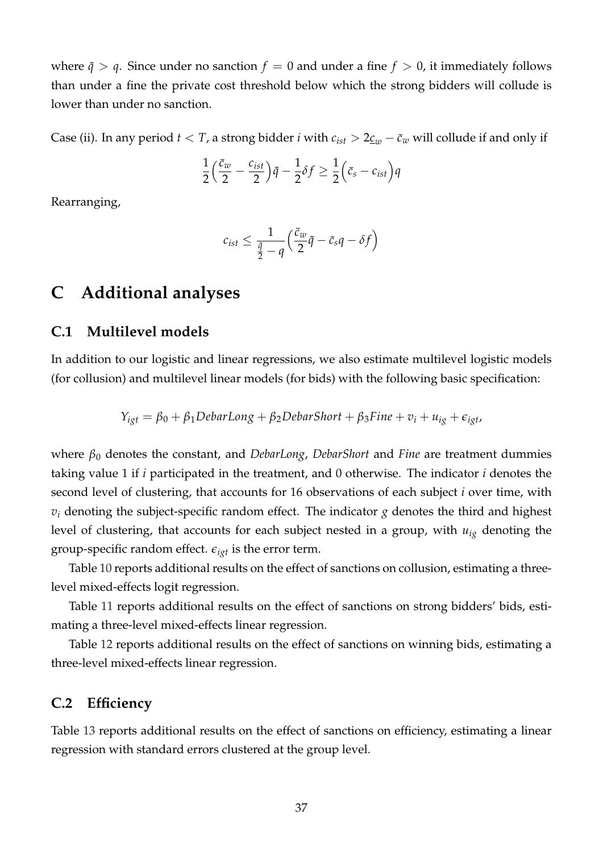where  $\tilde{q} > q$ . Since under no sanction  $f = 0$  and under a fine  $f > 0$ , it immediately follows than under a fine the private cost threshold below which the strong bidders will collude is lower than under no sanction.

Case (ii). In any period  $t < T$ , a strong bidder *i* with  $c_{ist} > 2 \underline{c}_{w} - \overline{c}_{w}$  will collude if and only if

$$
\frac{1}{2}\left(\frac{\bar{c}_w}{2}-\frac{c_{ist}}{2}\right)\tilde{q}-\frac{1}{2}\delta f\geq \frac{1}{2}\left(\bar{c}_s-c_{ist}\right)q
$$

Rearranging,

$$
c_{ist} \leq \frac{1}{\frac{\tilde{q}}{2} - q} \left( \frac{\bar{c}_w}{2} \tilde{q} - \bar{c}_s q - \delta f \right)
$$

## <span id="page-38-1"></span>**C Additional analyses**

### <span id="page-38-0"></span>**C.1 Multilevel models**

In addition to our logistic and linear regressions, we also estimate multilevel logistic models (for collusion) and multilevel linear models (for bids) with the following basic specification:

$$
Y_{igt} = \beta_0 + \beta_1 DebarLong + \beta_2 DebarShort + \beta_3 Fine + v_i + u_{ig} + \epsilon_{igt},
$$

where *β*<sup>0</sup> denotes the constant, and *DebarLong*, *DebarShort* and *Fine* are treatment dummies taking value 1 if *i* participated in the treatment, and 0 otherwise. The indicator *i* denotes the second level of clustering, that accounts for 16 observations of each subject *i* over time, with  $v_i$  denoting the subject-specific random effect. The indicator  $g$  denotes the third and highest level of clustering, that accounts for each subject nested in a group, with *uig* denoting the group-specific random effect.  $\epsilon_{iqt}$  is the error term.

Table [10](#page-39-0) reports additional results on the effect of sanctions on collusion, estimating a threelevel mixed-effects logit regression.

Table [11](#page-39-1) reports additional results on the effect of sanctions on strong bidders' bids, estimating a three-level mixed-effects linear regression.

Table [12](#page-40-0) reports additional results on the effect of sanctions on winning bids, estimating a three-level mixed-effects linear regression.

### <span id="page-38-3"></span>**C.2 Efficiency**

<span id="page-38-2"></span>Table [13](#page-40-1) reports additional results on the effect of sanctions on efficiency, estimating a linear regression with standard errors clustered at the group level.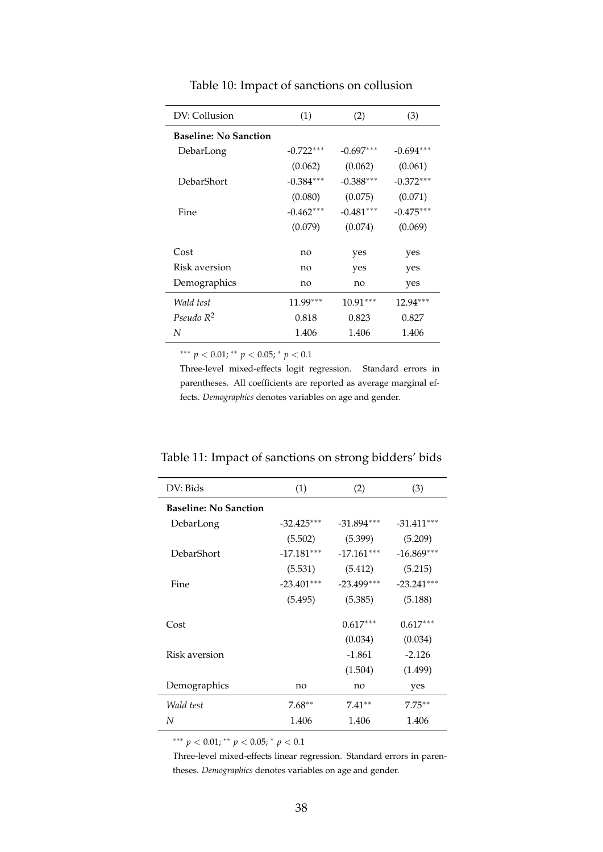<span id="page-39-0"></span>

| DV: Collusion                | (1)         | (2)         | (3)         |
|------------------------------|-------------|-------------|-------------|
| <b>Baseline: No Sanction</b> |             |             |             |
| DebarLong                    | $-0.722***$ | $-0.697***$ | $-0.694***$ |
|                              | (0.062)     | (0.062)     | (0.061)     |
| DebarShort                   | $-0.384***$ | $-0.388***$ | $-0.372***$ |
|                              | (0.080)     | (0.075)     | (0.071)     |
| Fine                         | $-0.462***$ | $-0.481***$ | $-0.475***$ |
|                              | (0.079)     | (0.074)     | (0.069)     |
| Cost                         | no          | yes         | yes         |
| Risk aversion                | no          | yes         | yes         |
| Demographics                 | no          | no          | yes         |
| Wald test                    | $11.99***$  | $10.91***$  | $12.94***$  |
| Pseudo $R^2$                 | 0.818       | 0.823       | 0.827       |
| N                            | 1.406       | 1.406       | 1.406       |
|                              |             |             |             |

Table 10: Impact of sanctions on collusion

∗∗∗ *p* < 0.01; ∗∗ *p* < 0.05; <sup>∗</sup> *p* < 0.1

Three-level mixed-effects logit regression. Standard errors in parentheses. All coefficients are reported as average marginal effects. *Demographics* denotes variables on age and gender.

<span id="page-39-1"></span>

| DV: Bids                     | (1)          | (2)          | (3)          |
|------------------------------|--------------|--------------|--------------|
| <b>Baseline: No Sanction</b> |              |              |              |
| DebarLong                    | $-32.425***$ | $-31.894***$ | $-31.411***$ |
|                              | (5.502)      | (5.399)      | (5.209)      |
| DebarShort                   | $-17.181***$ | $-17.161***$ | $-16.869***$ |
|                              | (5.531)      | (5.412)      | (5.215)      |
| Fine                         | $-23.401***$ | $-23.499***$ | $-23.241***$ |
|                              | (5.495)      | (5.385)      | (5.188)      |
| Cost                         |              | $0.617***$   | $0.617***$   |
|                              |              | (0.034)      | (0.034)      |
| Risk aversion                |              | $-1.861$     | $-2.126$     |
|                              |              | (1.504)      | (1.499)      |
| Demographics                 | no           | no           | yes          |
| Wald test                    | $7.68**$     | $7.41**$     | $7.75***$    |
| N                            | 1.406        | 1.406        | 1.406        |
|                              |              |              |              |

∗∗∗ *p* < 0.01; ∗∗ *p* < 0.05; <sup>∗</sup> *p* < 0.1

Three-level mixed-effects linear regression. Standard errors in parentheses. *Demographics* denotes variables on age and gender.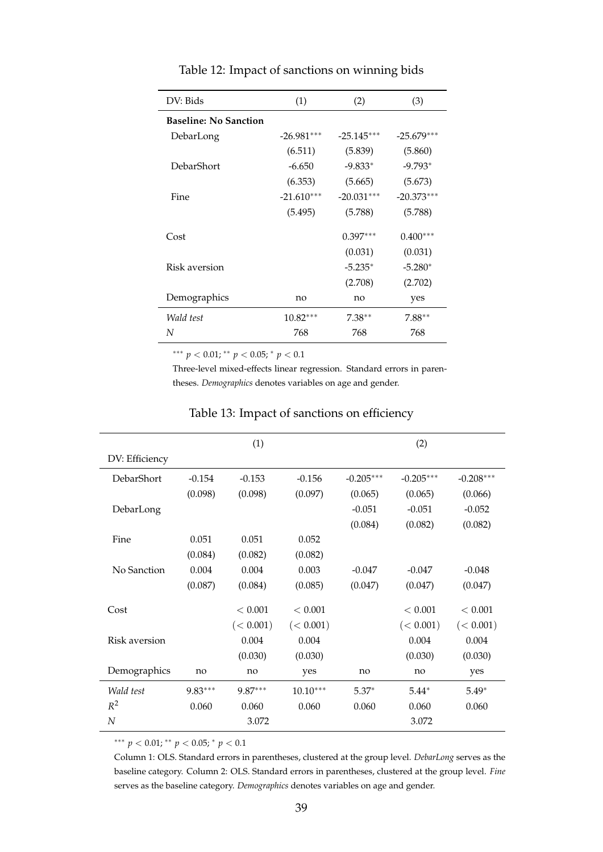<span id="page-40-0"></span>

| DV: Bids                     | (1)          | (2)                          | (3)          |  |
|------------------------------|--------------|------------------------------|--------------|--|
| <b>Baseline: No Sanction</b> |              |                              |              |  |
| DebarLong                    | $-26.981***$ | $-25.145***$<br>$-25.679***$ |              |  |
|                              | (6.511)      | (5.839)                      | (5.860)      |  |
| DebarShort                   | $-6.650$     | $-9.833*$                    | $-9.793*$    |  |
|                              | (6.353)      | (5.665)                      | (5.673)      |  |
| Fine                         | $-21.610***$ | $-20.031***$                 | $-20.373***$ |  |
|                              | (5.495)      | (5.788)                      | (5.788)      |  |
| Cost                         |              | $0.397***$                   | $0.400***$   |  |
|                              |              | (0.031)                      | (0.031)      |  |
| Risk aversion                |              | $-5.235*$                    | $-5.280*$    |  |
|                              |              | (2.708)                      | (2.702)      |  |
| Demographics                 | no           | no                           | yes          |  |
| Wald test                    | $10.82***$   | $7.38**$                     | $7.88**$     |  |
| N                            | 768          | 768                          | 768          |  |

Table 12: Impact of sanctions on winning bids

∗∗∗ *p* < 0.01; ∗∗ *p* < 0.05; <sup>∗</sup> *p* < 0.1

Three-level mixed-effects linear regression. Standard errors in parentheses. *Demographics* denotes variables on age and gender.

<span id="page-40-1"></span>

|                | (1)       |           | (2)        |             |             |             |
|----------------|-----------|-----------|------------|-------------|-------------|-------------|
| DV: Efficiency |           |           |            |             |             |             |
| DebarShort     | $-0.154$  | $-0.153$  | $-0.156$   | $-0.205***$ | $-0.205***$ | $-0.208***$ |
|                | (0.098)   | (0.098)   | (0.097)    | (0.065)     | (0.065)     | (0.066)     |
| DebarLong      |           |           |            | $-0.051$    | $-0.051$    | $-0.052$    |
|                |           |           |            | (0.084)     | (0.082)     | (0.082)     |
| Fine           | 0.051     | 0.051     | 0.052      |             |             |             |
|                | (0.084)   | (0.082)   | (0.082)    |             |             |             |
| No Sanction    | 0.004     | 0.004     | 0.003      | $-0.047$    | $-0.047$    | $-0.048$    |
|                | (0.087)   | (0.084)   | (0.085)    | (0.047)     | (0.047)     | (0.047)     |
|                |           |           |            |             |             |             |
| Cost           |           | < 0.001   | < 0.001    |             | < 0.001     | < 0.001     |
|                |           | (< 0.001) | (< 0.001)  |             | (< 0.001)   | (< 0.001)   |
| Risk aversion  |           | 0.004     | 0.004      |             | 0.004       | 0.004       |
|                |           | (0.030)   | (0.030)    |             | (0.030)     | (0.030)     |
| Demographics   | no        | no        | yes        | no          | no          | yes         |
| Wald test      | $9.83***$ | 9.87***   | $10.10***$ | $5.37*$     | $5.44*$     | $5.49*$     |
| $R^2$          | 0.060     | 0.060     | 0.060      | 0.060       | 0.060       | 0.060       |
| N              | 3.072     |           | 3.072      |             |             |             |

#### Table 13: Impact of sanctions on efficiency

∗∗∗ *p* < 0.01; ∗∗ *p* < 0.05; <sup>∗</sup> *p* < 0.1

Column 1: OLS. Standard errors in parentheses, clustered at the group level. *DebarLong* serves as the baseline category. Column 2: OLS. Standard errors in parentheses, clustered at the group level. *Fine* serves as the baseline category. *Demographics* denotes variables on age and gender.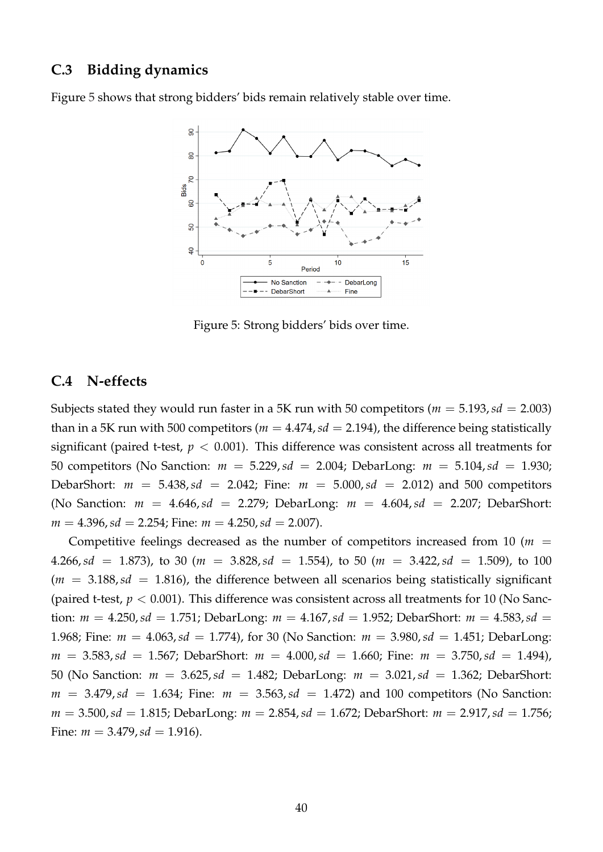### **C.3 Bidding dynamics**

<span id="page-41-2"></span>Figure [5](#page-41-2) shows that strong bidders' bids remain relatively stable over time.



Figure 5: Strong bidders' bids over time.

### <span id="page-41-1"></span>**C.4 N-effects**

Subjects stated they would run faster in a 5K run with 50 competitors ( $m = 5.193$ ,  $sd = 2.003$ ) than in a 5K run with 500 competitors ( $m = 4.474$ ,  $sd = 2.194$ ), the difference being statistically significant (paired t-test,  $p < 0.001$ ). This difference was consistent across all treatments for 50 competitors (No Sanction: *m* = 5.229,*sd* = 2.004; DebarLong: *m* = 5.104,*sd* = 1.930; DebarShort:  $m = 5.438$ ,  $sd = 2.042$ ; Fine:  $m = 5.000$ ,  $sd = 2.012$ ) and 500 competitors (No Sanction:  $m = 4.646$ ,  $sd = 2.279$ ; DebarLong:  $m = 4.604$ ,  $sd = 2.207$ ; DebarShort:  $m = 4.396$ ,  $sd = 2.254$ ; Fine:  $m = 4.250$ ,  $sd = 2.007$ ).

<span id="page-41-0"></span>Competitive feelings decreased as the number of competitors increased from 10 ( $m =$ 4.266,*sd* = 1.873), to 30 ( $m = 3.828$ ,  $sd = 1.554$ ), to 50 ( $m = 3.422$ ,  $sd = 1.509$ ), to 100  $(m = 3.188, sd = 1.816)$ , the difference between all scenarios being statistically significant (paired t-test,  $p < 0.001$ ). This difference was consistent across all treatments for 10 (No Sanction:  $m = 4.250$ ,  $sd = 1.751$ ; DebarLong:  $m = 4.167$ ,  $sd = 1.952$ ; DebarShort:  $m = 4.583$ ,  $sd =$ 1.968; Fine: *m* = 4.063,*sd* = 1.774), for 30 (No Sanction: *m* = 3.980,*sd* = 1.451; DebarLong: *m* = 3.583,*sd* = 1.567; DebarShort: *m* = 4.000,*sd* = 1.660; Fine: *m* = 3.750,*sd* = 1.494), 50 (No Sanction: *m* = 3.625,*sd* = 1.482; DebarLong: *m* = 3.021,*sd* = 1.362; DebarShort:  $m = 3.479$ ,  $sd = 1.634$ ; Fine:  $m = 3.563$ ,  $sd = 1.472$ ) and 100 competitors (No Sanction: *m* = 3.500,*sd* = 1.815; DebarLong: *m* = 2.854,*sd* = 1.672; DebarShort: *m* = 2.917,*sd* = 1.756; Fine:  $m = 3.479$ ,  $sd = 1.916$ .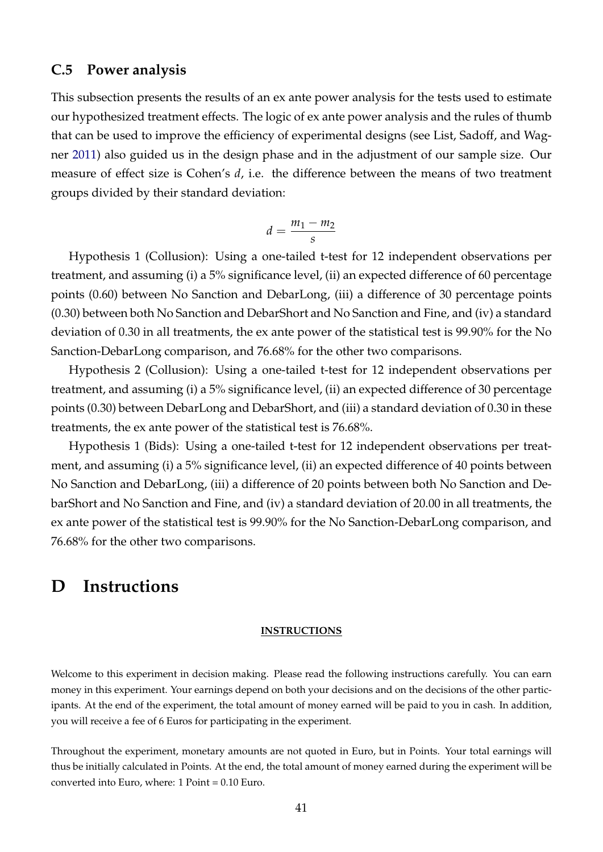#### **C.5 Power analysis**

This subsection presents the results of an ex ante power analysis for the tests used to estimate our hypothesized treatment effects. The logic of ex ante power analysis and the rules of thumb that can be used to improve the efficiency of experimental designs (see List, Sadoff, and Wagner [2011\)](#page-31-15) also guided us in the design phase and in the adjustment of our sample size. Our measure of effect size is Cohen's *d*, i.e. the difference between the means of two treatment groups divided by their standard deviation:

$$
d=\frac{m_1-m_2}{s}
$$

Hypothesis 1 (Collusion): Using a one-tailed t-test for 12 independent observations per treatment, and assuming (i) a 5% significance level, (ii) an expected difference of 60 percentage points (0.60) between No Sanction and DebarLong, (iii) a difference of 30 percentage points (0.30) between both No Sanction and DebarShort and No Sanction and Fine, and (iv) a standard deviation of 0.30 in all treatments, the ex ante power of the statistical test is 99.90% for the No Sanction-DebarLong comparison, and 76.68% for the other two comparisons.

Hypothesis 2 (Collusion): Using a one-tailed t-test for 12 independent observations per treatment, and assuming (i) a 5% significance level, (ii) an expected difference of 30 percentage points (0.30) between DebarLong and DebarShort, and (iii) a standard deviation of 0.30 in these treatments, the ex ante power of the statistical test is 76.68%.

Hypothesis 1 (Bids): Using a one-tailed t-test for 12 independent observations per treatment, and assuming (i) a 5% significance level, (ii) an expected difference of 40 points between No Sanction and DebarLong, (iii) a difference of 20 points between both No Sanction and DebarShort and No Sanction and Fine, and (iv) a standard deviation of 20.00 in all treatments, the ex ante power of the statistical test is 99.90% for the No Sanction-DebarLong comparison, and 76.68% for the other two comparisons.

## **D Instructions**

#### **INSTRUCTIONS**

Welcome to this experiment in decision making. Please read the following instructions carefully. You can earn money in this experiment. Your earnings depend on both your decisions and on the decisions of the other participants. At the end of the experiment, the total amount of money earned will be paid to you in cash. In addition, you will receive a fee of 6 Euros for participating in the experiment.

Throughout the experiment, monetary amounts are not quoted in Euro, but in Points. Your total earnings will thus be initially calculated in Points. At the end, the total amount of money earned during the experiment will be converted into Euro, where: 1 Point = 0.10 Euro.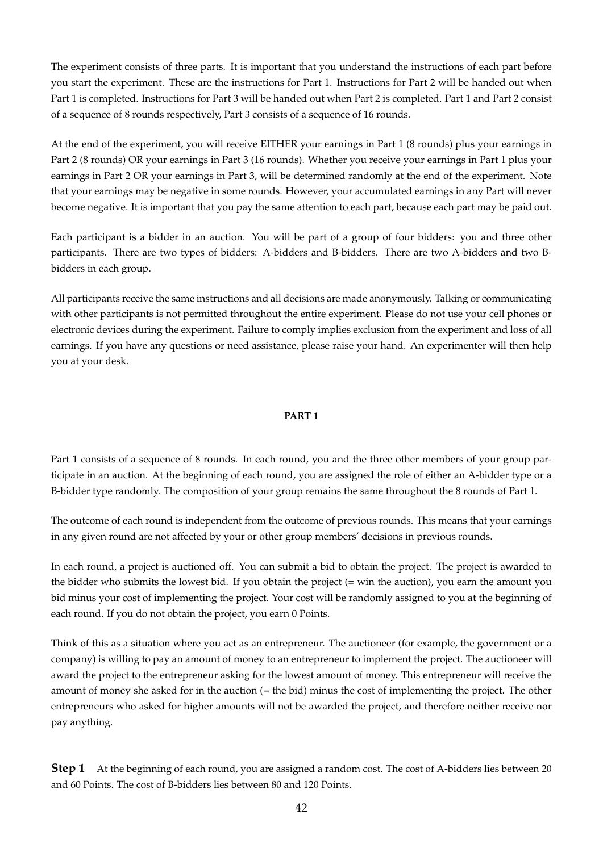The experiment consists of three parts. It is important that you understand the instructions of each part before you start the experiment. These are the instructions for Part 1. Instructions for Part 2 will be handed out when Part 1 is completed. Instructions for Part 3 will be handed out when Part 2 is completed. Part 1 and Part 2 consist of a sequence of 8 rounds respectively, Part 3 consists of a sequence of 16 rounds.

At the end of the experiment, you will receive EITHER your earnings in Part 1 (8 rounds) plus your earnings in Part 2 (8 rounds) OR your earnings in Part 3 (16 rounds). Whether you receive your earnings in Part 1 plus your earnings in Part 2 OR your earnings in Part 3, will be determined randomly at the end of the experiment. Note that your earnings may be negative in some rounds. However, your accumulated earnings in any Part will never become negative. It is important that you pay the same attention to each part, because each part may be paid out.

Each participant is a bidder in an auction. You will be part of a group of four bidders: you and three other participants. There are two types of bidders: A-bidders and B-bidders. There are two A-bidders and two Bbidders in each group.

All participants receive the same instructions and all decisions are made anonymously. Talking or communicating with other participants is not permitted throughout the entire experiment. Please do not use your cell phones or electronic devices during the experiment. Failure to comply implies exclusion from the experiment and loss of all earnings. If you have any questions or need assistance, please raise your hand. An experimenter will then help you at your desk.

#### **PART 1**

Part 1 consists of a sequence of 8 rounds. In each round, you and the three other members of your group participate in an auction. At the beginning of each round, you are assigned the role of either an A-bidder type or a B-bidder type randomly. The composition of your group remains the same throughout the 8 rounds of Part 1.

The outcome of each round is independent from the outcome of previous rounds. This means that your earnings in any given round are not affected by your or other group members' decisions in previous rounds.

In each round, a project is auctioned off. You can submit a bid to obtain the project. The project is awarded to the bidder who submits the lowest bid. If you obtain the project (= win the auction), you earn the amount you bid minus your cost of implementing the project. Your cost will be randomly assigned to you at the beginning of each round. If you do not obtain the project, you earn 0 Points.

Think of this as a situation where you act as an entrepreneur. The auctioneer (for example, the government or a company) is willing to pay an amount of money to an entrepreneur to implement the project. The auctioneer will award the project to the entrepreneur asking for the lowest amount of money. This entrepreneur will receive the amount of money she asked for in the auction (= the bid) minus the cost of implementing the project. The other entrepreneurs who asked for higher amounts will not be awarded the project, and therefore neither receive nor pay anything.

**Step 1** At the beginning of each round, you are assigned a random cost. The cost of A-bidders lies between 20 and 60 Points. The cost of B-bidders lies between 80 and 120 Points.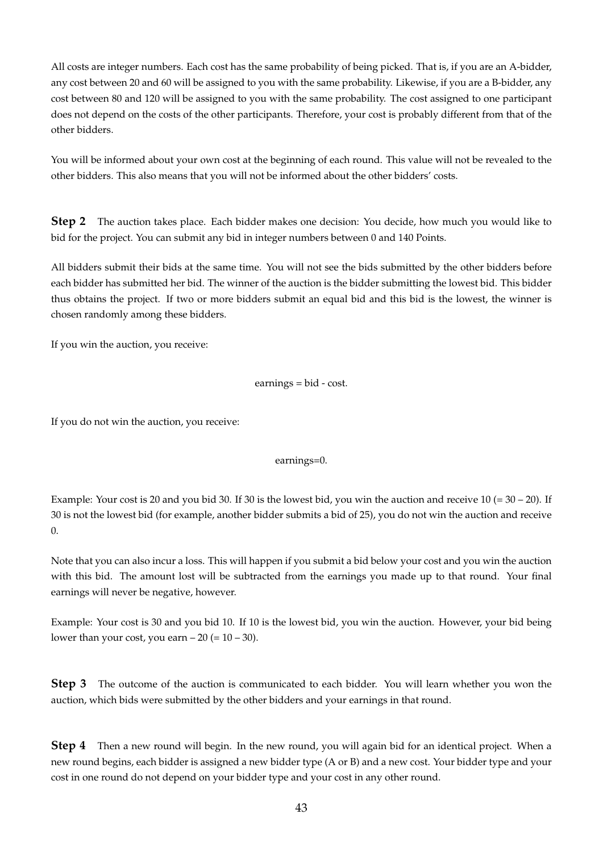All costs are integer numbers. Each cost has the same probability of being picked. That is, if you are an A-bidder, any cost between 20 and 60 will be assigned to you with the same probability. Likewise, if you are a B-bidder, any cost between 80 and 120 will be assigned to you with the same probability. The cost assigned to one participant does not depend on the costs of the other participants. Therefore, your cost is probably different from that of the other bidders.

You will be informed about your own cost at the beginning of each round. This value will not be revealed to the other bidders. This also means that you will not be informed about the other bidders' costs.

**Step 2** The auction takes place. Each bidder makes one decision: You decide, how much you would like to bid for the project. You can submit any bid in integer numbers between 0 and 140 Points.

All bidders submit their bids at the same time. You will not see the bids submitted by the other bidders before each bidder has submitted her bid. The winner of the auction is the bidder submitting the lowest bid. This bidder thus obtains the project. If two or more bidders submit an equal bid and this bid is the lowest, the winner is chosen randomly among these bidders.

If you win the auction, you receive:

earnings = bid - cost.

If you do not win the auction, you receive:

earnings=0.

Example: Your cost is 20 and you bid 30. If 30 is the lowest bid, you win the auction and receive 10 (= 30 – 20). If 30 is not the lowest bid (for example, another bidder submits a bid of 25), you do not win the auction and receive 0.

Note that you can also incur a loss. This will happen if you submit a bid below your cost and you win the auction with this bid. The amount lost will be subtracted from the earnings you made up to that round. Your final earnings will never be negative, however.

Example: Your cost is 30 and you bid 10. If 10 is the lowest bid, you win the auction. However, your bid being lower than your cost, you earn  $-20 (= 10 - 30)$ .

**Step 3** The outcome of the auction is communicated to each bidder. You will learn whether you won the auction, which bids were submitted by the other bidders and your earnings in that round.

**Step 4** Then a new round will begin. In the new round, you will again bid for an identical project. When a new round begins, each bidder is assigned a new bidder type (A or B) and a new cost. Your bidder type and your cost in one round do not depend on your bidder type and your cost in any other round.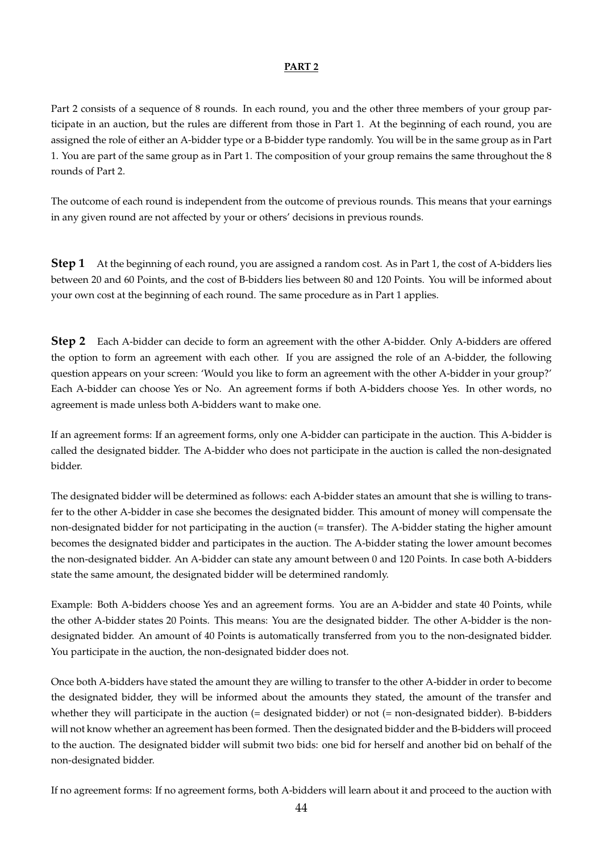#### **PART 2**

Part 2 consists of a sequence of 8 rounds. In each round, you and the other three members of your group participate in an auction, but the rules are different from those in Part 1. At the beginning of each round, you are assigned the role of either an A-bidder type or a B-bidder type randomly. You will be in the same group as in Part 1. You are part of the same group as in Part 1. The composition of your group remains the same throughout the 8 rounds of Part 2.

The outcome of each round is independent from the outcome of previous rounds. This means that your earnings in any given round are not affected by your or others' decisions in previous rounds.

**Step 1** At the beginning of each round, you are assigned a random cost. As in Part 1, the cost of A-bidders lies between 20 and 60 Points, and the cost of B-bidders lies between 80 and 120 Points. You will be informed about your own cost at the beginning of each round. The same procedure as in Part 1 applies.

**Step 2** Each A-bidder can decide to form an agreement with the other A-bidder. Only A-bidders are offered the option to form an agreement with each other. If you are assigned the role of an A-bidder, the following question appears on your screen: 'Would you like to form an agreement with the other A-bidder in your group?' Each A-bidder can choose Yes or No. An agreement forms if both A-bidders choose Yes. In other words, no agreement is made unless both A-bidders want to make one.

If an agreement forms: If an agreement forms, only one A-bidder can participate in the auction. This A-bidder is called the designated bidder. The A-bidder who does not participate in the auction is called the non-designated bidder.

The designated bidder will be determined as follows: each A-bidder states an amount that she is willing to transfer to the other A-bidder in case she becomes the designated bidder. This amount of money will compensate the non-designated bidder for not participating in the auction (= transfer). The A-bidder stating the higher amount becomes the designated bidder and participates in the auction. The A-bidder stating the lower amount becomes the non-designated bidder. An A-bidder can state any amount between 0 and 120 Points. In case both A-bidders state the same amount, the designated bidder will be determined randomly.

Example: Both A-bidders choose Yes and an agreement forms. You are an A-bidder and state 40 Points, while the other A-bidder states 20 Points. This means: You are the designated bidder. The other A-bidder is the nondesignated bidder. An amount of 40 Points is automatically transferred from you to the non-designated bidder. You participate in the auction, the non-designated bidder does not.

Once both A-bidders have stated the amount they are willing to transfer to the other A-bidder in order to become the designated bidder, they will be informed about the amounts they stated, the amount of the transfer and whether they will participate in the auction (= designated bidder) or not (= non-designated bidder). B-bidders will not know whether an agreement has been formed. Then the designated bidder and the B-bidders will proceed to the auction. The designated bidder will submit two bids: one bid for herself and another bid on behalf of the non-designated bidder.

If no agreement forms: If no agreement forms, both A-bidders will learn about it and proceed to the auction with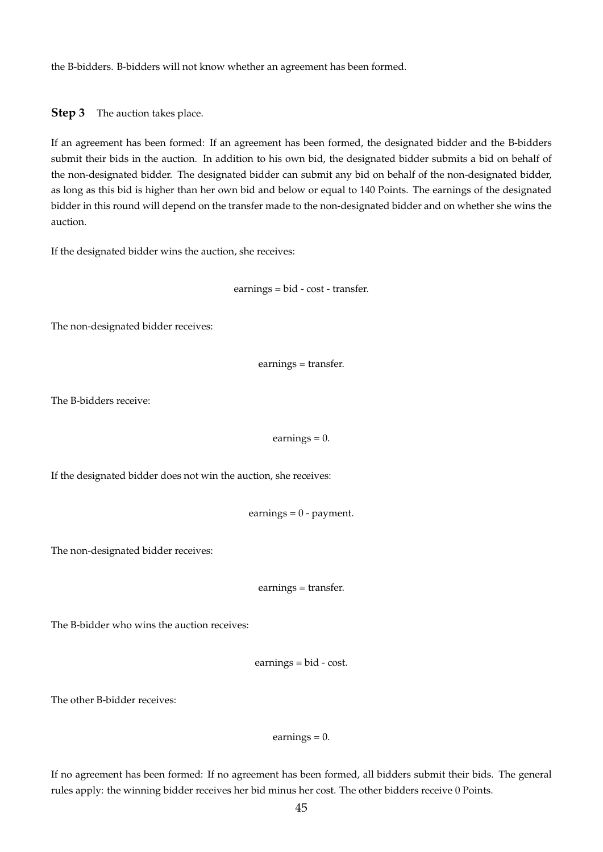the B-bidders. B-bidders will not know whether an agreement has been formed.

**Step 3** The auction takes place.

If an agreement has been formed: If an agreement has been formed, the designated bidder and the B-bidders submit their bids in the auction. In addition to his own bid, the designated bidder submits a bid on behalf of the non-designated bidder. The designated bidder can submit any bid on behalf of the non-designated bidder, as long as this bid is higher than her own bid and below or equal to 140 Points. The earnings of the designated bidder in this round will depend on the transfer made to the non-designated bidder and on whether she wins the auction.

If the designated bidder wins the auction, she receives:

earnings = bid - cost - transfer.

The non-designated bidder receives:

earnings = transfer.

The B-bidders receive:

earnings  $= 0$ .

If the designated bidder does not win the auction, she receives:

earnings = 0 - payment.

The non-designated bidder receives:

earnings = transfer.

The B-bidder who wins the auction receives:

earnings = bid - cost.

The other B-bidder receives:

earnings  $= 0$ .

If no agreement has been formed: If no agreement has been formed, all bidders submit their bids. The general rules apply: the winning bidder receives her bid minus her cost. The other bidders receive 0 Points.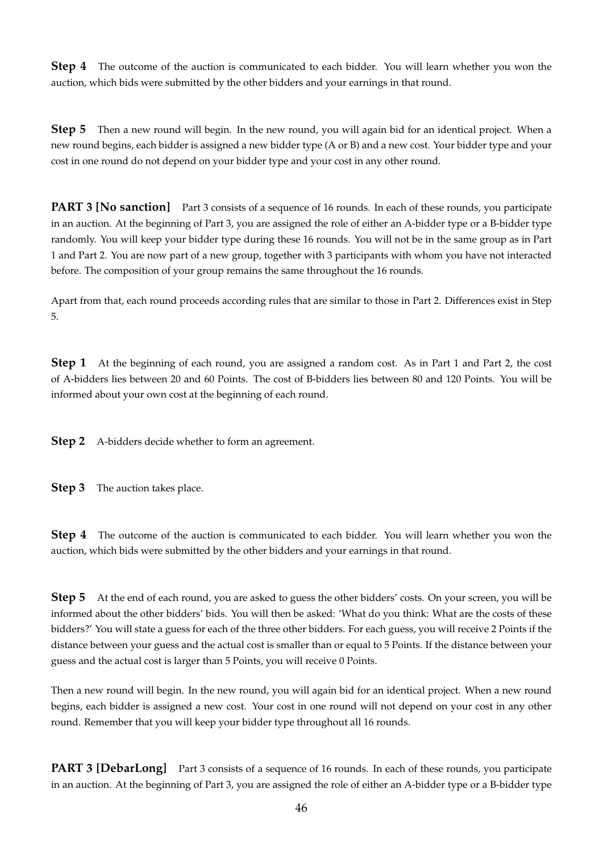**Step 4** The outcome of the auction is communicated to each bidder. You will learn whether you won the auction, which bids were submitted by the other bidders and your earnings in that round.

**Step 5** Then a new round will begin. In the new round, you will again bid for an identical project. When a new round begins, each bidder is assigned a new bidder type (A or B) and a new cost. Your bidder type and your cost in one round do not depend on your bidder type and your cost in any other round.

**PART 3 [No sanction]** Part 3 consists of a sequence of 16 rounds. In each of these rounds, you participate in an auction. At the beginning of Part 3, you are assigned the role of either an A-bidder type or a B-bidder type randomly. You will keep your bidder type during these 16 rounds. You will not be in the same group as in Part 1 and Part 2. You are now part of a new group, together with 3 participants with whom you have not interacted before. The composition of your group remains the same throughout the 16 rounds.

Apart from that, each round proceeds according rules that are similar to those in Part 2. Differences exist in Step 5.

**Step 1** At the beginning of each round, you are assigned a random cost. As in Part 1 and Part 2, the cost of A-bidders lies between 20 and 60 Points. The cost of B-bidders lies between 80 and 120 Points. You will be informed about your own cost at the beginning of each round.

**Step 2** A-bidders decide whether to form an agreement.

**Step 3** The auction takes place.

**Step 4** The outcome of the auction is communicated to each bidder. You will learn whether you won the auction, which bids were submitted by the other bidders and your earnings in that round.

**Step 5** At the end of each round, you are asked to guess the other bidders' costs. On your screen, you will be informed about the other bidders' bids. You will then be asked: 'What do you think: What are the costs of these bidders?' You will state a guess for each of the three other bidders. For each guess, you will receive 2 Points if the distance between your guess and the actual cost is smaller than or equal to 5 Points. If the distance between your guess and the actual cost is larger than 5 Points, you will receive 0 Points.

Then a new round will begin. In the new round, you will again bid for an identical project. When a new round begins, each bidder is assigned a new cost. Your cost in one round will not depend on your cost in any other round. Remember that you will keep your bidder type throughout all 16 rounds.

**PART 3 [DebarLong]** Part 3 consists of a sequence of 16 rounds. In each of these rounds, you participate in an auction. At the beginning of Part 3, you are assigned the role of either an A-bidder type or a B-bidder type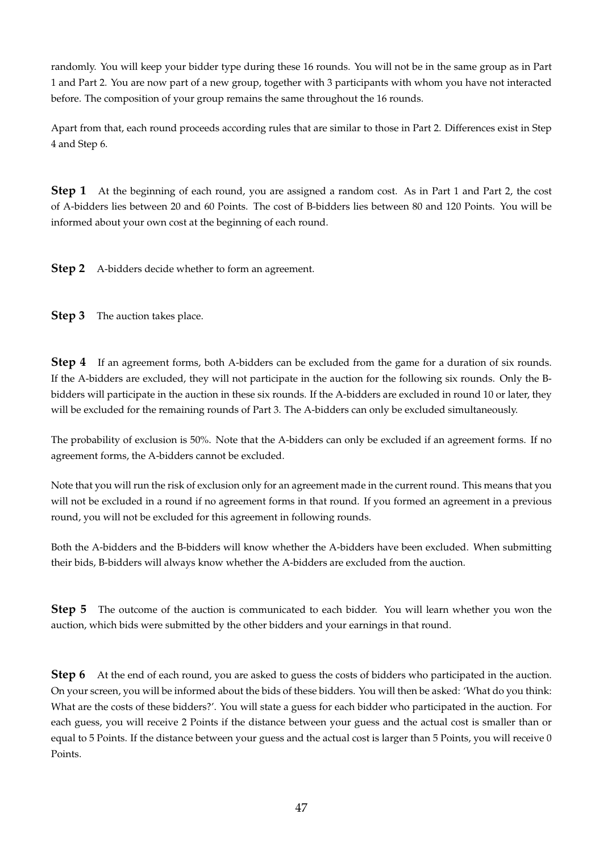randomly. You will keep your bidder type during these 16 rounds. You will not be in the same group as in Part 1 and Part 2. You are now part of a new group, together with 3 participants with whom you have not interacted before. The composition of your group remains the same throughout the 16 rounds.

Apart from that, each round proceeds according rules that are similar to those in Part 2. Differences exist in Step 4 and Step 6.

**Step 1** At the beginning of each round, you are assigned a random cost. As in Part 1 and Part 2, the cost of A-bidders lies between 20 and 60 Points. The cost of B-bidders lies between 80 and 120 Points. You will be informed about your own cost at the beginning of each round.

**Step 2** A-bidders decide whether to form an agreement.

**Step 3** The auction takes place.

**Step 4** If an agreement forms, both A-bidders can be excluded from the game for a duration of six rounds. If the A-bidders are excluded, they will not participate in the auction for the following six rounds. Only the Bbidders will participate in the auction in these six rounds. If the A-bidders are excluded in round 10 or later, they will be excluded for the remaining rounds of Part 3. The A-bidders can only be excluded simultaneously.

The probability of exclusion is 50%. Note that the A-bidders can only be excluded if an agreement forms. If no agreement forms, the A-bidders cannot be excluded.

Note that you will run the risk of exclusion only for an agreement made in the current round. This means that you will not be excluded in a round if no agreement forms in that round. If you formed an agreement in a previous round, you will not be excluded for this agreement in following rounds.

Both the A-bidders and the B-bidders will know whether the A-bidders have been excluded. When submitting their bids, B-bidders will always know whether the A-bidders are excluded from the auction.

**Step 5** The outcome of the auction is communicated to each bidder. You will learn whether you won the auction, which bids were submitted by the other bidders and your earnings in that round.

**Step 6** At the end of each round, you are asked to guess the costs of bidders who participated in the auction. On your screen, you will be informed about the bids of these bidders. You will then be asked: 'What do you think: What are the costs of these bidders?'. You will state a guess for each bidder who participated in the auction. For each guess, you will receive 2 Points if the distance between your guess and the actual cost is smaller than or equal to 5 Points. If the distance between your guess and the actual cost is larger than 5 Points, you will receive 0 Points.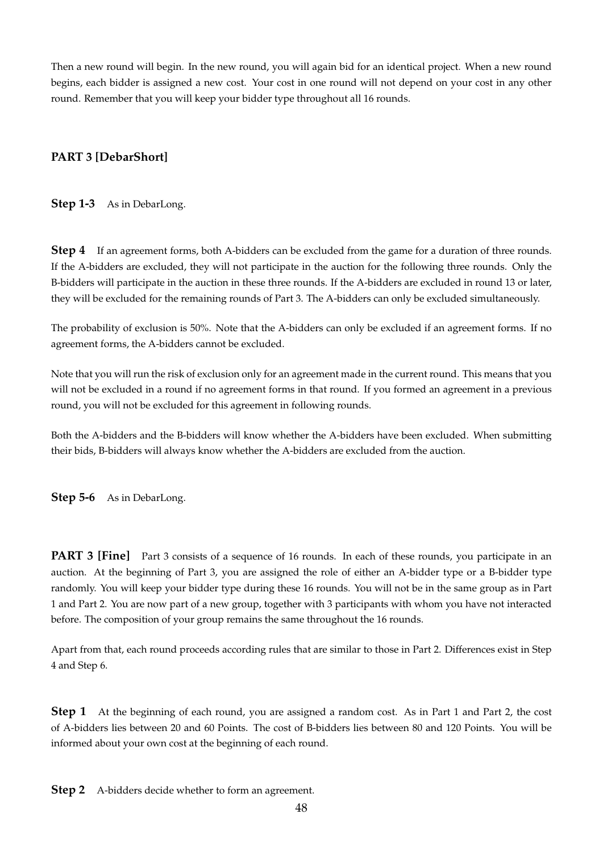Then a new round will begin. In the new round, you will again bid for an identical project. When a new round begins, each bidder is assigned a new cost. Your cost in one round will not depend on your cost in any other round. Remember that you will keep your bidder type throughout all 16 rounds.

#### **PART 3 [DebarShort]**

**Step 1-3** As in DebarLong.

**Step 4** If an agreement forms, both A-bidders can be excluded from the game for a duration of three rounds. If the A-bidders are excluded, they will not participate in the auction for the following three rounds. Only the B-bidders will participate in the auction in these three rounds. If the A-bidders are excluded in round 13 or later, they will be excluded for the remaining rounds of Part 3. The A-bidders can only be excluded simultaneously.

The probability of exclusion is 50%. Note that the A-bidders can only be excluded if an agreement forms. If no agreement forms, the A-bidders cannot be excluded.

Note that you will run the risk of exclusion only for an agreement made in the current round. This means that you will not be excluded in a round if no agreement forms in that round. If you formed an agreement in a previous round, you will not be excluded for this agreement in following rounds.

Both the A-bidders and the B-bidders will know whether the A-bidders have been excluded. When submitting their bids, B-bidders will always know whether the A-bidders are excluded from the auction.

**Step 5-6** As in DebarLong.

**PART 3 [Fine]** Part 3 consists of a sequence of 16 rounds. In each of these rounds, you participate in an auction. At the beginning of Part 3, you are assigned the role of either an A-bidder type or a B-bidder type randomly. You will keep your bidder type during these 16 rounds. You will not be in the same group as in Part 1 and Part 2. You are now part of a new group, together with 3 participants with whom you have not interacted before. The composition of your group remains the same throughout the 16 rounds.

Apart from that, each round proceeds according rules that are similar to those in Part 2. Differences exist in Step 4 and Step 6.

**Step 1** At the beginning of each round, you are assigned a random cost. As in Part 1 and Part 2, the cost of A-bidders lies between 20 and 60 Points. The cost of B-bidders lies between 80 and 120 Points. You will be informed about your own cost at the beginning of each round.

**Step 2** A-bidders decide whether to form an agreement.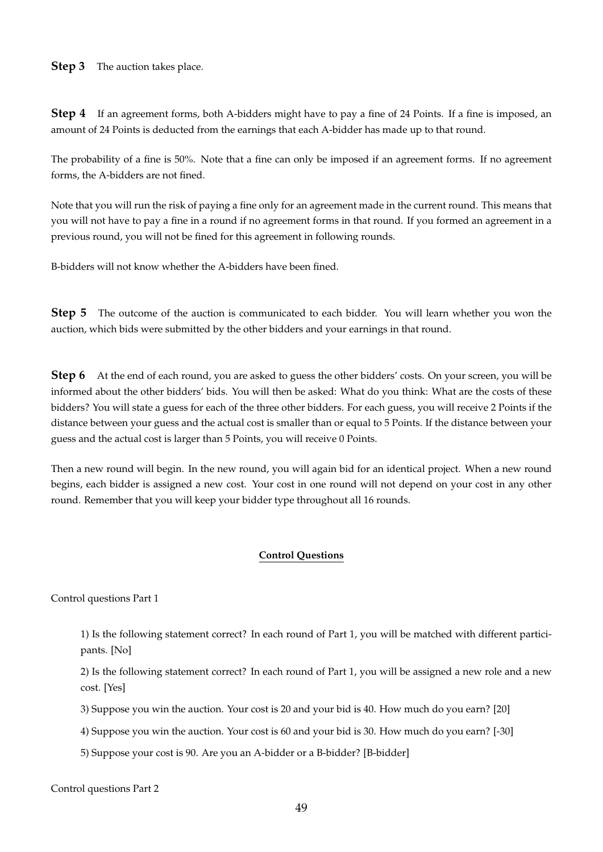#### **Step 3** The auction takes place.

**Step 4** If an agreement forms, both A-bidders might have to pay a fine of 24 Points. If a fine is imposed, an amount of 24 Points is deducted from the earnings that each A-bidder has made up to that round.

The probability of a fine is 50%. Note that a fine can only be imposed if an agreement forms. If no agreement forms, the A-bidders are not fined.

Note that you will run the risk of paying a fine only for an agreement made in the current round. This means that you will not have to pay a fine in a round if no agreement forms in that round. If you formed an agreement in a previous round, you will not be fined for this agreement in following rounds.

B-bidders will not know whether the A-bidders have been fined.

**Step 5** The outcome of the auction is communicated to each bidder. You will learn whether you won the auction, which bids were submitted by the other bidders and your earnings in that round.

**Step 6** At the end of each round, you are asked to guess the other bidders' costs. On your screen, you will be informed about the other bidders' bids. You will then be asked: What do you think: What are the costs of these bidders? You will state a guess for each of the three other bidders. For each guess, you will receive 2 Points if the distance between your guess and the actual cost is smaller than or equal to 5 Points. If the distance between your guess and the actual cost is larger than 5 Points, you will receive 0 Points.

Then a new round will begin. In the new round, you will again bid for an identical project. When a new round begins, each bidder is assigned a new cost. Your cost in one round will not depend on your cost in any other round. Remember that you will keep your bidder type throughout all 16 rounds.

#### **Control Questions**

Control questions Part 1

1) Is the following statement correct? In each round of Part 1, you will be matched with different participants. [No]

2) Is the following statement correct? In each round of Part 1, you will be assigned a new role and a new cost. [Yes]

3) Suppose you win the auction. Your cost is 20 and your bid is 40. How much do you earn? [20]

4) Suppose you win the auction. Your cost is 60 and your bid is 30. How much do you earn? [-30]

5) Suppose your cost is 90. Are you an A-bidder or a B-bidder? [B-bidder]

Control questions Part 2